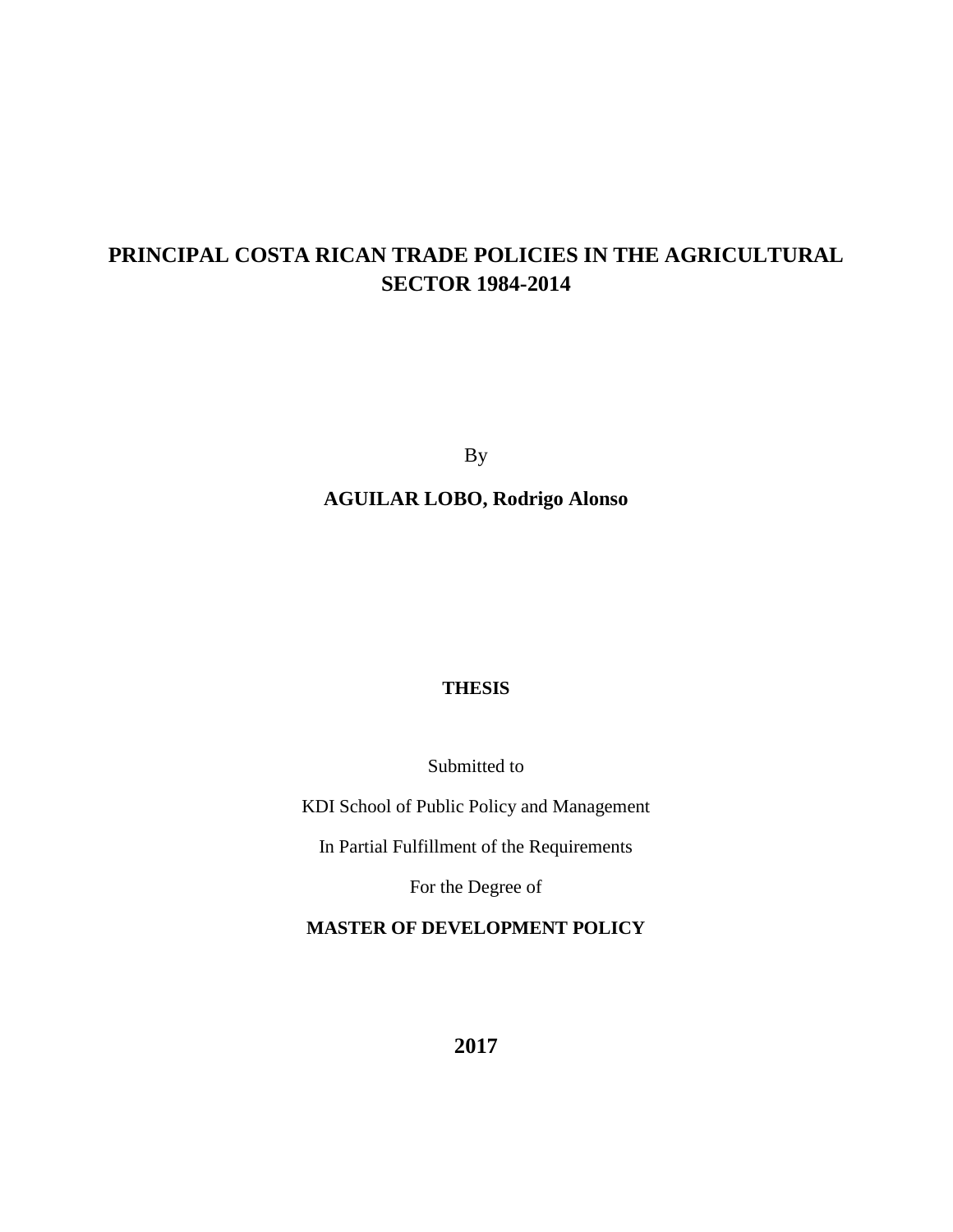# **PRINCIPAL COSTA RICAN TRADE POLICIES IN THE AGRICULTURAL SECTOR 1984-2014**

By

**AGUILAR LOBO, Rodrigo Alonso**

### **THESIS**

Submitted to

KDI School of Public Policy and Management

In Partial Fulfillment of the Requirements

For the Degree of

## **MASTER OF DEVELOPMENT POLICY**

**2017**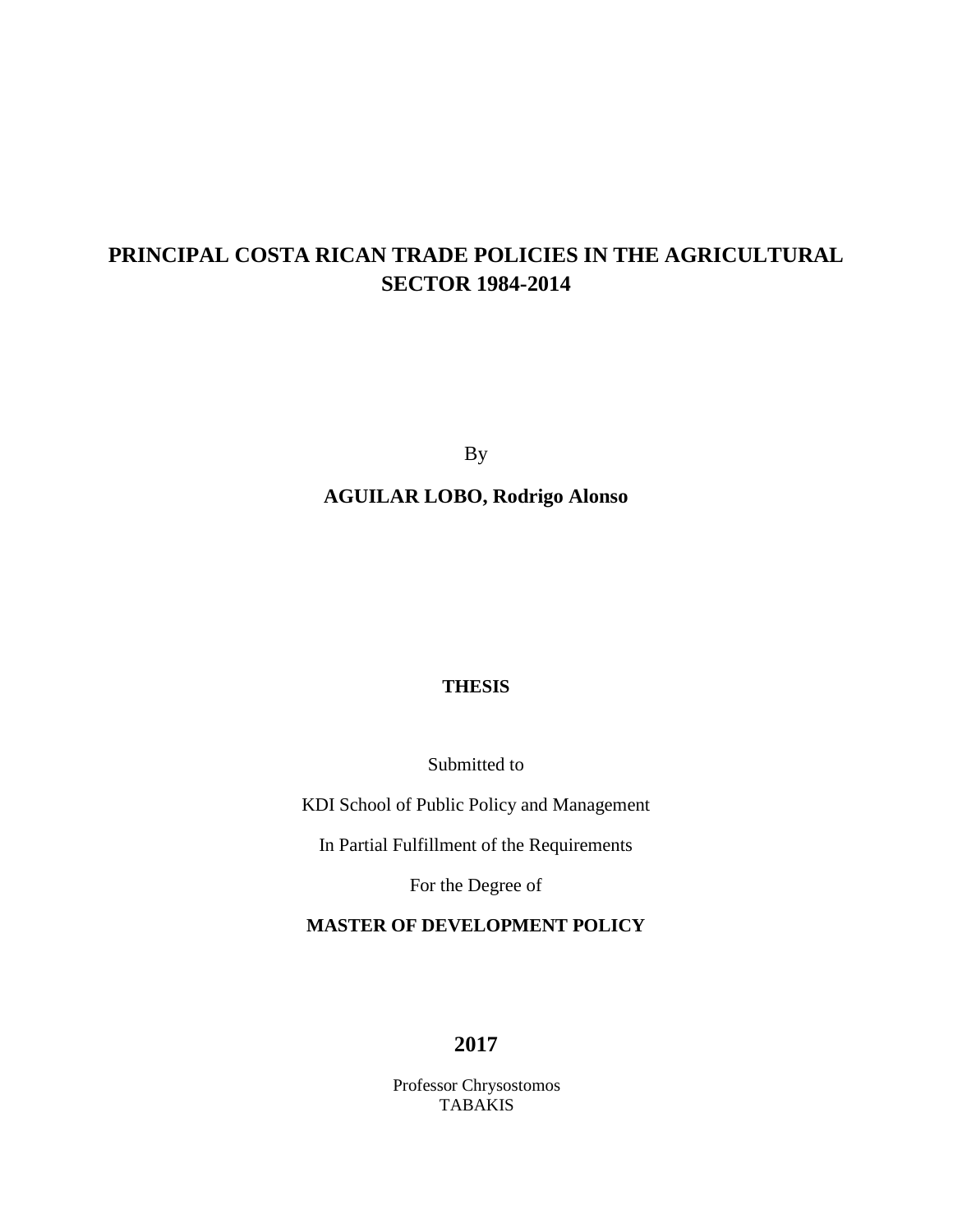# **PRINCIPAL COSTA RICAN TRADE POLICIES IN THE AGRICULTURAL SECTOR 1984-2014**

By

**AGUILAR LOBO, Rodrigo Alonso**

## **THESIS**

Submitted to

KDI School of Public Policy and Management

In Partial Fulfillment of the Requirements

For the Degree of

## **MASTER OF DEVELOPMENT POLICY**

## **2017**

Professor Chrysostomos TABAKIS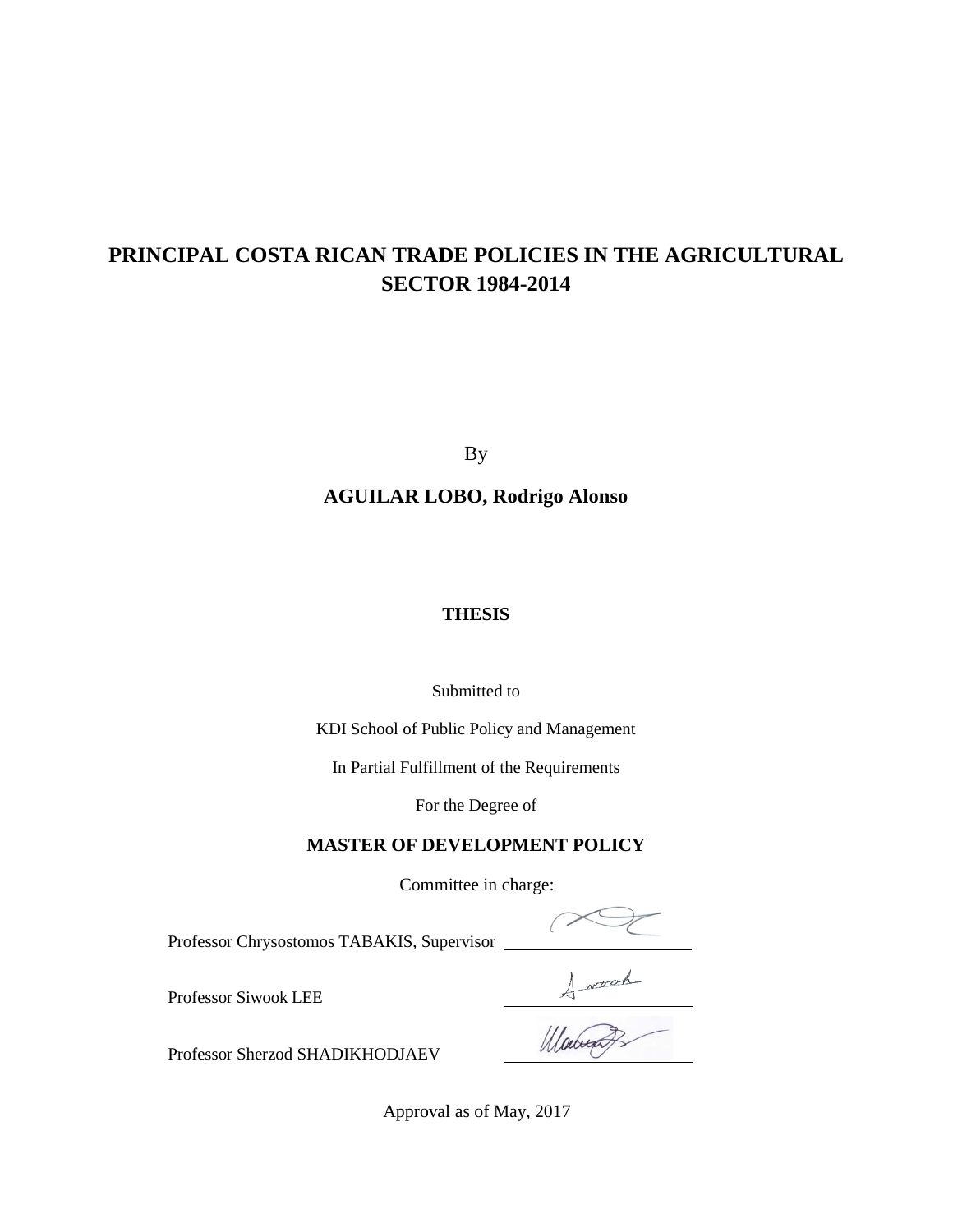# **PRINCIPAL COSTA RICAN TRADE POLICIES IN THE AGRICULTURAL SECTOR 1984-2014**

By

**AGUILAR LOBO, Rodrigo Alonso**

## **THESIS**

#### Submitted to

KDI School of Public Policy and Management

In Partial Fulfillment of the Requirements

For the Degree of

## **MASTER OF DEVELOPMENT POLICY**

Committee in charge:

Professor Chrysostomos TABAKIS, Supervisor

 $\left($ Howard

Professor Siwook LEE

Professor Sherzod SHADIKHODJAEV

Approval as of May, 2017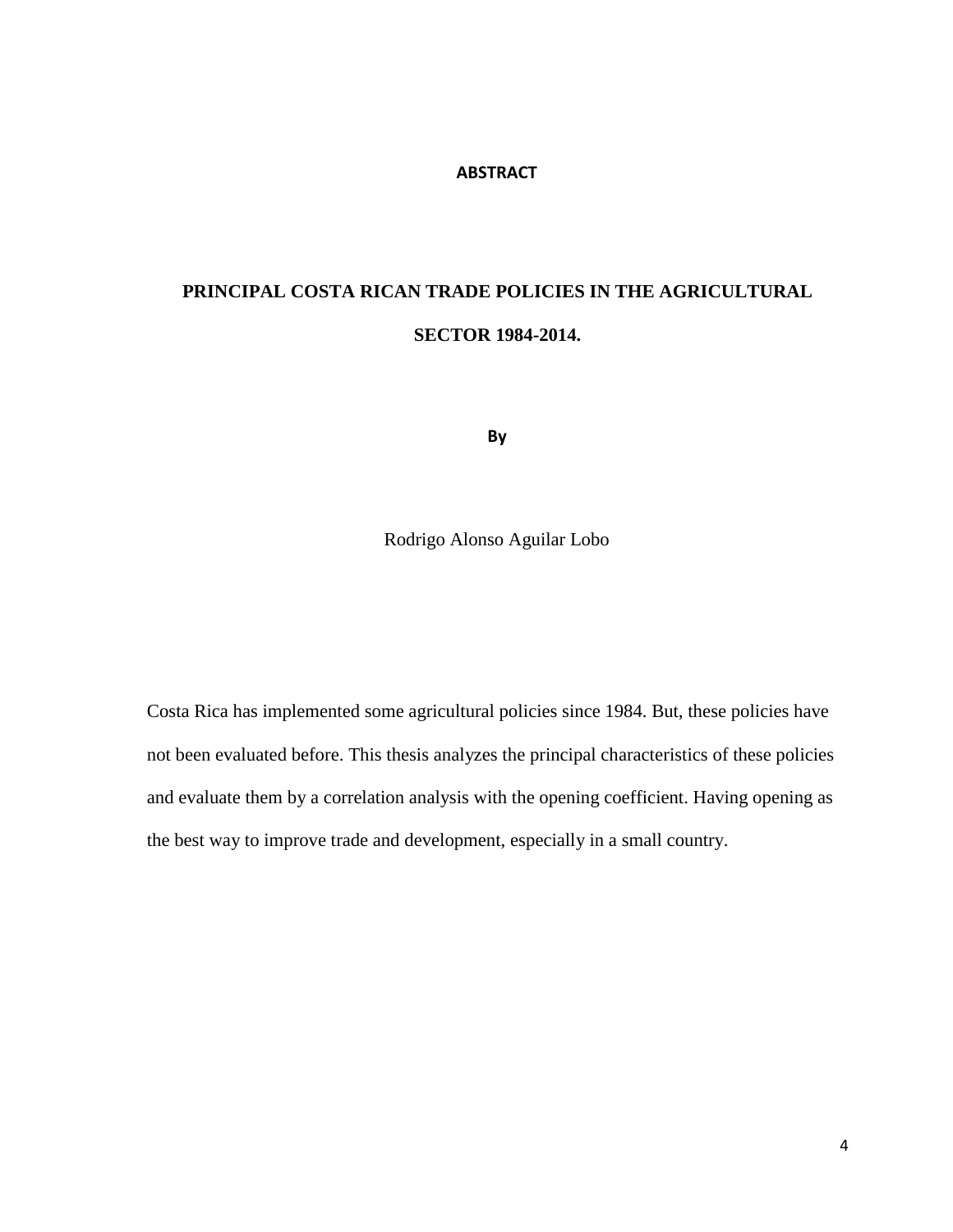#### **ABSTRACT**

# **PRINCIPAL COSTA RICAN TRADE POLICIES IN THE AGRICULTURAL SECTOR 1984-2014.**

**By**

Rodrigo Alonso Aguilar Lobo

Costa Rica has implemented some agricultural policies since 1984. But, these policies have not been evaluated before. This thesis analyzes the principal characteristics of these policies and evaluate them by a correlation analysis with the opening coefficient. Having opening as the best way to improve trade and development, especially in a small country.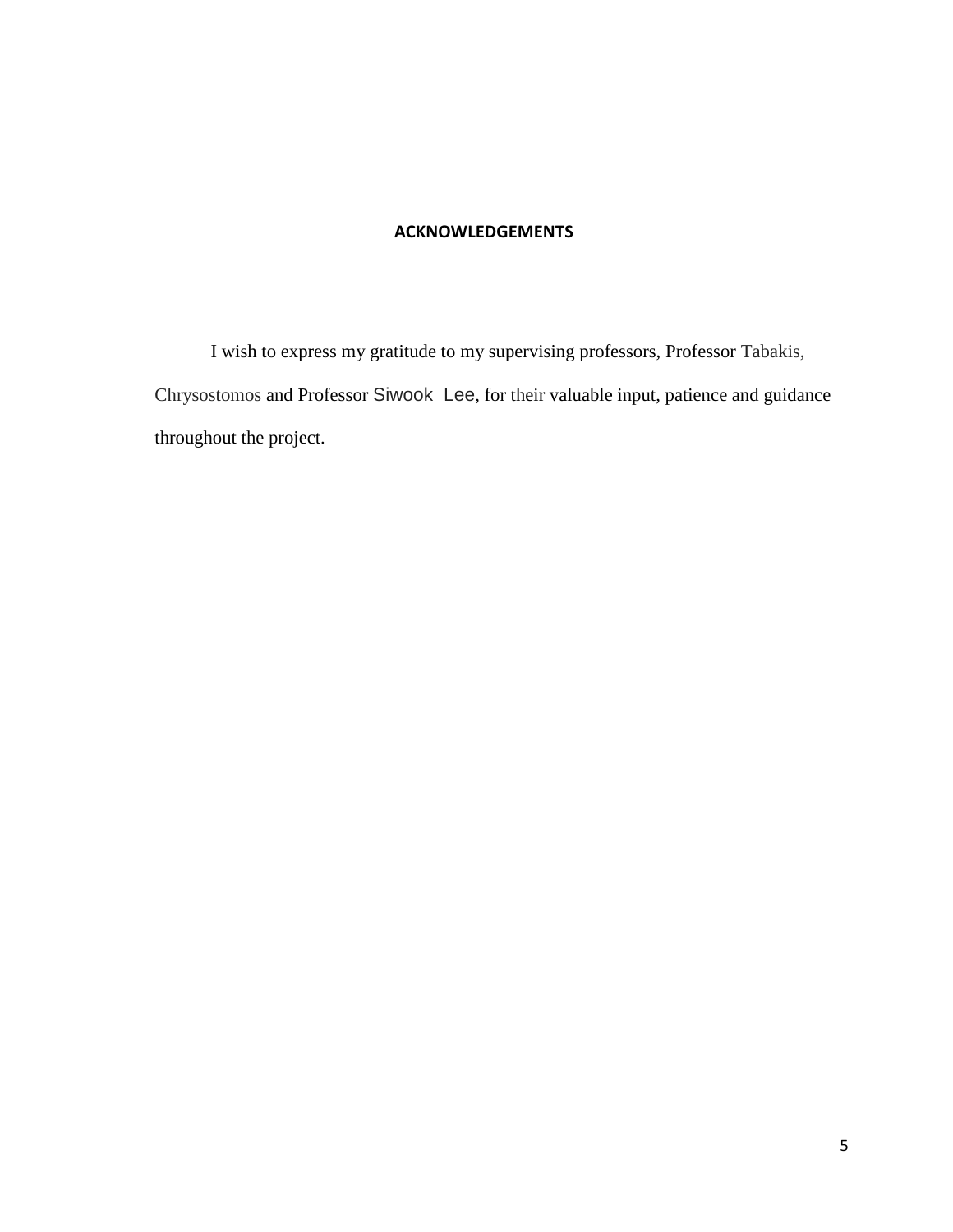## **ACKNOWLEDGEMENTS**

I wish to express my gratitude to my supervising professors, Professor Tabakis, Chrysostomos and Professor Siwook Lee, for their valuable input, patience and guidance throughout the project.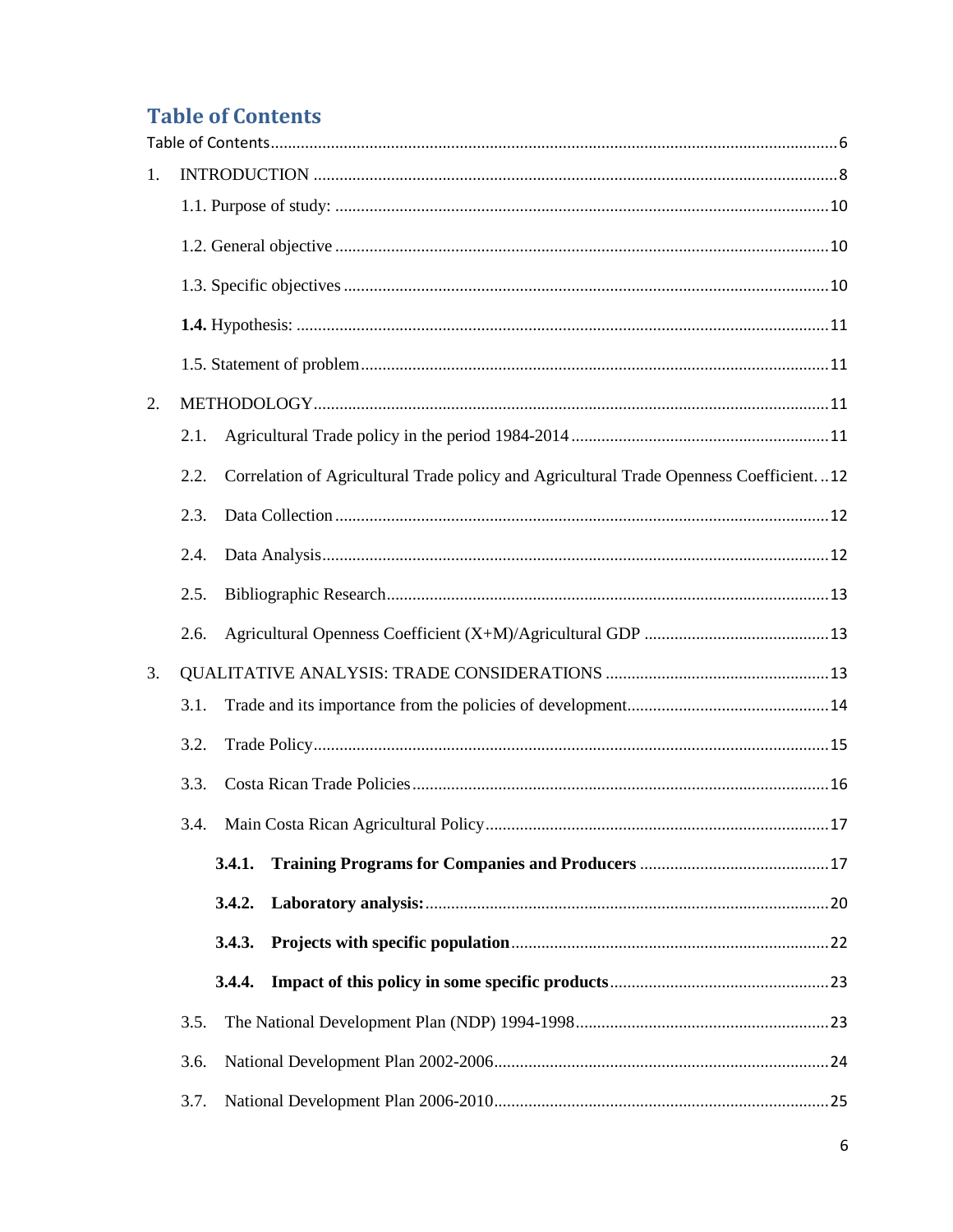# <span id="page-5-0"></span>**Table of Contents**

| 1. |                                                                                                  |  |
|----|--------------------------------------------------------------------------------------------------|--|
|    |                                                                                                  |  |
|    |                                                                                                  |  |
|    |                                                                                                  |  |
|    |                                                                                                  |  |
|    |                                                                                                  |  |
| 2. |                                                                                                  |  |
|    | 2.1.                                                                                             |  |
|    | Correlation of Agricultural Trade policy and Agricultural Trade Openness Coefficient. 12<br>2.2. |  |
|    | 2.3.                                                                                             |  |
|    | 2.4.                                                                                             |  |
|    | 2.5.                                                                                             |  |
|    | 2.6.                                                                                             |  |
| 3. |                                                                                                  |  |
|    | 3.1.                                                                                             |  |
|    | 3.2.                                                                                             |  |
|    | 3.3.                                                                                             |  |
|    | 3.4.                                                                                             |  |
|    | 3.4.1.                                                                                           |  |
|    | 3.4.2.                                                                                           |  |
|    | 3.4.3.                                                                                           |  |
|    | 3.4.4.                                                                                           |  |
|    | 3.5.                                                                                             |  |
|    | 3.6.                                                                                             |  |
|    | 3.7.                                                                                             |  |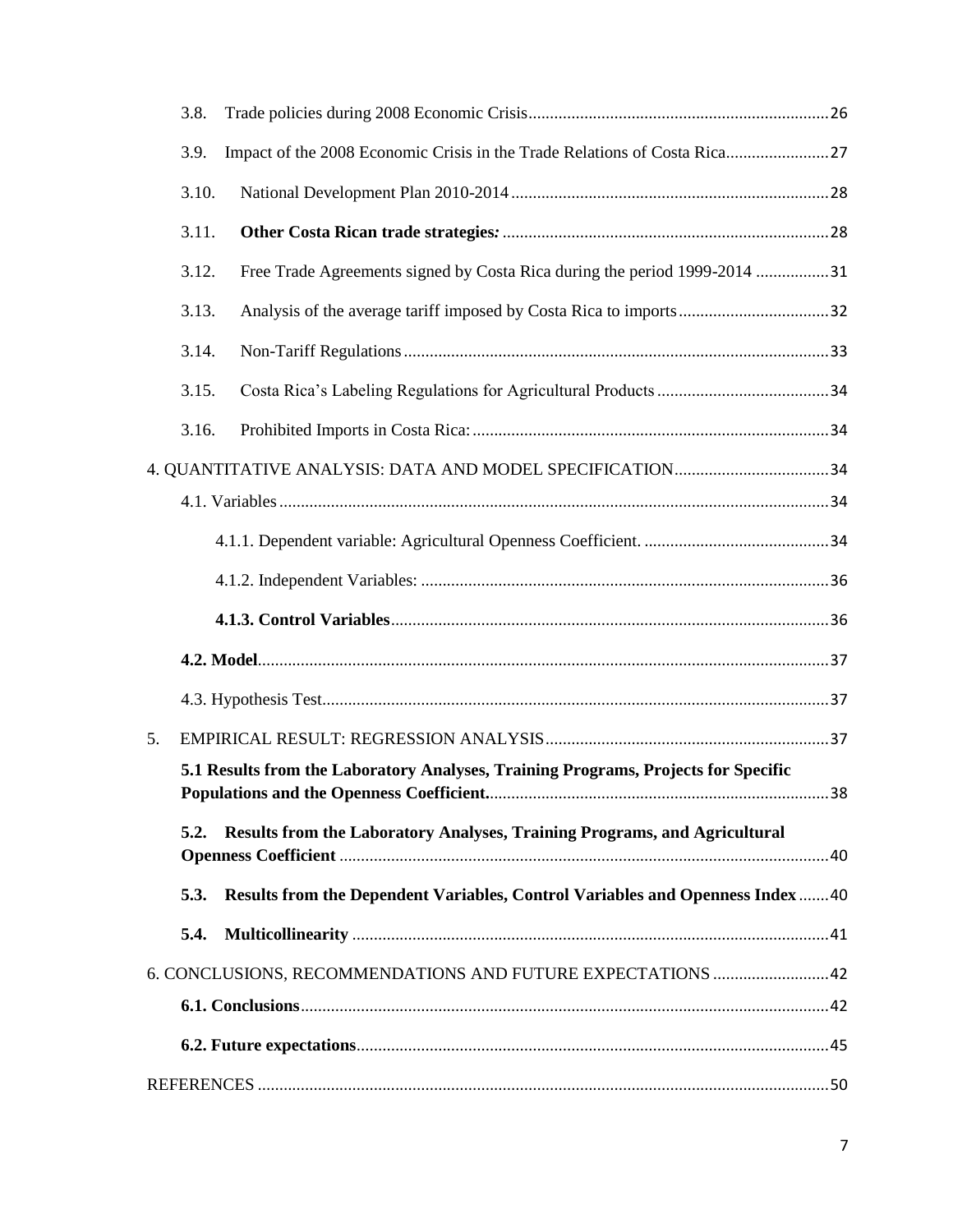|    | 3.8.  |                                                                                    |    |  |  |
|----|-------|------------------------------------------------------------------------------------|----|--|--|
|    | 3.9.  | Impact of the 2008 Economic Crisis in the Trade Relations of Costa Rica27          |    |  |  |
|    | 3.10. |                                                                                    |    |  |  |
|    | 3.11. |                                                                                    |    |  |  |
|    | 3.12. | Free Trade Agreements signed by Costa Rica during the period 1999-2014 31          |    |  |  |
|    | 3.13. |                                                                                    |    |  |  |
|    | 3.14. |                                                                                    |    |  |  |
|    | 3.15. |                                                                                    |    |  |  |
|    | 3.16. |                                                                                    |    |  |  |
|    |       |                                                                                    |    |  |  |
|    |       |                                                                                    |    |  |  |
|    |       |                                                                                    |    |  |  |
|    |       |                                                                                    |    |  |  |
|    |       |                                                                                    |    |  |  |
|    |       |                                                                                    |    |  |  |
|    |       |                                                                                    |    |  |  |
| 5. |       |                                                                                    |    |  |  |
|    |       | 5.1 Results from the Laboratory Analyses, Training Programs, Projects for Specific | 38 |  |  |
|    |       |                                                                                    |    |  |  |
|    | 5.2.  | Results from the Laboratory Analyses, Training Programs, and Agricultural          |    |  |  |
|    | 5.3.  | Results from the Dependent Variables, Control Variables and Openness Index 40      |    |  |  |
|    | 5.4.  |                                                                                    |    |  |  |
|    |       | 6. CONCLUSIONS, RECOMMENDATIONS AND FUTURE EXPECTATIONS  42                        |    |  |  |
|    |       |                                                                                    |    |  |  |
|    |       |                                                                                    |    |  |  |
|    |       |                                                                                    |    |  |  |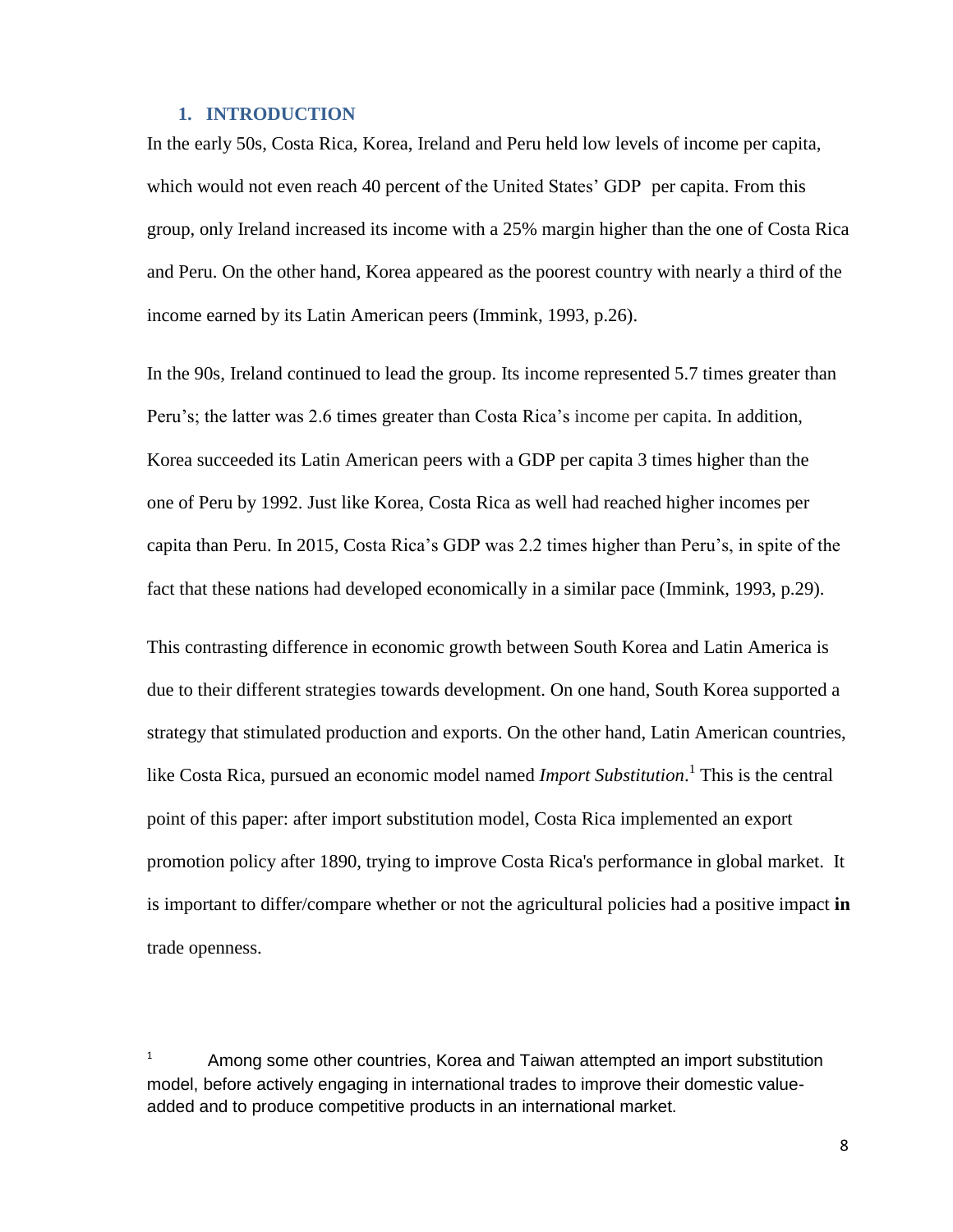#### **1. INTRODUCTION**

<span id="page-7-0"></span>In the early 50s, Costa Rica, Korea, Ireland and Peru held low levels of income per capita, which would not even reach 40 percent of the United States' GDP per capita. From this group, only Ireland increased its income with a 25% margin higher than the one of Costa Rica and Peru. On the other hand, Korea appeared as the poorest country with nearly a third of the income earned by its Latin American peers (Immink, 1993, p.26).

In the 90s, Ireland continued to lead the group. Its income represented 5.7 times greater than Peru's; the latter was 2.6 times greater than Costa Rica's income per capita. In addition, Korea succeeded its Latin American peers with a GDP per capita 3 times higher than the one of Peru by 1992. Just like Korea, Costa Rica as well had reached higher incomes per capita than Peru. In 2015, Costa Rica's GDP was 2.2 times higher than Peru's, in spite of the fact that these nations had developed economically in a similar pace (Immink, 1993, p.29).

This contrasting difference in economic growth between South Korea and Latin America is due to their different strategies towards development. On one hand, South Korea supported a strategy that stimulated production and exports. On the other hand, Latin American countries, like Costa Rica, pursued an economic model named *Import Substitution*. 1 This is the central point of this paper: after import substitution model, Costa Rica implemented an export promotion policy after 1890, trying to improve Costa Rica's performance in global market. It is important to differ/compare whether or not the agricultural policies had a positive impact **in** trade openness.

 $1$  Among some other countries, Korea and Taiwan attempted an import substitution model, before actively engaging in international trades to improve their domestic valueadded and to produce competitive products in an international market.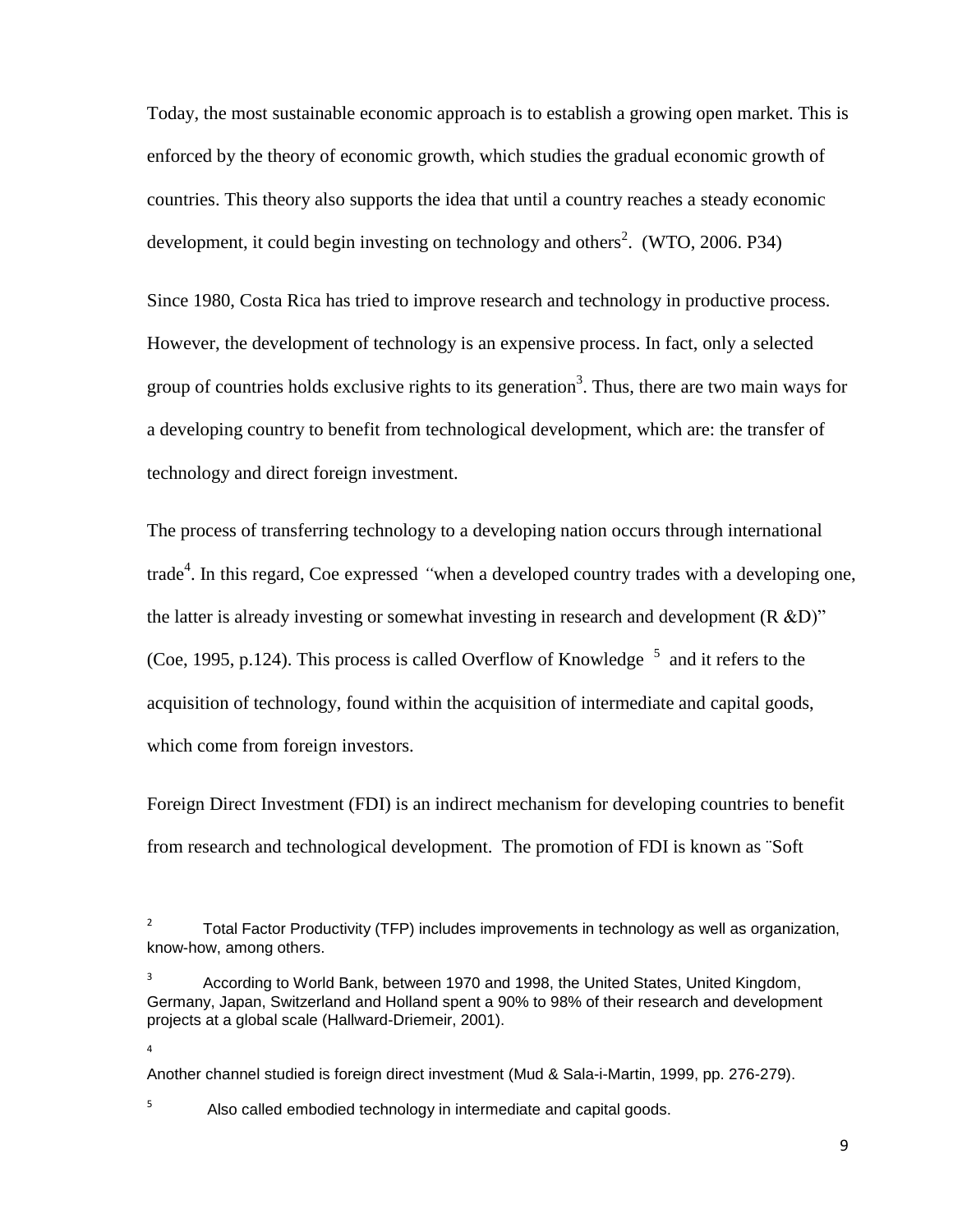Today, the most sustainable economic approach is to establish a growing open market. This is enforced by the theory of economic growth, which studies the gradual economic growth of countries. This theory also supports the idea that until a country reaches a steady economic development, it could begin investing on technology and others<sup>2</sup>. (WTO, 2006. P34)

Since 1980, Costa Rica has tried to improve research and technology in productive process. However, the development of technology is an expensive process. In fact, only a selected group of countries holds exclusive rights to its generation<sup>3</sup>. Thus, there are two main ways for a developing country to benefit from technological development, which are: the transfer of technology and direct foreign investment.

The process of transferring technology to a developing nation occurs through international trade<sup>4</sup>. In this regard, Coe expressed "when a developed country trades with a developing one, the latter is already investing or somewhat investing in research and development (R &D)" (Coe, 1995, p.124). This process is called Overflow of Knowledge  $<sup>5</sup>$  and it refers to the</sup> acquisition of technology, found within the acquisition of intermediate and capital goods, which come from foreign investors.

Foreign Direct Investment (FDI) is an indirect mechanism for developing countries to benefit from research and technological development. The promotion of FDI is known as ¨Soft

3 According to World Bank, between 1970 and 1998, the United States, United Kingdom, Germany, Japan, Switzerland and Holland spent a 90% to 98% of their research and development projects at a global scale (Hallward-Driemeir, 2001).

Another channel studied is foreign direct investment (Mud & Sala-i-Martin, 1999, pp. 276-279).

5 Also called embodied technology in intermediate and capital goods.

4

<sup>2</sup> Total Factor Productivity (TFP) includes improvements in technology as well as organization, know-how, among others.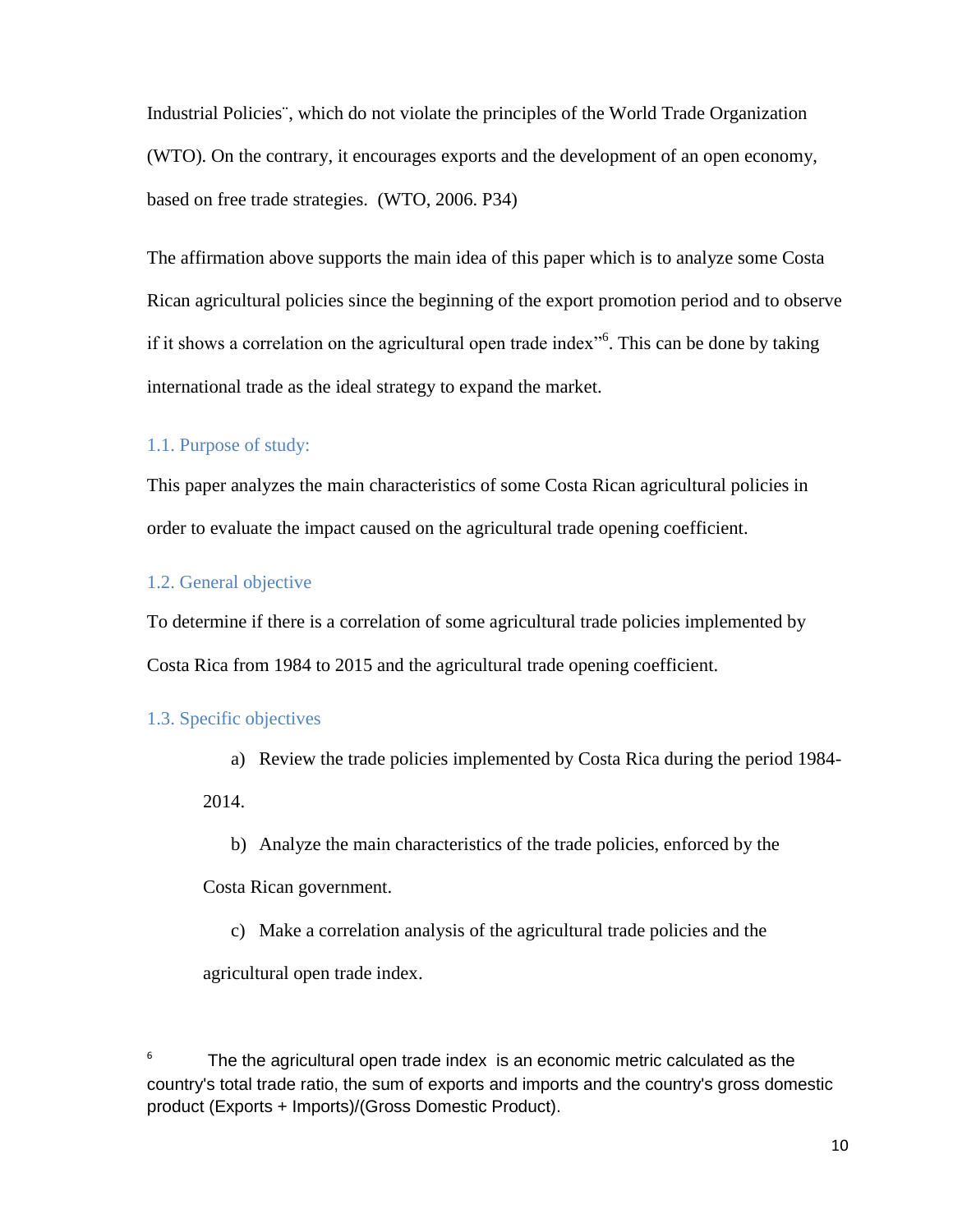Industrial Policies¨, which do not violate the principles of the World Trade Organization (WTO). On the contrary, it encourages exports and the development of an open economy, based on free trade strategies. (WTO, 2006. P34)

The affirmation above supports the main idea of this paper which is to analyze some Costa Rican agricultural policies since the beginning of the export promotion period and to observe if it shows a correlation on the agricultural open trade index<sup>106</sup>. This can be done by taking international trade as the ideal strategy to expand the market.

## <span id="page-9-0"></span>1.1. Purpose of study:

This paper analyzes the main characteristics of some Costa Rican agricultural policies in order to evaluate the impact caused on the agricultural trade opening coefficient.

## <span id="page-9-1"></span>1.2. General objective

To determine if there is a correlation of some agricultural trade policies implemented by Costa Rica from 1984 to 2015 and the agricultural trade opening coefficient.

#### <span id="page-9-2"></span>1.3. Specific objectives

a) Review the trade policies implemented by Costa Rica during the period 1984-

2014.

b) Analyze the main characteristics of the trade policies, enforced by the

Costa Rican government.

c) Make a correlation analysis of the agricultural trade policies and the

agricultural open trade index.

 $6$  The the agricultural open trade index is an economic metric calculated as the country's total trade ratio, the sum of exports and imports and the country's gross domestic product (Exports + Imports)/(Gross Domestic Product).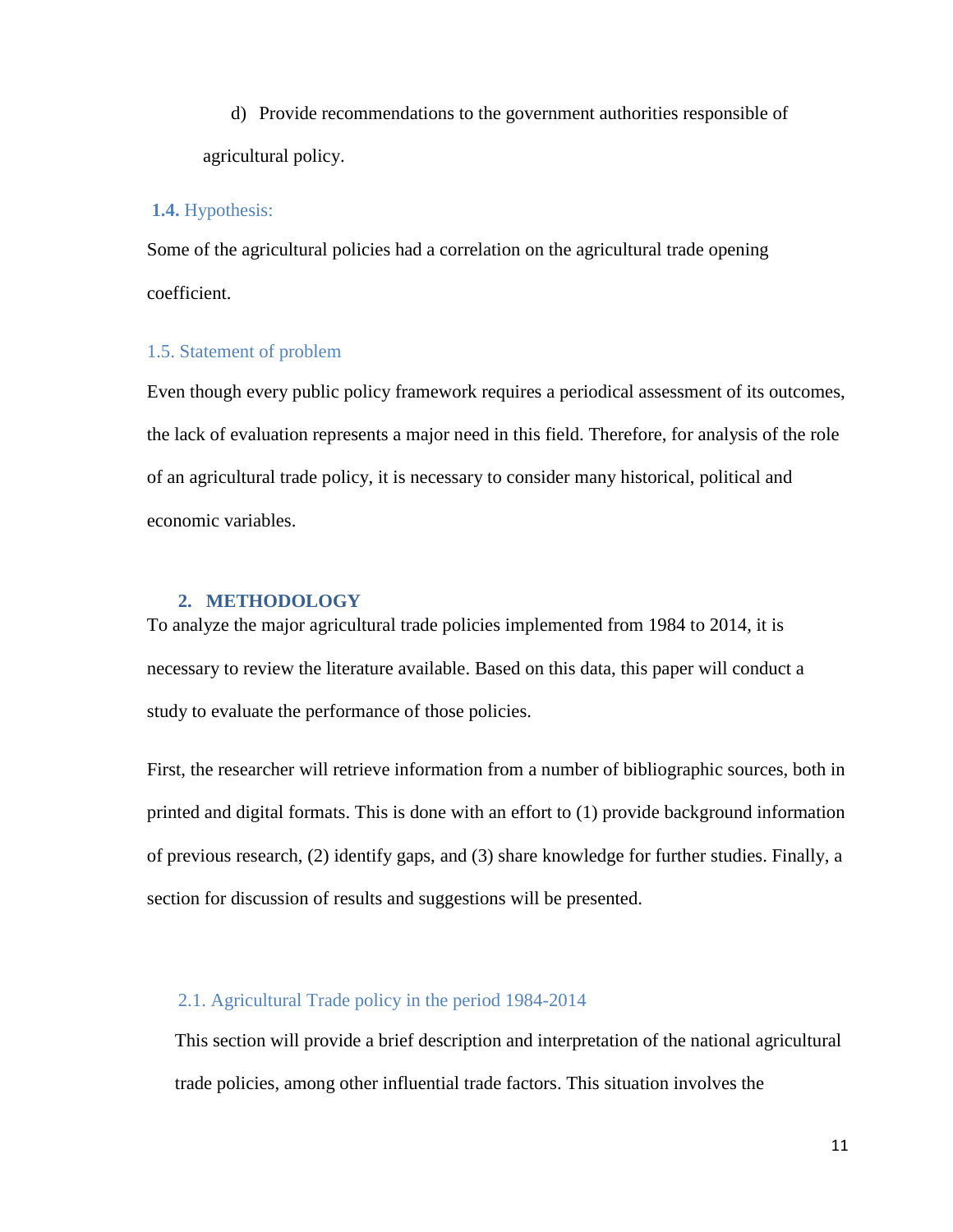d) Provide recommendations to the government authorities responsible of agricultural policy.

#### <span id="page-10-0"></span>**1.4.** Hypothesis:

Some of the agricultural policies had a correlation on the agricultural trade opening coefficient.

## <span id="page-10-1"></span>1.5. Statement of problem

Even though every public policy framework requires a periodical assessment of its outcomes, the lack of evaluation represents a major need in this field. Therefore, for analysis of the role of an agricultural trade policy, it is necessary to consider many historical, political and economic variables.

#### <span id="page-10-2"></span>**2. METHODOLOGY**

To analyze the major agricultural trade policies implemented from 1984 to 2014, it is necessary to review the literature available. Based on this data, this paper will conduct a study to evaluate the performance of those policies.

First, the researcher will retrieve information from a number of bibliographic sources, both in printed and digital formats. This is done with an effort to (1) provide background information of previous research, (2) identify gaps, and (3) share knowledge for further studies. Finally, a section for discussion of results and suggestions will be presented.

## <span id="page-10-3"></span>2.1. Agricultural Trade policy in the period 1984-2014

This section will provide a brief description and interpretation of the national agricultural trade policies, among other influential trade factors. This situation involves the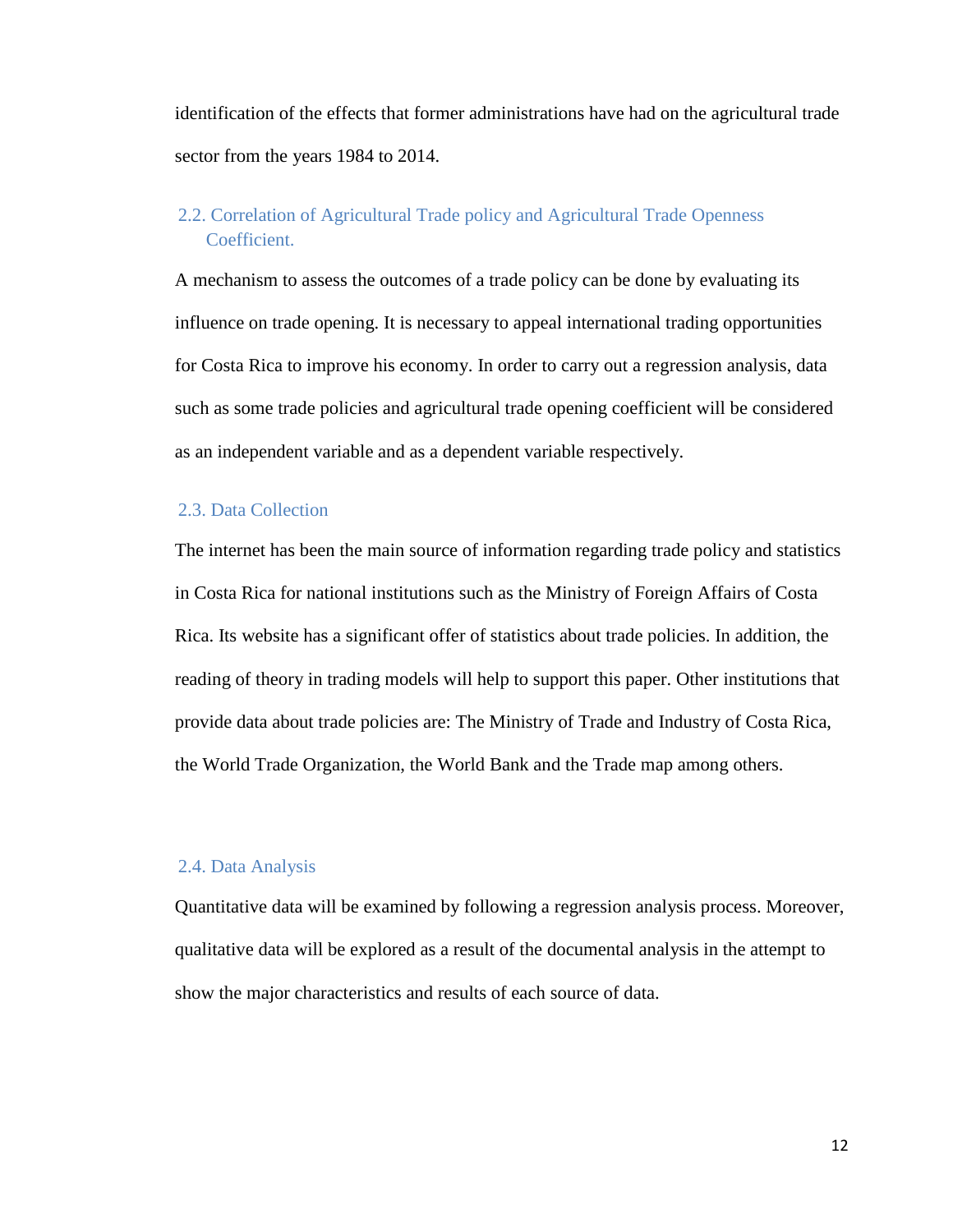identification of the effects that former administrations have had on the agricultural trade sector from the years 1984 to 2014.

## <span id="page-11-0"></span>2.2. Correlation of Agricultural Trade policy and Agricultural Trade Openness Coefficient.

A mechanism to assess the outcomes of a trade policy can be done by evaluating its influence on trade opening. It is necessary to appeal international trading opportunities for Costa Rica to improve his economy. In order to carry out a regression analysis, data such as some trade policies and agricultural trade opening coefficient will be considered as an independent variable and as a dependent variable respectively.

## <span id="page-11-1"></span>2.3. Data Collection

The internet has been the main source of information regarding trade policy and statistics in Costa Rica for national institutions such as the Ministry of Foreign Affairs of Costa Rica. Its website has a significant offer of statistics about trade policies. In addition, the reading of theory in trading models will help to support this paper. Other institutions that provide data about trade policies are: The Ministry of Trade and Industry of Costa Rica, the World Trade Organization, the World Bank and the Trade map among others.

#### <span id="page-11-2"></span>2.4. Data Analysis

Quantitative data will be examined by following a regression analysis process. Moreover, qualitative data will be explored as a result of the documental analysis in the attempt to show the major characteristics and results of each source of data.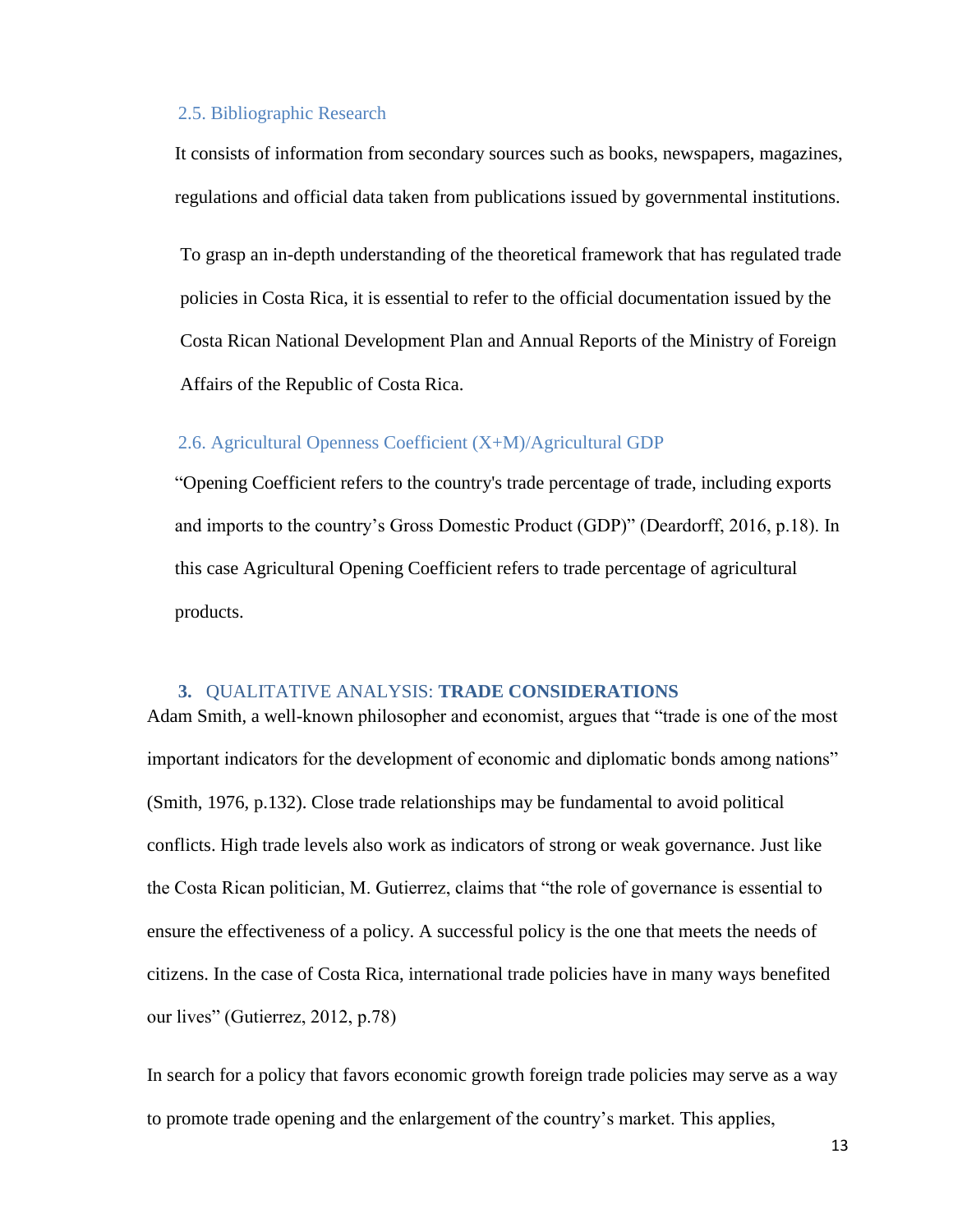#### <span id="page-12-0"></span>2.5. Bibliographic Research

It consists of information from secondary sources such as books, newspapers, magazines, regulations and official data taken from publications issued by governmental institutions.

To grasp an in-depth understanding of the theoretical framework that has regulated trade policies in Costa Rica, it is essential to refer to the official documentation issued by the Costa Rican National Development Plan and Annual Reports of the Ministry of Foreign Affairs of the Republic of Costa Rica.

#### <span id="page-12-1"></span>2.6. Agricultural Openness Coefficient (X+M)/Agricultural GDP

"Opening Coefficient refers to the country's trade percentage of trade, including exports and imports to the country's Gross Domestic Product (GDP)" (Deardorff, 2016, p.18). In this case Agricultural Opening Coefficient refers to trade percentage of agricultural products.

#### <span id="page-12-2"></span>**3.** QUALITATIVE ANALYSIS: **TRADE CONSIDERATIONS**

Adam Smith, a well-known philosopher and economist, argues that "trade is one of the most important indicators for the development of economic and diplomatic bonds among nations" (Smith, 1976, p.132). Close trade relationships may be fundamental to avoid political conflicts. High trade levels also work as indicators of strong or weak governance. Just like the Costa Rican politician, M. Gutierrez, claims that "the role of governance is essential to ensure the effectiveness of a policy. A successful policy is the one that meets the needs of citizens. In the case of Costa Rica, international trade policies have in many ways benefited our lives" (Gutierrez, 2012, p.78)

In search for a policy that favors economic growth foreign trade policies may serve as a way to promote trade opening and the enlargement of the country's market. This applies,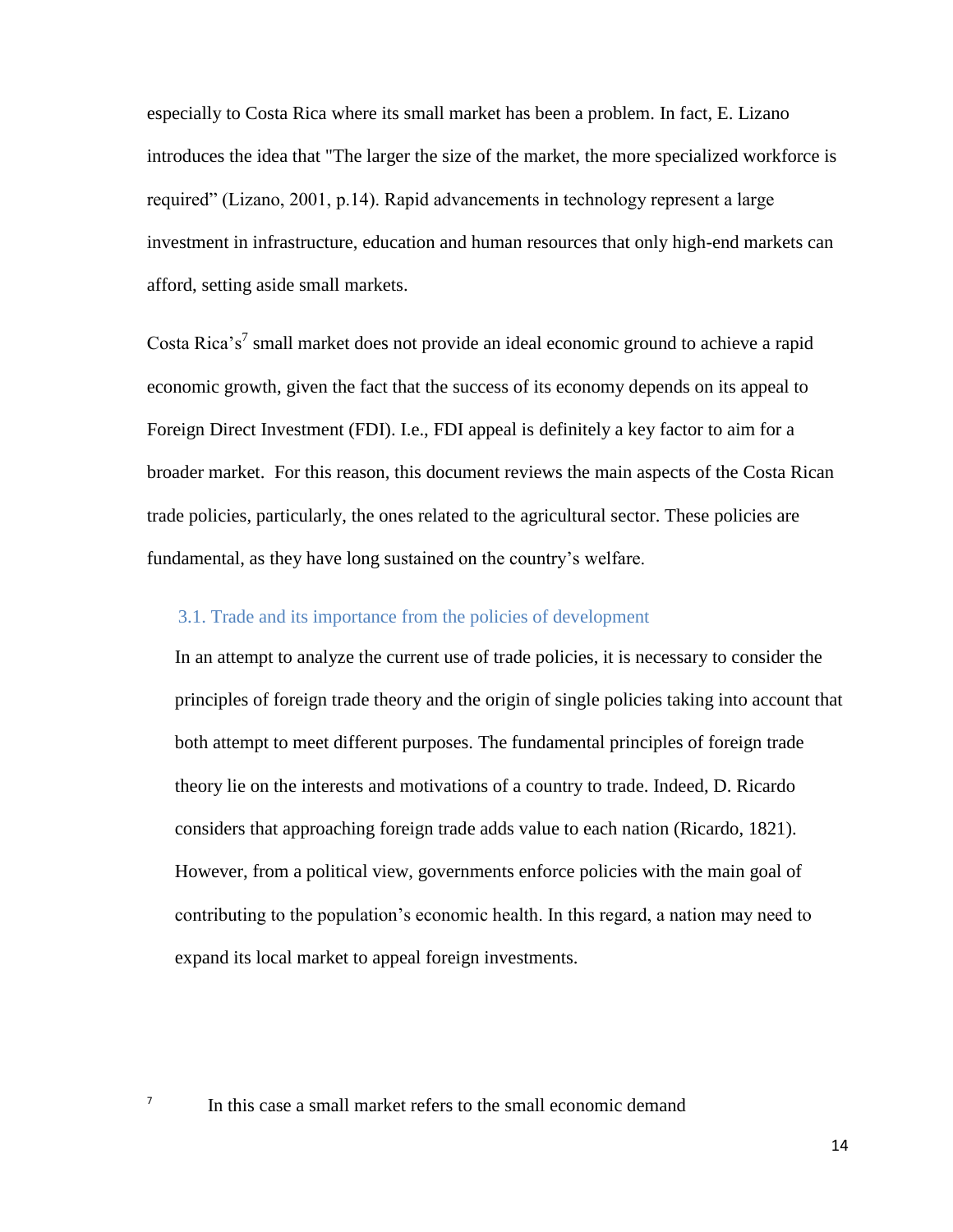especially to Costa Rica where its small market has been a problem. In fact, E. Lizano introduces the idea that "The larger the size of the market, the more specialized workforce is required" (Lizano, 2001, p.14). Rapid advancements in technology represent a large investment in infrastructure, education and human resources that only high-end markets can afford, setting aside small markets.

Costa Rica's<sup>7</sup> small market does not provide an ideal economic ground to achieve a rapid economic growth, given the fact that the success of its economy depends on its appeal to Foreign Direct Investment (FDI). I.e., FDI appeal is definitely a key factor to aim for a broader market. For this reason, this document reviews the main aspects of the Costa Rican trade policies, particularly, the ones related to the agricultural sector. These policies are fundamental, as they have long sustained on the country's welfare.

## <span id="page-13-0"></span>3.1. Trade and its importance from the policies of development

In an attempt to analyze the current use of trade policies, it is necessary to consider the principles of foreign trade theory and the origin of single policies taking into account that both attempt to meet different purposes. The fundamental principles of foreign trade theory lie on the interests and motivations of a country to trade. Indeed, D. Ricardo considers that approaching foreign trade adds value to each nation (Ricardo, 1821). However, from a political view, governments enforce policies with the main goal of contributing to the population's economic health. In this regard, a nation may need to expand its local market to appeal foreign investments.

In this case a small market refers to the small economic demand

7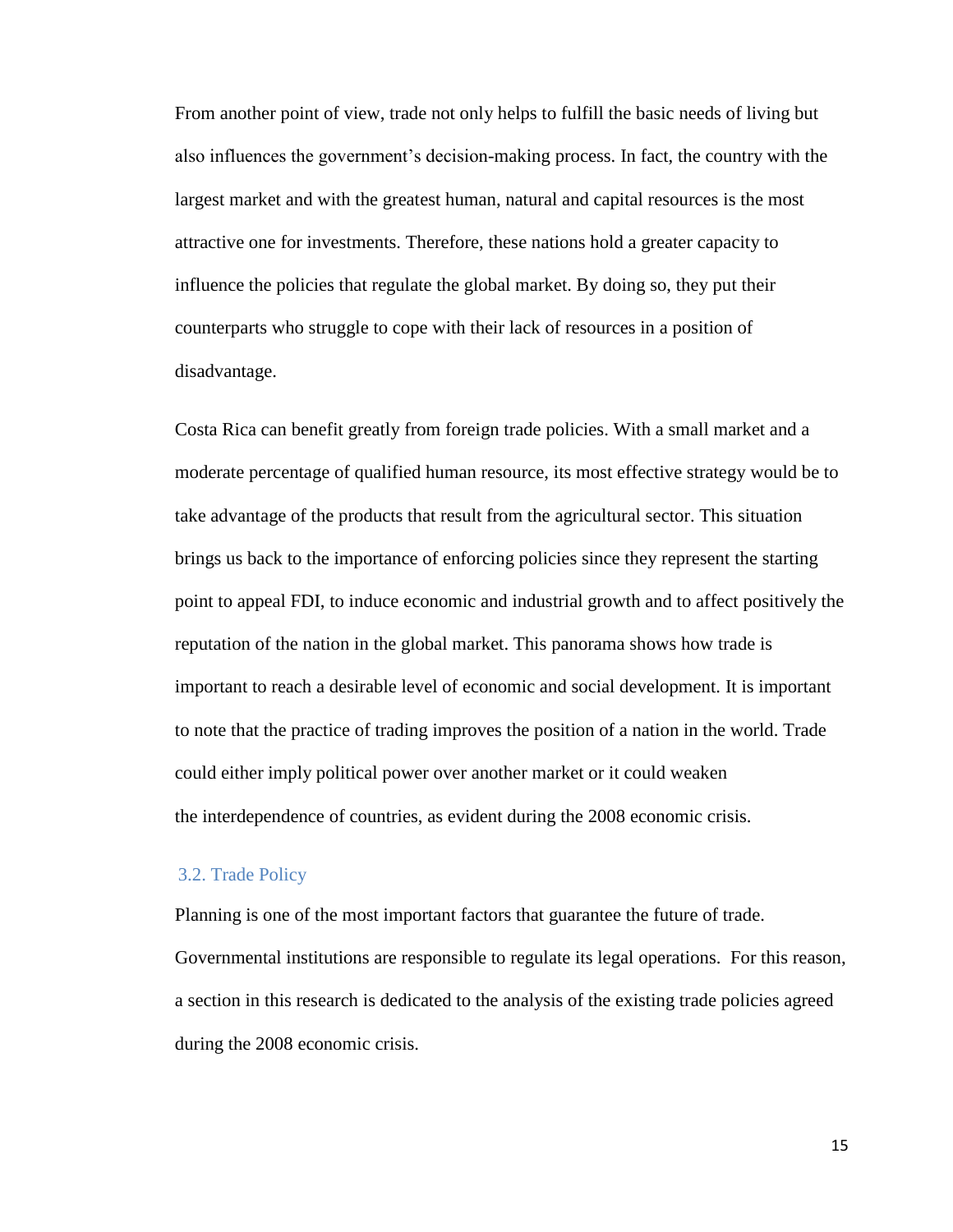From another point of view, trade not only helps to fulfill the basic needs of living but also influences the government's decision-making process. In fact, the country with the largest market and with the greatest human, natural and capital resources is the most attractive one for investments. Therefore, these nations hold a greater capacity to influence the policies that regulate the global market. By doing so, they put their counterparts who struggle to cope with their lack of resources in a position of disadvantage.

Costa Rica can benefit greatly from foreign trade policies. With a small market and a moderate percentage of qualified human resource, its most effective strategy would be to take advantage of the products that result from the agricultural sector. This situation brings us back to the importance of enforcing policies since they represent the starting point to appeal FDI, to induce economic and industrial growth and to affect positively the reputation of the nation in the global market. This panorama shows how trade is important to reach a desirable level of economic and social development. It is important to note that the practice of trading improves the position of a nation in the world. Trade could either imply political power over another market or it could weaken the interdependence of countries, as evident during the 2008 economic crisis.

#### <span id="page-14-0"></span>3.2. Trade Policy

Planning is one of the most important factors that guarantee the future of trade. Governmental institutions are responsible to regulate its legal operations. For this reason, a section in this research is dedicated to the analysis of the existing trade policies agreed during the 2008 economic crisis.

15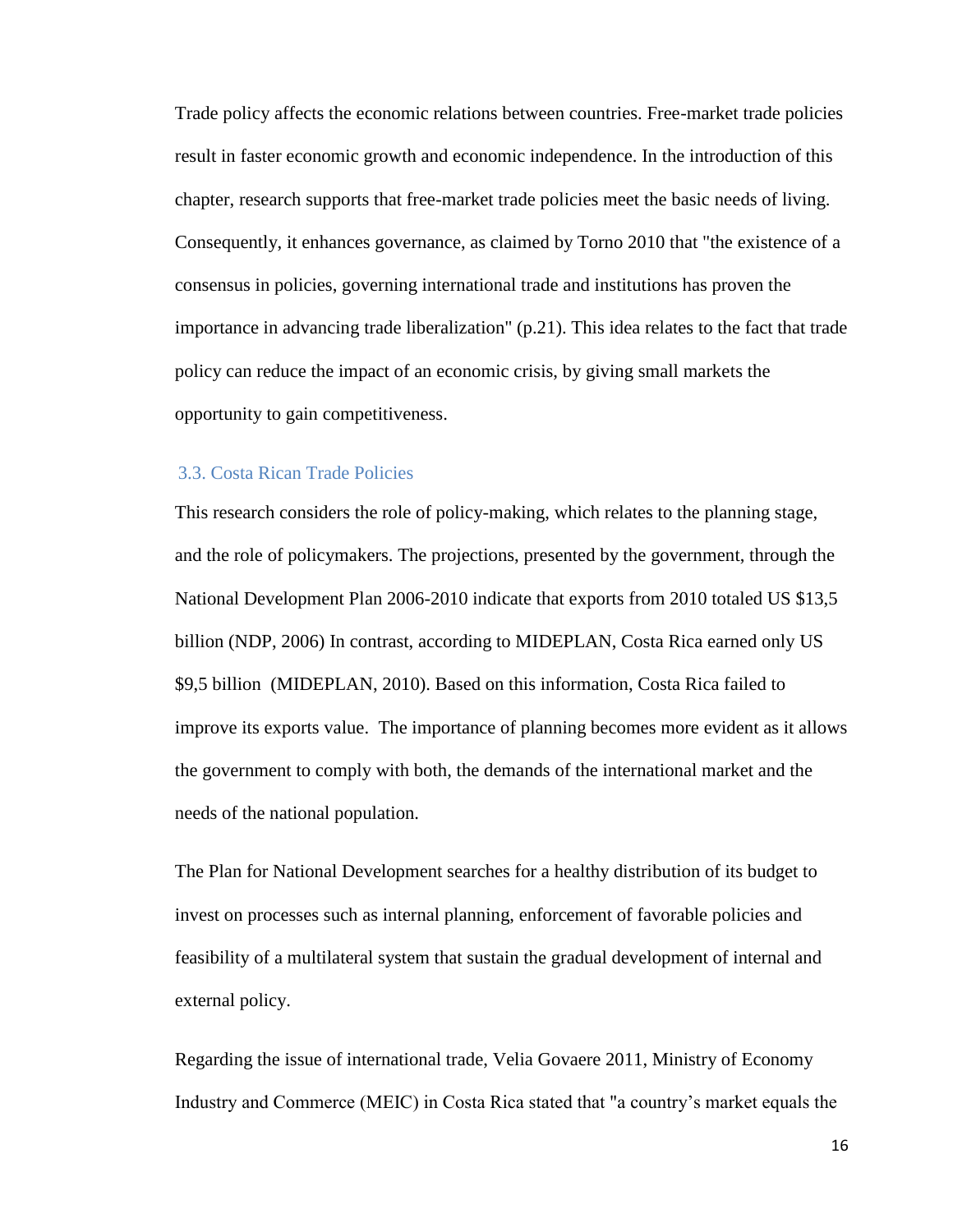Trade policy affects the economic relations between countries. Free-market trade policies result in faster economic growth and economic independence. In the introduction of this chapter, research supports that free-market trade policies meet the basic needs of living. Consequently, it enhances governance, as claimed by Torno 2010 that "the existence of a consensus in policies, governing international trade and institutions has proven the importance in advancing trade liberalization" (p.21). This idea relates to the fact that trade policy can reduce the impact of an economic crisis, by giving small markets the opportunity to gain competitiveness.

#### <span id="page-15-0"></span>3.3. Costa Rican Trade Policies

This research considers the role of policy-making, which relates to the planning stage, and the role of policymakers. The projections, presented by the government, through the National Development Plan 2006-2010 indicate that exports from 2010 totaled US \$13,5 billion (NDP, 2006) In contrast, according to MIDEPLAN, Costa Rica earned only US \$9,5 billion (MIDEPLAN, 2010). Based on this information, Costa Rica failed to improve its exports value. The importance of planning becomes more evident as it allows the government to comply with both, the demands of the international market and the needs of the national population.

The Plan for National Development searches for a healthy distribution of its budget to invest on processes such as internal planning, enforcement of favorable policies and feasibility of a multilateral system that sustain the gradual development of internal and external policy.

Regarding the issue of international trade, Velia Govaere 2011, Ministry of Economy Industry and Commerce (MEIC) in Costa Rica stated that "a country's market equals the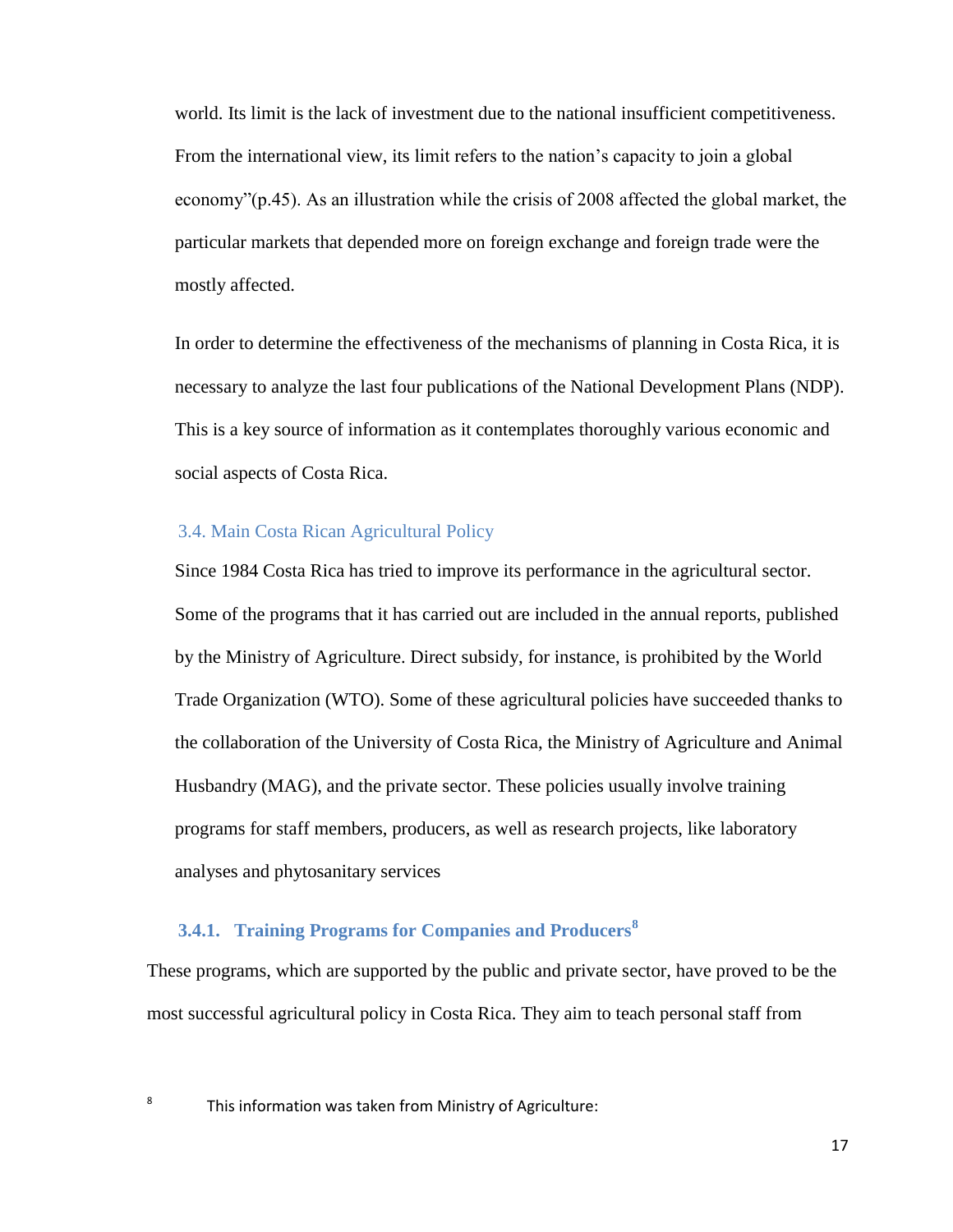world. Its limit is the lack of investment due to the national insufficient competitiveness. From the international view, its limit refers to the nation's capacity to join a global economy"(p.45). As an illustration while the crisis of 2008 affected the global market, the particular markets that depended more on foreign exchange and foreign trade were the mostly affected.

In order to determine the effectiveness of the mechanisms of planning in Costa Rica, it is necessary to analyze the last four publications of the National Development Plans (NDP). This is a key source of information as it contemplates thoroughly various economic and social aspects of Costa Rica.

## <span id="page-16-0"></span>3.4. Main Costa Rican Agricultural Policy

Since 1984 Costa Rica has tried to improve its performance in the agricultural sector. Some of the programs that it has carried out are included in the annual reports, published by the Ministry of Agriculture. Direct subsidy, for instance, is prohibited by the World Trade Organization (WTO). Some of these agricultural policies have succeeded thanks to the collaboration of the University of Costa Rica, the Ministry of Agriculture and Animal Husbandry (MAG), and the private sector. These policies usually involve training programs for staff members, producers, as well as research projects, like laboratory analyses and phytosanitary services

## <span id="page-16-1"></span>**3.4.1. Training Programs for Companies and Producers<sup>8</sup>**

These programs, which are supported by the public and private sector, have proved to be the most successful agricultural policy in Costa Rica. They aim to teach personal staff from

8

This information was taken from Ministry of Agriculture: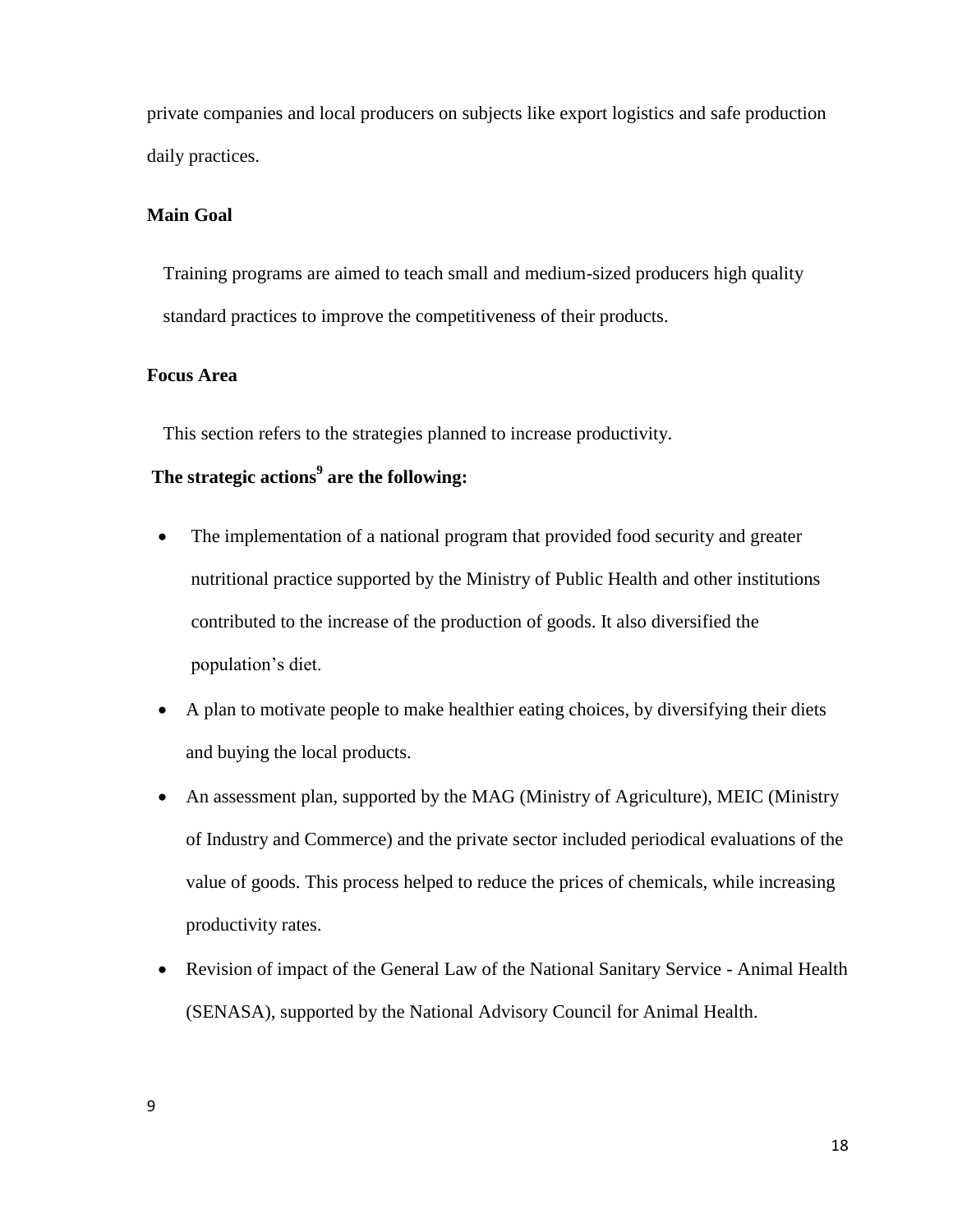private companies and local producers on subjects like export logistics and safe production daily practices.

## **Main Goal**

Training programs are aimed to teach small and medium-sized producers high quality standard practices to improve the competitiveness of their products.

#### **Focus Area**

This section refers to the strategies planned to increase productivity.

## **The strategic actions<sup>9</sup> are the following:**

- The implementation of a national program that provided food security and greater nutritional practice supported by the Ministry of Public Health and other institutions contributed to the increase of the production of goods. It also diversified the population's diet.
- A plan to motivate people to make healthier eating choices, by diversifying their diets and buying the local products.
- An assessment plan, supported by the MAG (Ministry of Agriculture), MEIC (Ministry of Industry and Commerce) and the private sector included periodical evaluations of the value of goods. This process helped to reduce the prices of chemicals, while increasing productivity rates.
- Revision of impact of the General Law of the National Sanitary Service Animal Health (SENASA), supported by the National Advisory Council for Animal Health.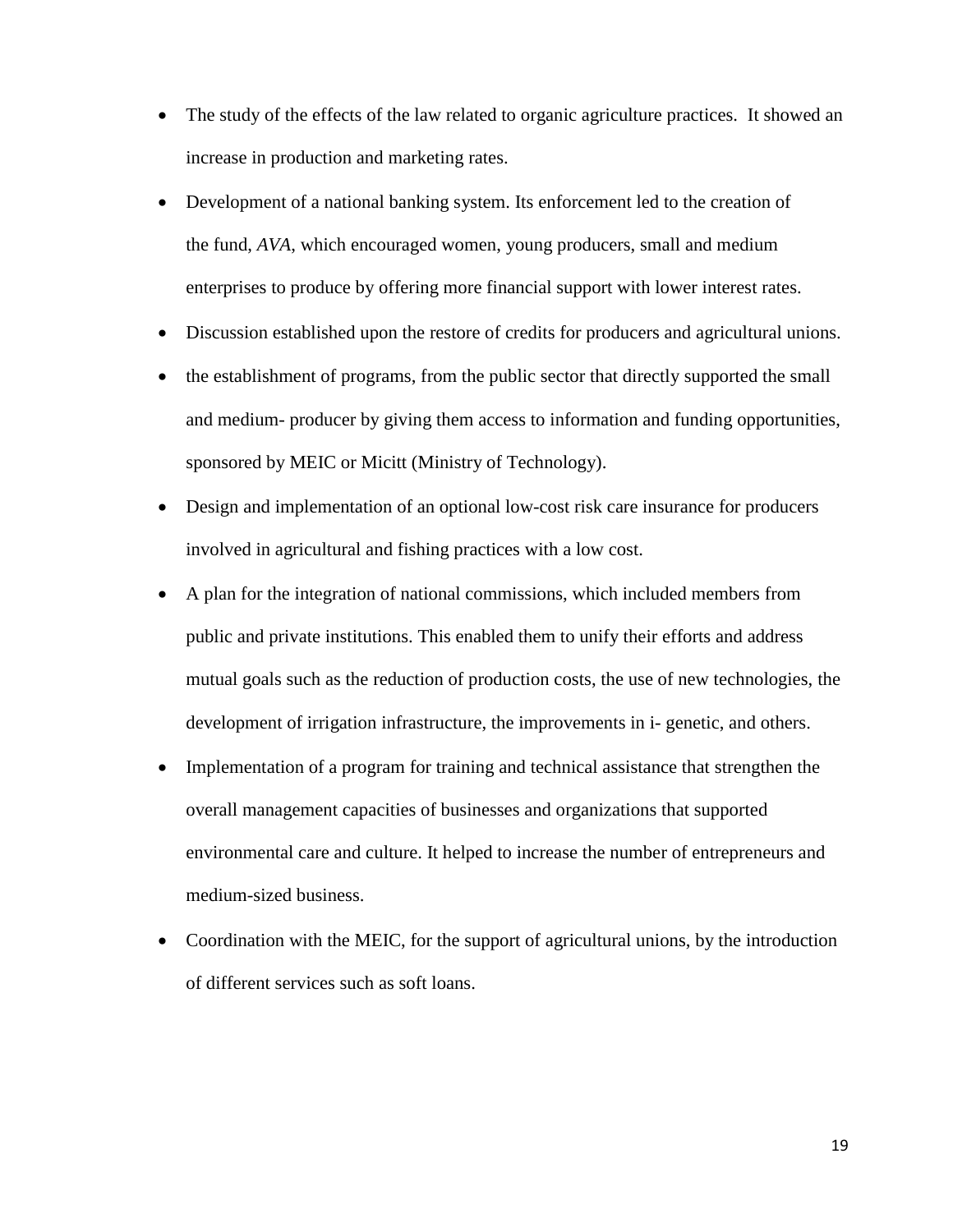- The study of the effects of the law related to organic agriculture practices. It showed an increase in production and marketing rates.
- Development of a national banking system. Its enforcement led to the creation of the fund, *AVA*, which encouraged women, young producers, small and medium enterprises to produce by offering more financial support with lower interest rates.
- Discussion established upon the restore of credits for producers and agricultural unions.
- the establishment of programs, from the public sector that directly supported the small and medium- producer by giving them access to information and funding opportunities, sponsored by MEIC or Micitt (Ministry of Technology).
- Design and implementation of an optional low-cost risk care insurance for producers involved in agricultural and fishing practices with a low cost.
- A plan for the integration of national commissions, which included members from public and private institutions. This enabled them to unify their efforts and address mutual goals such as the reduction of production costs, the use of new technologies, the development of irrigation infrastructure, the improvements in i- genetic, and others.
- Implementation of a program for training and technical assistance that strengthen the overall management capacities of businesses and organizations that supported environmental care and culture. It helped to increase the number of entrepreneurs and medium-sized business.
- Coordination with the MEIC, for the support of agricultural unions, by the introduction of different services such as soft loans.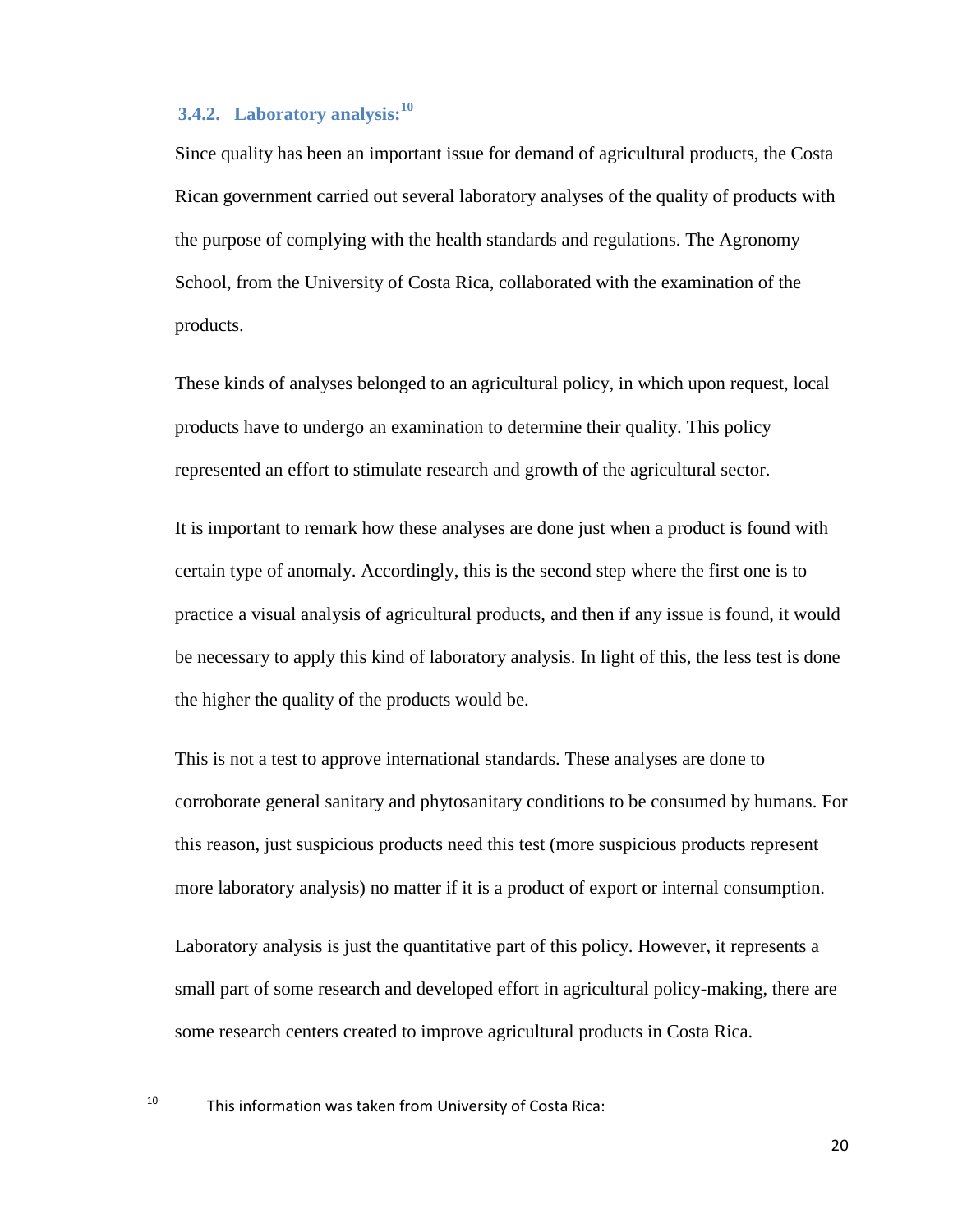## <span id="page-19-0"></span>**3.4.2. Laboratory analysis:<sup>10</sup>**

Since quality has been an important issue for demand of agricultural products, the Costa Rican government carried out several laboratory analyses of the quality of products with the purpose of complying with the health standards and regulations. The Agronomy School, from the University of Costa Rica, collaborated with the examination of the products.

These kinds of analyses belonged to an agricultural policy, in which upon request, local products have to undergo an examination to determine their quality. This policy represented an effort to stimulate research and growth of the agricultural sector.

It is important to remark how these analyses are done just when a product is found with certain type of anomaly. Accordingly, this is the second step where the first one is to practice a visual analysis of agricultural products, and then if any issue is found, it would be necessary to apply this kind of laboratory analysis. In light of this, the less test is done the higher the quality of the products would be.

This is not a test to approve international standards. These analyses are done to corroborate general sanitary and phytosanitary conditions to be consumed by humans. For this reason, just suspicious products need this test (more suspicious products represent more laboratory analysis) no matter if it is a product of export or internal consumption.

Laboratory analysis is just the quantitative part of this policy. However, it represents a small part of some research and developed effort in agricultural policy-making, there are some research centers created to improve agricultural products in Costa Rica.

<sup>10</sup> This information was taken from University of Costa Rica: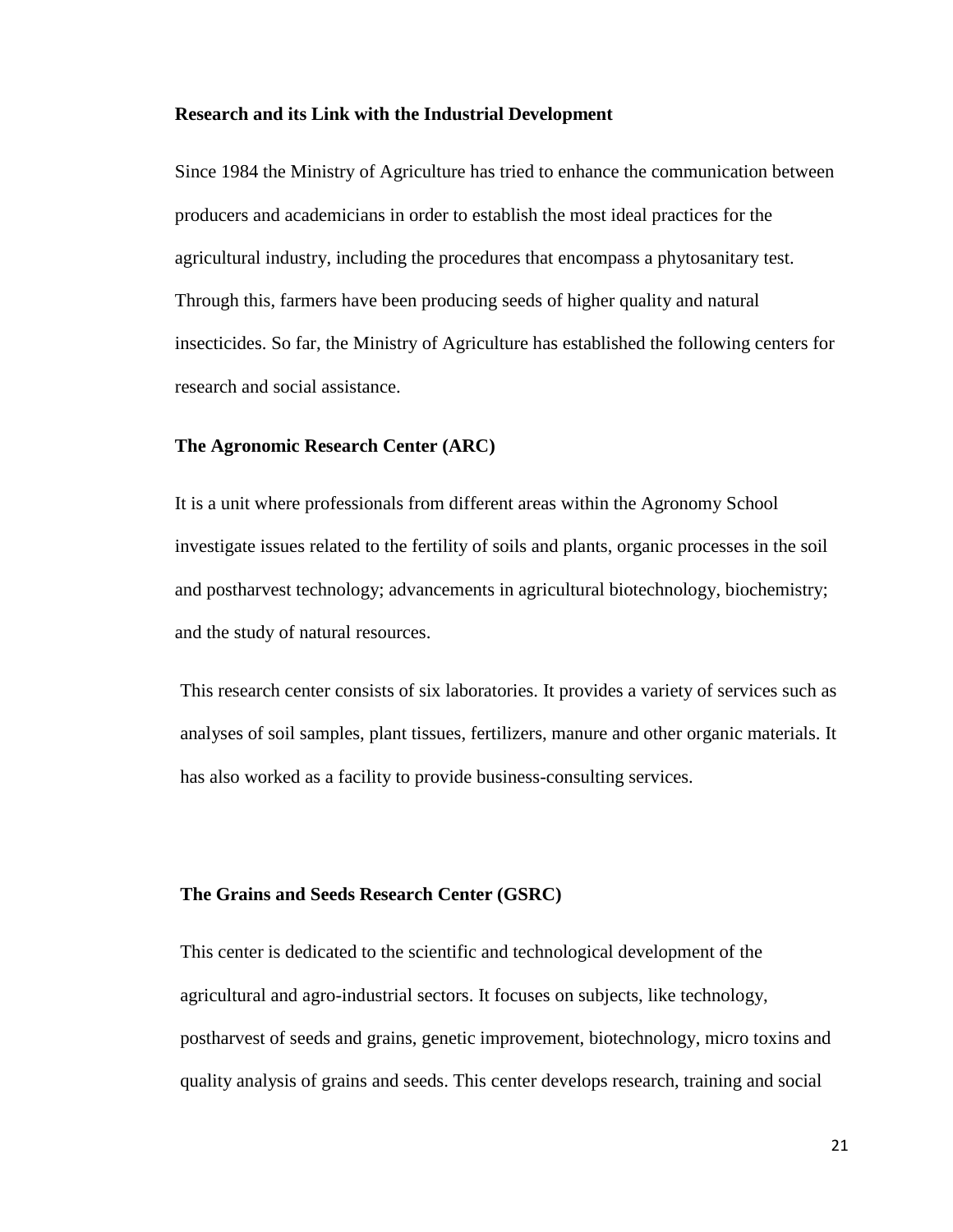#### **Research and its Link with the Industrial Development**

Since 1984 the Ministry of Agriculture has tried to enhance the communication between producers and academicians in order to establish the most ideal practices for the agricultural industry, including the procedures that encompass a phytosanitary test. Through this, farmers have been producing seeds of higher quality and natural insecticides. So far, the Ministry of Agriculture has established the following centers for research and social assistance.

#### **The Agronomic Research Center (ARC)**

It is a unit where professionals from different areas within the Agronomy School investigate issues related to the fertility of soils and plants, organic processes in the soil and postharvest technology; advancements in agricultural biotechnology, biochemistry; and the study of natural resources.

This research center consists of six laboratories. It provides a variety of services such as analyses of soil samples, plant tissues, fertilizers, manure and other organic materials. It has also worked as a facility to provide business-consulting services.

#### **The Grains and Seeds Research Center (GSRC)**

This center is dedicated to the scientific and technological development of the agricultural and agro-industrial sectors. It focuses on subjects, like technology, postharvest of seeds and grains, genetic improvement, biotechnology, micro toxins and quality analysis of grains and seeds. This center develops research, training and social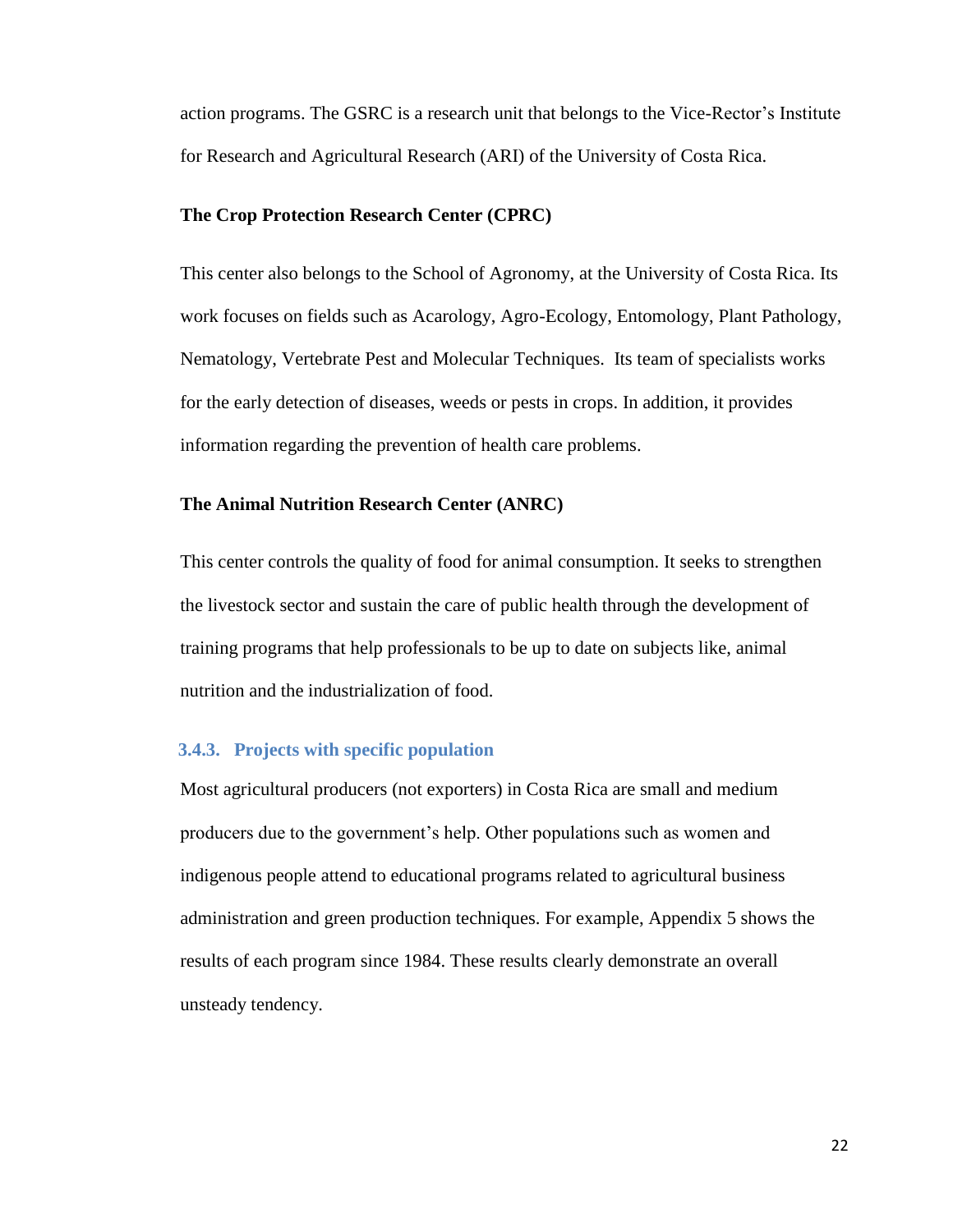action programs. The GSRC is a research unit that belongs to the Vice-Rector's Institute for Research and Agricultural Research (ARI) of the University of Costa Rica.

## **The Crop Protection Research Center (CPRC)**

This center also belongs to the School of Agronomy, at the University of Costa Rica. Its work focuses on fields such as Acarology, Agro-Ecology, Entomology, Plant Pathology, Nematology, Vertebrate Pest and Molecular Techniques. Its team of specialists works for the early detection of diseases, weeds or pests in crops. In addition, it provides information regarding the prevention of health care problems.

#### **The Animal Nutrition Research Center (ANRC)**

This center controls the quality of food for animal consumption. It seeks to strengthen the livestock sector and sustain the care of public health through the development of training programs that help professionals to be up to date on subjects like, animal nutrition and the industrialization of food.

#### <span id="page-21-0"></span>**3.4.3. Projects with specific population**

Most agricultural producers (not exporters) in Costa Rica are small and medium producers due to the government's help. Other populations such as women and indigenous people attend to educational programs related to agricultural business administration and green production techniques. For example, Appendix 5 shows the results of each program since 1984. These results clearly demonstrate an overall unsteady tendency.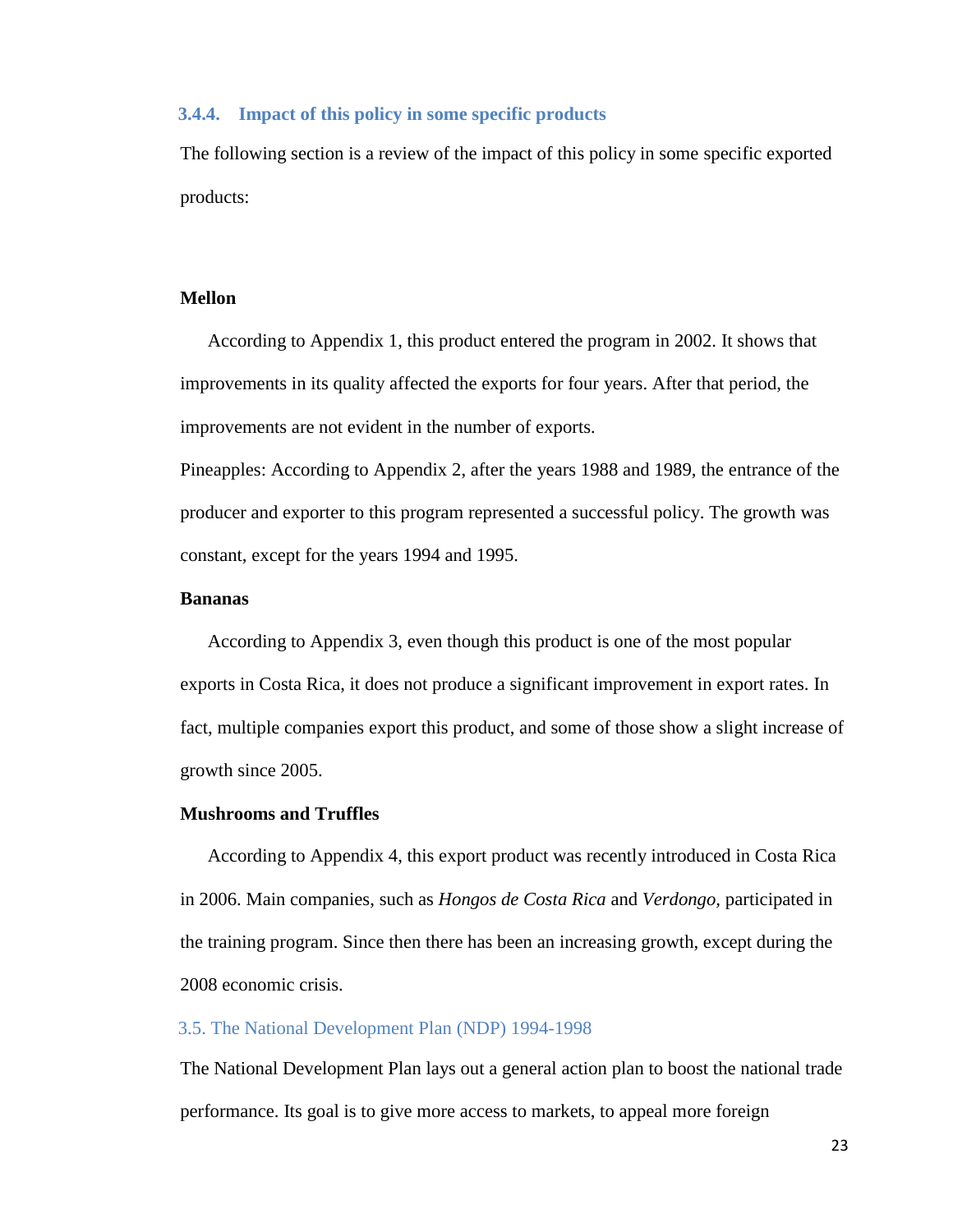## <span id="page-22-0"></span>**3.4.4. Impact of this policy in some specific products**

The following section is a review of the impact of this policy in some specific exported products:

#### **Mellon**

According to Appendix 1, this product entered the program in 2002. It shows that improvements in its quality affected the exports for four years. After that period, the improvements are not evident in the number of exports.

Pineapples: According to Appendix 2, after the years 1988 and 1989, the entrance of the producer and exporter to this program represented a successful policy. The growth was constant, except for the years 1994 and 1995.

## **Bananas**

According to Appendix 3, even though this product is one of the most popular exports in Costa Rica, it does not produce a significant improvement in export rates. In fact, multiple companies export this product, and some of those show a slight increase of growth since 2005.

#### **Mushrooms and Truffles**

According to Appendix 4, this export product was recently introduced in Costa Rica in 2006. Main companies, such as *Hongos de Costa Rica* and *Verdongo,* participated in the training program. Since then there has been an increasing growth, except during the 2008 economic crisis.

## <span id="page-22-1"></span>3.5. The National Development Plan (NDP) 1994-1998

The National Development Plan lays out a general action plan to boost the national trade performance. Its goal is to give more access to markets, to appeal more foreign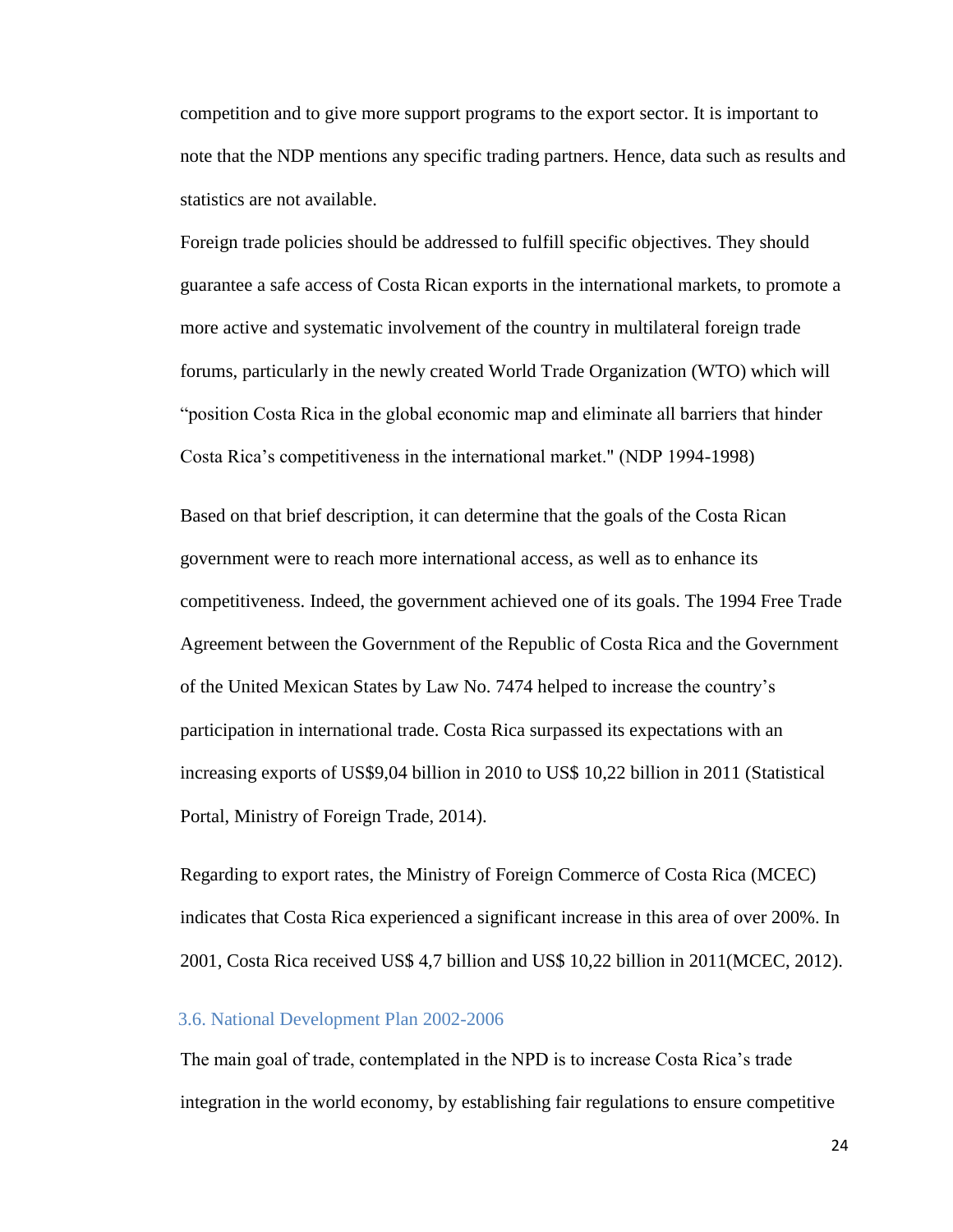competition and to give more support programs to the export sector. It is important to note that the NDP mentions any specific trading partners. Hence, data such as results and statistics are not available.

Foreign trade policies should be addressed to fulfill specific objectives. They should guarantee a safe access of Costa Rican exports in the international markets, to promote a more active and systematic involvement of the country in multilateral foreign trade forums, particularly in the newly created World Trade Organization (WTO) which will "position Costa Rica in the global economic map and eliminate all barriers that hinder Costa Rica's competitiveness in the international market." (NDP 1994-1998)

Based on that brief description, it can determine that the goals of the Costa Rican government were to reach more international access, as well as to enhance its competitiveness. Indeed, the government achieved one of its goals. The 1994 Free Trade Agreement between the Government of the Republic of Costa Rica and the Government of the United Mexican States by Law No. 7474 helped to increase the country's participation in international trade. Costa Rica surpassed its expectations with an increasing exports of US\$9,04 billion in 2010 to US\$ 10,22 billion in 2011 (Statistical Portal, Ministry of Foreign Trade, 2014).

Regarding to export rates, the Ministry of Foreign Commerce of Costa Rica (MCEC) indicates that Costa Rica experienced a significant increase in this area of over 200%. In 2001, Costa Rica received US\$ 4,7 billion and US\$ 10,22 billion in 2011(MCEC, 2012).

## <span id="page-23-0"></span>3.6. National Development Plan 2002-2006

The main goal of trade, contemplated in the NPD is to increase Costa Rica's trade integration in the world economy, by establishing fair regulations to ensure competitive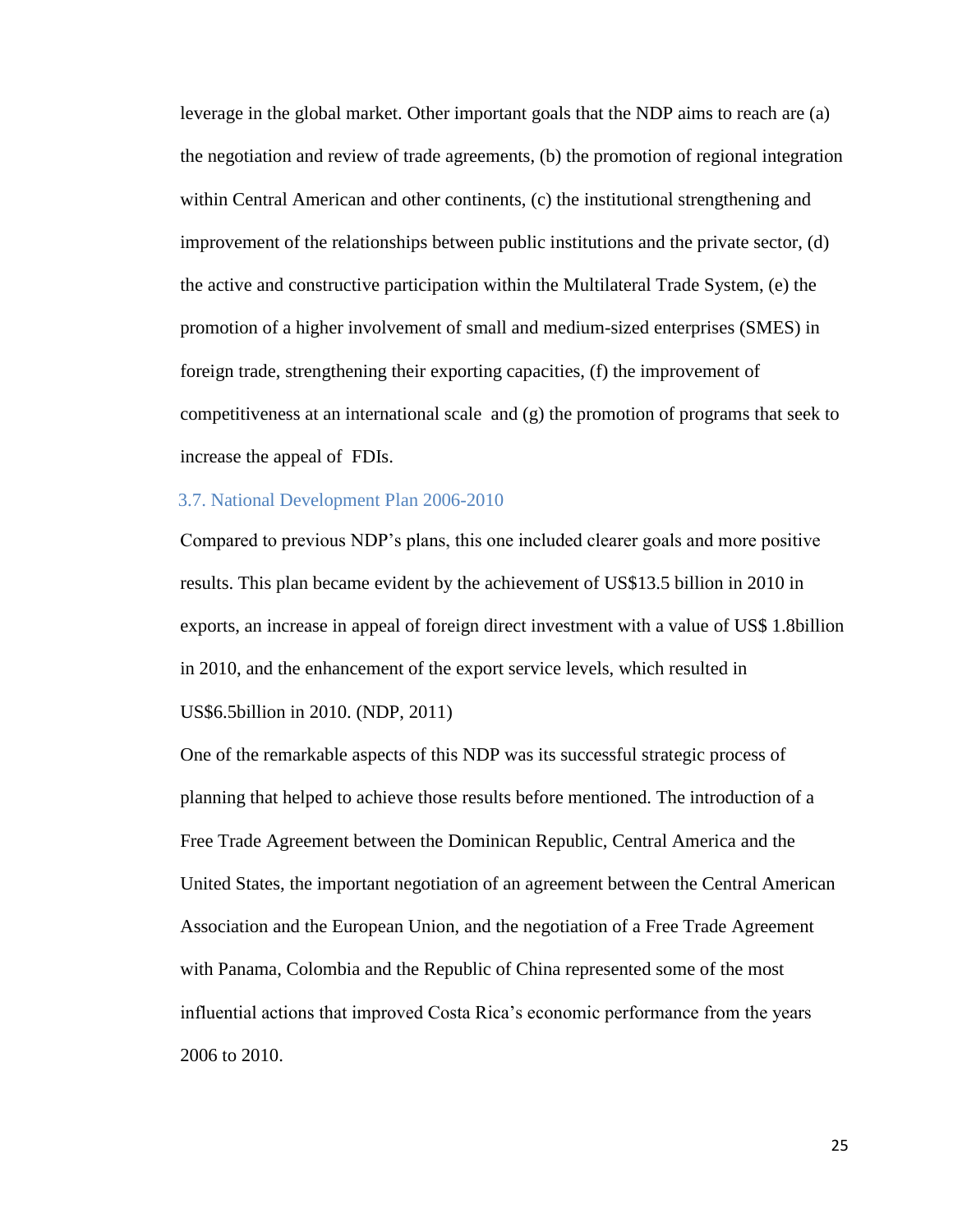leverage in the global market. Other important goals that the NDP aims to reach are (a) the negotiation and review of trade agreements, (b) the promotion of regional integration within Central American and other continents, (c) the institutional strengthening and improvement of the relationships between public institutions and the private sector, (d) the active and constructive participation within the Multilateral Trade System, (e) the promotion of a higher involvement of small and medium-sized enterprises (SMES) in foreign trade, strengthening their exporting capacities, (f) the improvement of competitiveness at an international scale and  $(g)$  the promotion of programs that seek to increase the appeal of FDIs.

## <span id="page-24-0"></span>3.7. National Development Plan 2006-2010

Compared to previous NDP's plans, this one included clearer goals and more positive results. This plan became evident by the achievement of US\$13.5 billion in 2010 in exports, an increase in appeal of foreign direct investment with a value of US\$ 1.8billion in 2010, and the enhancement of the export service levels, which resulted in US\$6.5billion in 2010. (NDP, 2011)

One of the remarkable aspects of this NDP was its successful strategic process of planning that helped to achieve those results before mentioned. The introduction of a Free Trade Agreement between the Dominican Republic, Central America and the United States, the important negotiation of an agreement between the Central American Association and the European Union, and the negotiation of a Free Trade Agreement with Panama, Colombia and the Republic of China represented some of the most influential actions that improved Costa Rica's economic performance from the years 2006 to 2010.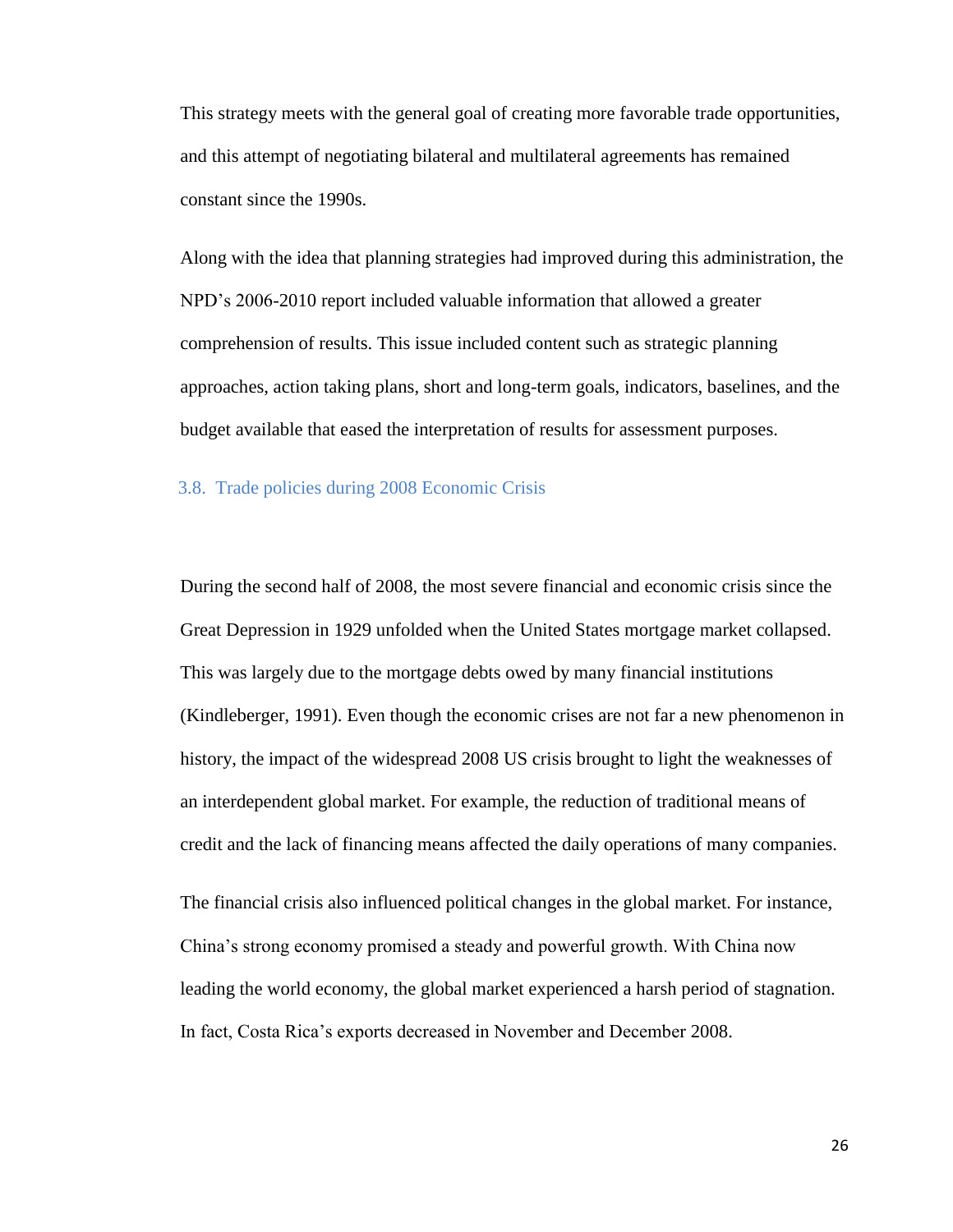This strategy meets with the general goal of creating more favorable trade opportunities, and this attempt of negotiating bilateral and multilateral agreements has remained constant since the 1990s.

Along with the idea that planning strategies had improved during this administration, the NPD's 2006-2010 report included valuable information that allowed a greater comprehension of results. This issue included content such as strategic planning approaches, action taking plans, short and long-term goals, indicators, baselines, and the budget available that eased the interpretation of results for assessment purposes.

#### <span id="page-25-0"></span>3.8. Trade policies during 2008 Economic Crisis

During the second half of 2008, the most severe financial and economic crisis since the Great Depression in 1929 unfolded when the United States mortgage market collapsed. This was largely due to the mortgage debts owed by many financial institutions (Kindleberger, 1991). Even though the economic crises are not far a new phenomenon in history, the impact of the widespread 2008 US crisis brought to light the weaknesses of an interdependent global market. For example, the reduction of traditional means of credit and the lack of financing means affected the daily operations of many companies.

The financial crisis also influenced political changes in the global market. For instance, China's strong economy promised a steady and powerful growth. With China now leading the world economy, the global market experienced a harsh period of stagnation. In fact, Costa Rica's exports decreased in November and December 2008.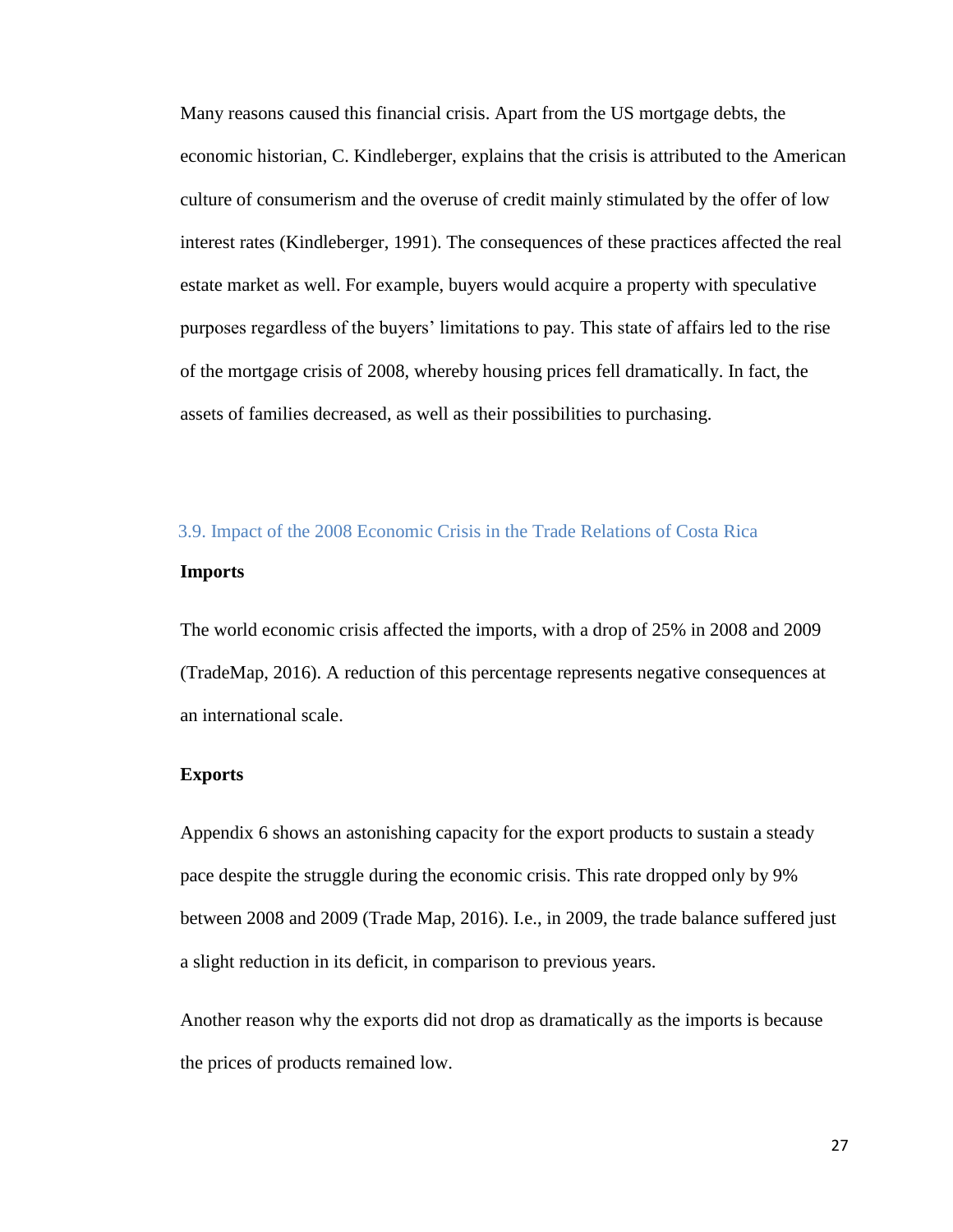Many reasons caused this financial crisis. Apart from the US mortgage debts, the economic historian, C. Kindleberger, explains that the crisis is attributed to the American culture of consumerism and the overuse of credit mainly stimulated by the offer of low interest rates (Kindleberger, 1991). The consequences of these practices affected the real estate market as well. For example, buyers would acquire a property with speculative purposes regardless of the buyers' limitations to pay. This state of affairs led to the rise of the mortgage crisis of 2008, whereby housing prices fell dramatically. In fact, the assets of families decreased, as well as their possibilities to purchasing.

# <span id="page-26-0"></span>3.9. Impact of the 2008 Economic Crisis in the Trade Relations of Costa Rica **Imports**

The world economic crisis affected the imports, with a drop of 25% in 2008 and 2009 (TradeMap, 2016). A reduction of this percentage represents negative consequences at an international scale.

#### **Exports**

Appendix 6 shows an astonishing capacity for the export products to sustain a steady pace despite the struggle during the economic crisis. This rate dropped only by 9% between 2008 and 2009 (Trade Map, 2016). I.e., in 2009, the trade balance suffered just a slight reduction in its deficit, in comparison to previous years.

Another reason why the exports did not drop as dramatically as the imports is because the prices of products remained low.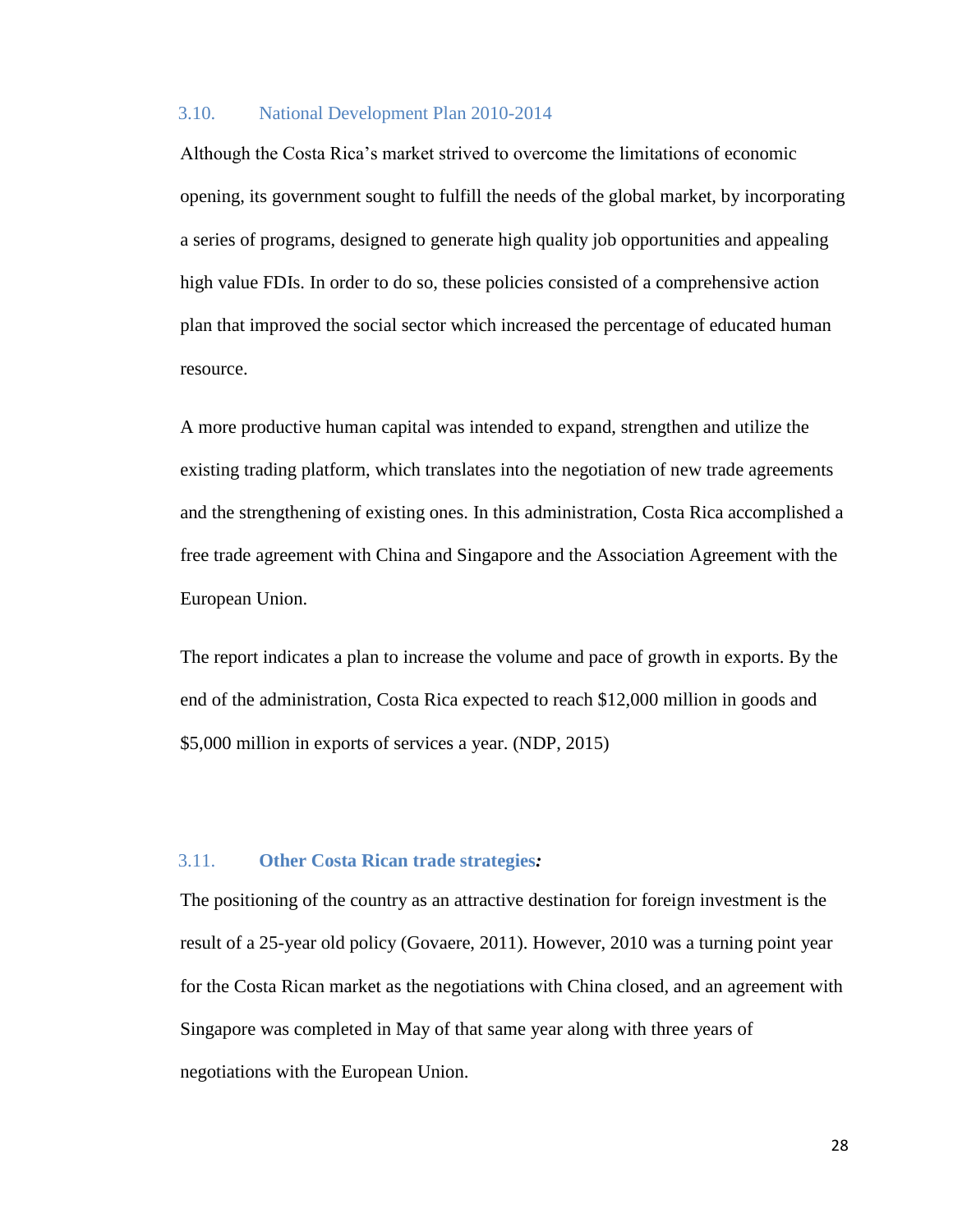## <span id="page-27-0"></span>3.10. National Development Plan 2010-2014

Although the Costa Rica's market strived to overcome the limitations of economic opening, its government sought to fulfill the needs of the global market, by incorporating a series of programs, designed to generate high quality job opportunities and appealing high value FDIs. In order to do so, these policies consisted of a comprehensive action plan that improved the social sector which increased the percentage of educated human resource.

A more productive human capital was intended to expand, strengthen and utilize the existing trading platform, which translates into the negotiation of new trade agreements and the strengthening of existing ones. In this administration, Costa Rica accomplished a free trade agreement with China and Singapore and the Association Agreement with the European Union.

The report indicates a plan to increase the volume and pace of growth in exports. By the end of the administration, Costa Rica expected to reach \$12,000 million in goods and \$5,000 million in exports of services a year. (NDP, 2015)

#### <span id="page-27-1"></span>3.11. **Other Costa Rican trade strategies***:*

The positioning of the country as an attractive destination for foreign investment is the result of a 25-year old policy (Govaere, 2011). However, 2010 was a turning point year for the Costa Rican market as the negotiations with China closed, and an agreement with Singapore was completed in May of that same year along with three years of negotiations with the European Union.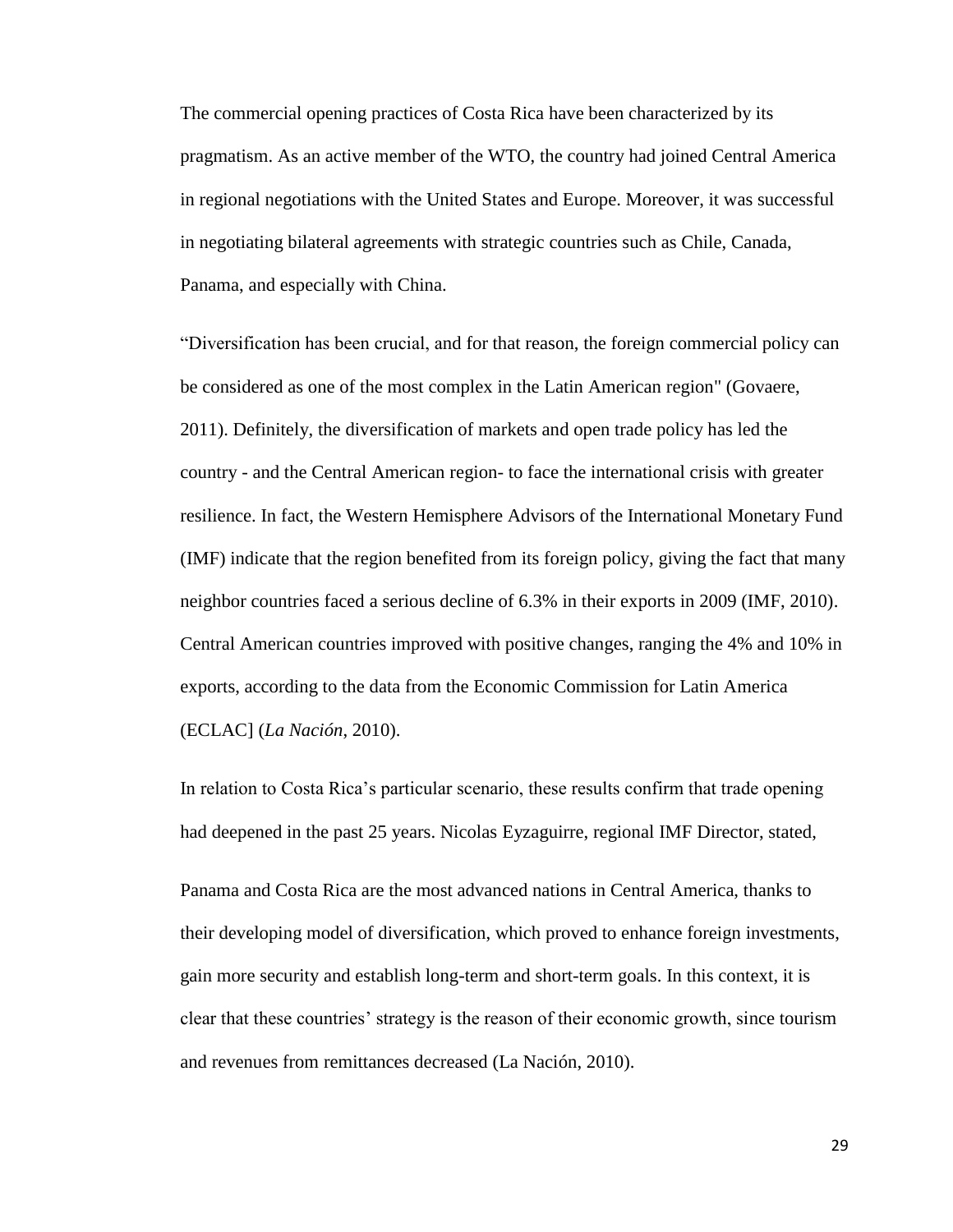The commercial opening practices of Costa Rica have been characterized by its pragmatism. As an active member of the WTO, the country had joined Central America in regional negotiations with the United States and Europe. Moreover, it was successful in negotiating bilateral agreements with strategic countries such as Chile, Canada, Panama, and especially with China.

"Diversification has been crucial, and for that reason, the foreign commercial policy can be considered as one of the most complex in the Latin American region" (Govaere, 2011). Definitely, the diversification of markets and open trade policy has led the country - and the Central American region- to face the international crisis with greater resilience. In fact, the Western Hemisphere Advisors of the International Monetary Fund (IMF) indicate that the region benefited from its foreign policy, giving the fact that many neighbor countries faced a serious decline of 6.3% in their exports in 2009 (IMF, 2010). Central American countries improved with positive changes, ranging the 4% and 10% in exports, according to the data from the Economic Commission for Latin America (ECLAC] (*La Nación*, 2010).

In relation to Costa Rica's particular scenario, these results confirm that trade opening had deepened in the past 25 years. Nicolas Eyzaguirre, regional IMF Director, stated,

Panama and Costa Rica are the most advanced nations in Central America, thanks to their developing model of diversification, which proved to enhance foreign investments, gain more security and establish long-term and short-term goals. In this context, it is clear that these countries' strategy is the reason of their economic growth, since tourism and revenues from remittances decreased (La Nación, 2010).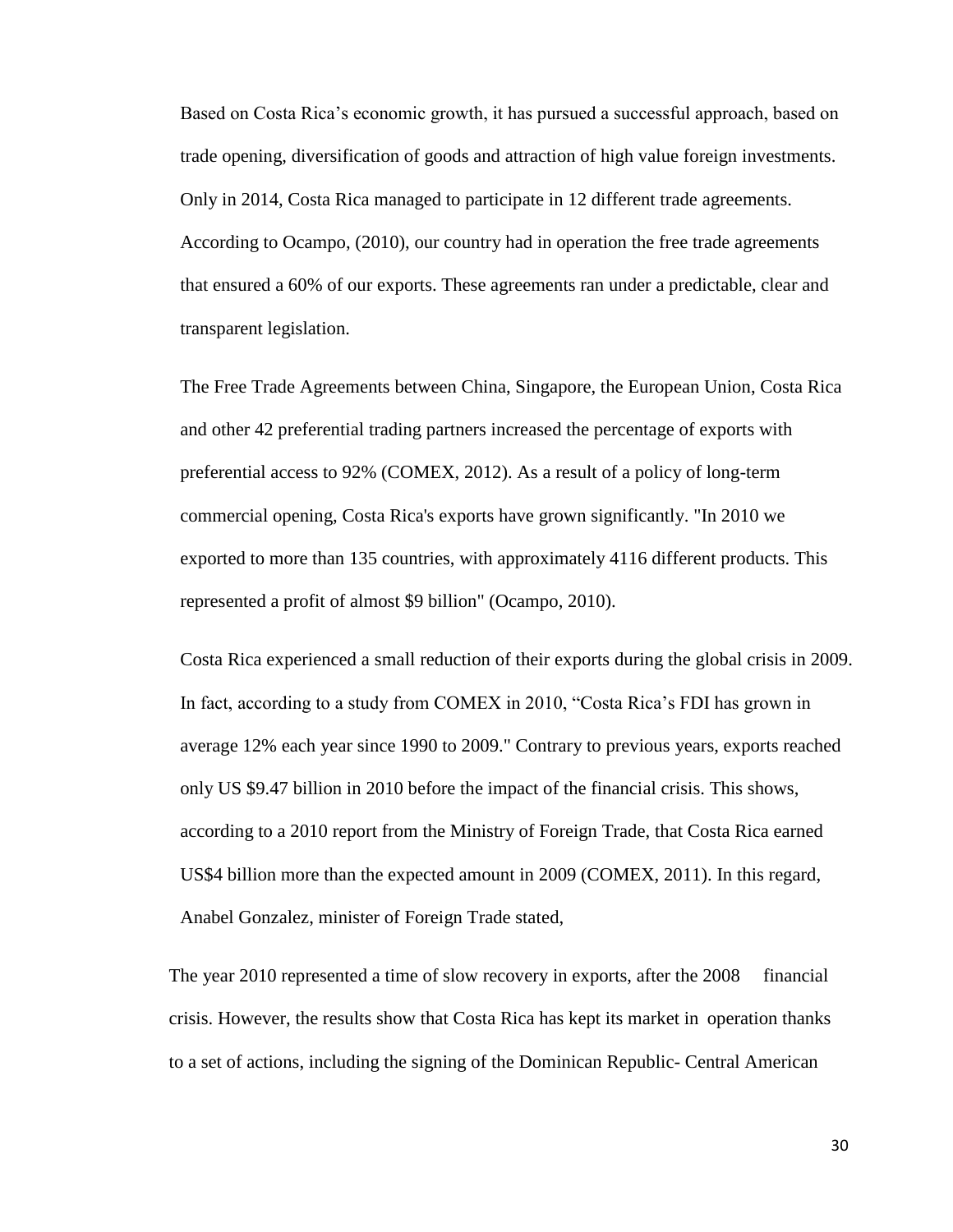Based on Costa Rica's economic growth, it has pursued a successful approach, based on trade opening, diversification of goods and attraction of high value foreign investments. Only in 2014, Costa Rica managed to participate in 12 different trade agreements. According to Ocampo, (2010), our country had in operation the free trade agreements that ensured a 60% of our exports. These agreements ran under a predictable, clear and transparent legislation.

The Free Trade Agreements between China, Singapore, the European Union, Costa Rica and other 42 preferential trading partners increased the percentage of exports with preferential access to 92% (COMEX, 2012). As a result of a policy of long-term commercial opening, Costa Rica's exports have grown significantly. "In 2010 we exported to more than 135 countries, with approximately 4116 different products. This represented a profit of almost \$9 billion" (Ocampo, 2010).

Costa Rica experienced a small reduction of their exports during the global crisis in 2009. In fact, according to a study from COMEX in 2010, "Costa Rica's FDI has grown in average 12% each year since 1990 to 2009." Contrary to previous years, exports reached only US \$9.47 billion in 2010 before the impact of the financial crisis. This shows, according to a 2010 report from the Ministry of Foreign Trade, that Costa Rica earned US\$4 billion more than the expected amount in 2009 (COMEX, 2011). In this regard, Anabel Gonzalez, minister of Foreign Trade stated,

The year 2010 represented a time of slow recovery in exports, after the 2008 financial crisis. However, the results show that Costa Rica has kept its market in operation thanks to a set of actions, including the signing of the Dominican Republic- Central American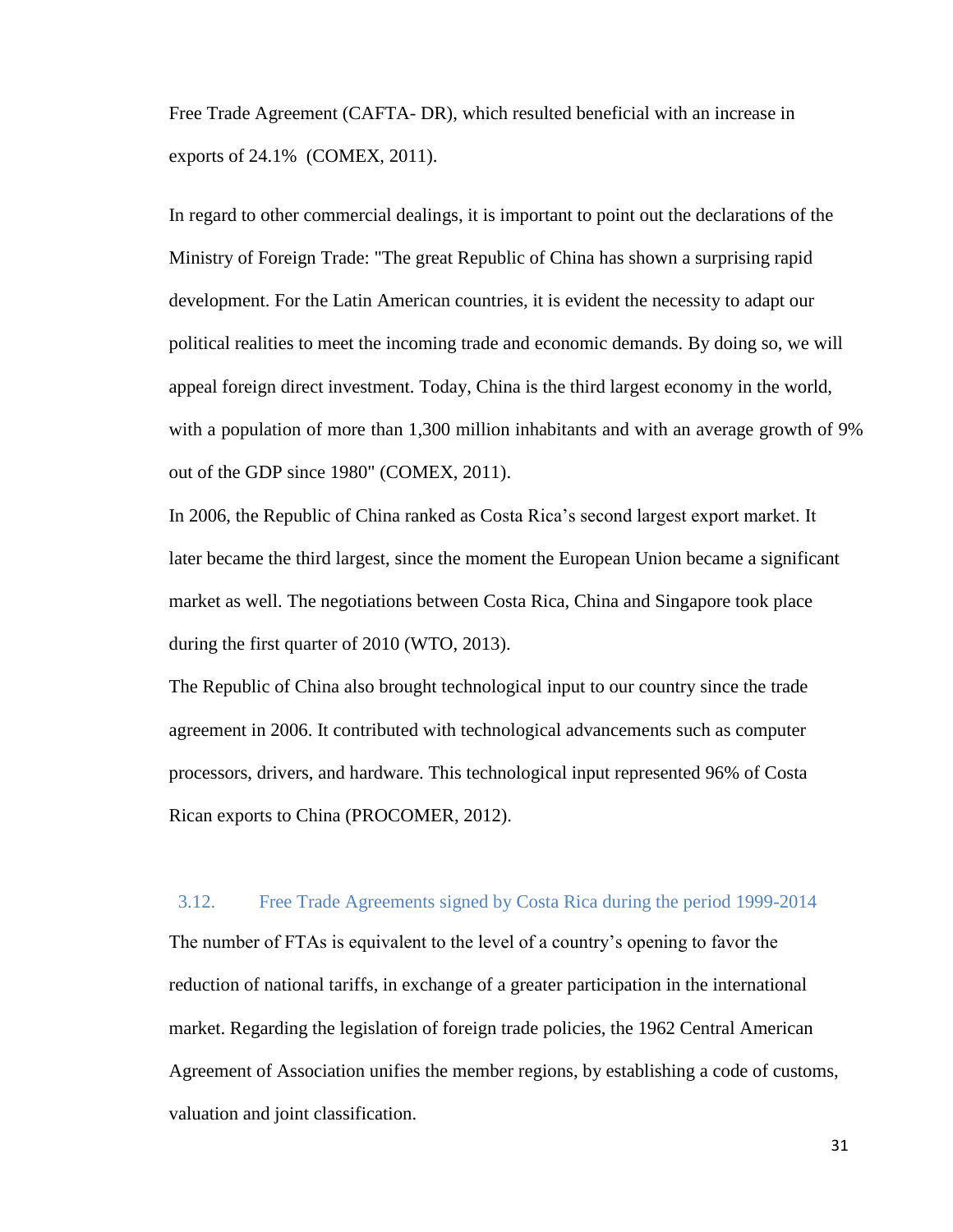Free Trade Agreement (CAFTA- DR), which resulted beneficial with an increase in exports of 24.1% (COMEX, 2011).

In regard to other commercial dealings, it is important to point out the declarations of the Ministry of Foreign Trade: "The great Republic of China has shown a surprising rapid development. For the Latin American countries, it is evident the necessity to adapt our political realities to meet the incoming trade and economic demands. By doing so, we will appeal foreign direct investment. Today, China is the third largest economy in the world, with a population of more than 1,300 million inhabitants and with an average growth of 9% out of the GDP since 1980" (COMEX, 2011).

In 2006, the Republic of China ranked as Costa Rica's second largest export market. It later became the third largest, since the moment the European Union became a significant market as well. The negotiations between Costa Rica, China and Singapore took place during the first quarter of 2010 (WTO, 2013).

The Republic of China also brought technological input to our country since the trade agreement in 2006. It contributed with technological advancements such as computer processors, drivers, and hardware. This technological input represented 96% of Costa Rican exports to China (PROCOMER, 2012).

## <span id="page-30-0"></span>3.12. Free Trade Agreements signed by Costa Rica during the period 1999-2014

The number of FTAs is equivalent to the level of a country's opening to favor the reduction of national tariffs, in exchange of a greater participation in the international market. Regarding the legislation of foreign trade policies, the 1962 Central American Agreement of Association unifies the member regions, by establishing a code of customs, valuation and joint classification.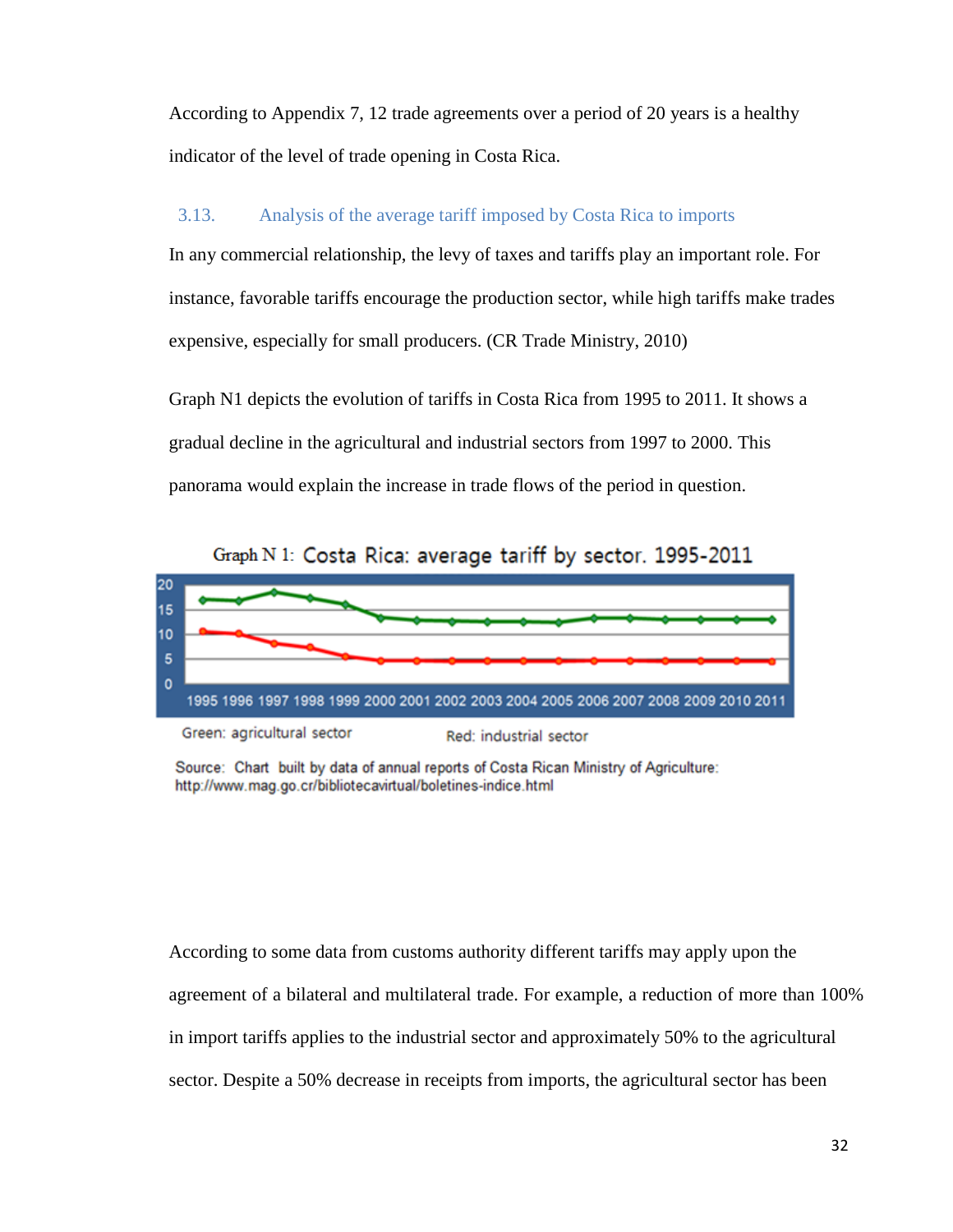According to Appendix 7, 12 trade agreements over a period of 20 years is a healthy indicator of the level of trade opening in Costa Rica.

## <span id="page-31-0"></span>3.13. Analysis of the average tariff imposed by Costa Rica to imports

In any commercial relationship, the levy of taxes and tariffs play an important role. For instance, favorable tariffs encourage the production sector, while high tariffs make trades expensive, especially for small producers. (CR Trade Ministry, 2010)

Graph N1 depicts the evolution of tariffs in Costa Rica from 1995 to 2011. It shows a gradual decline in the agricultural and industrial sectors from 1997 to 2000. This panorama would explain the increase in trade flows of the period in question.



Source: Chart built by data of annual reports of Costa Rican Ministry of Agriculture: http://www.mag.go.cr/bibliotecavirtual/boletines-indice.html

According to some data from customs authority different tariffs may apply upon the agreement of a bilateral and multilateral trade. For example, a reduction of more than 100% in import tariffs applies to the industrial sector and approximately 50% to the agricultural sector. Despite a 50% decrease in receipts from imports, the agricultural sector has been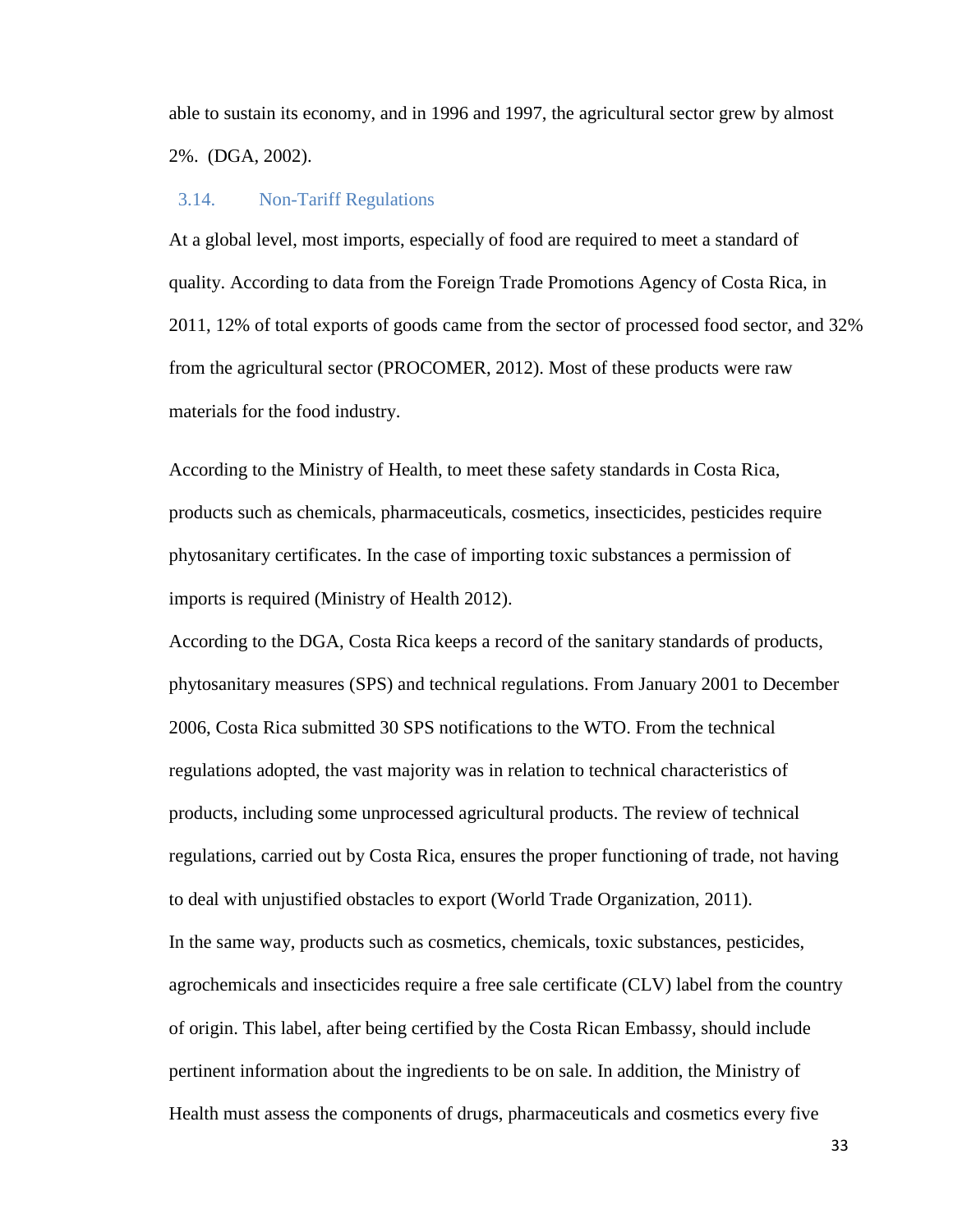able to sustain its economy, and in 1996 and 1997, the agricultural sector grew by almost 2%. (DGA, 2002).

#### <span id="page-32-0"></span>3.14. Non-Tariff Regulations

At a global level, most imports, especially of food are required to meet a standard of quality. According to data from the Foreign Trade Promotions Agency of Costa Rica, in 2011, 12% of total exports of goods came from the sector of processed food sector, and 32% from the agricultural sector (PROCOMER, 2012). Most of these products were raw materials for the food industry.

According to the Ministry of Health, to meet these safety standards in Costa Rica, products such as chemicals, pharmaceuticals, cosmetics, insecticides, pesticides require phytosanitary certificates. In the case of importing toxic substances a permission of imports is required (Ministry of Health 2012).

According to the DGA, Costa Rica keeps a record of the sanitary standards of products, phytosanitary measures (SPS) and technical regulations. From January 2001 to December 2006, Costa Rica submitted 30 SPS notifications to the WTO. From the technical regulations adopted, the vast majority was in relation to technical characteristics of products, including some unprocessed agricultural products. The review of technical regulations, carried out by Costa Rica, ensures the proper functioning of trade, not having to deal with unjustified obstacles to export (World Trade Organization, 2011). In the same way, products such as cosmetics, chemicals, toxic substances, pesticides, agrochemicals and insecticides require a free sale certificate (CLV) label from the country of origin. This label, after being certified by the Costa Rican Embassy, should include pertinent information about the ingredients to be on sale. In addition, the Ministry of Health must assess the components of drugs, pharmaceuticals and cosmetics every five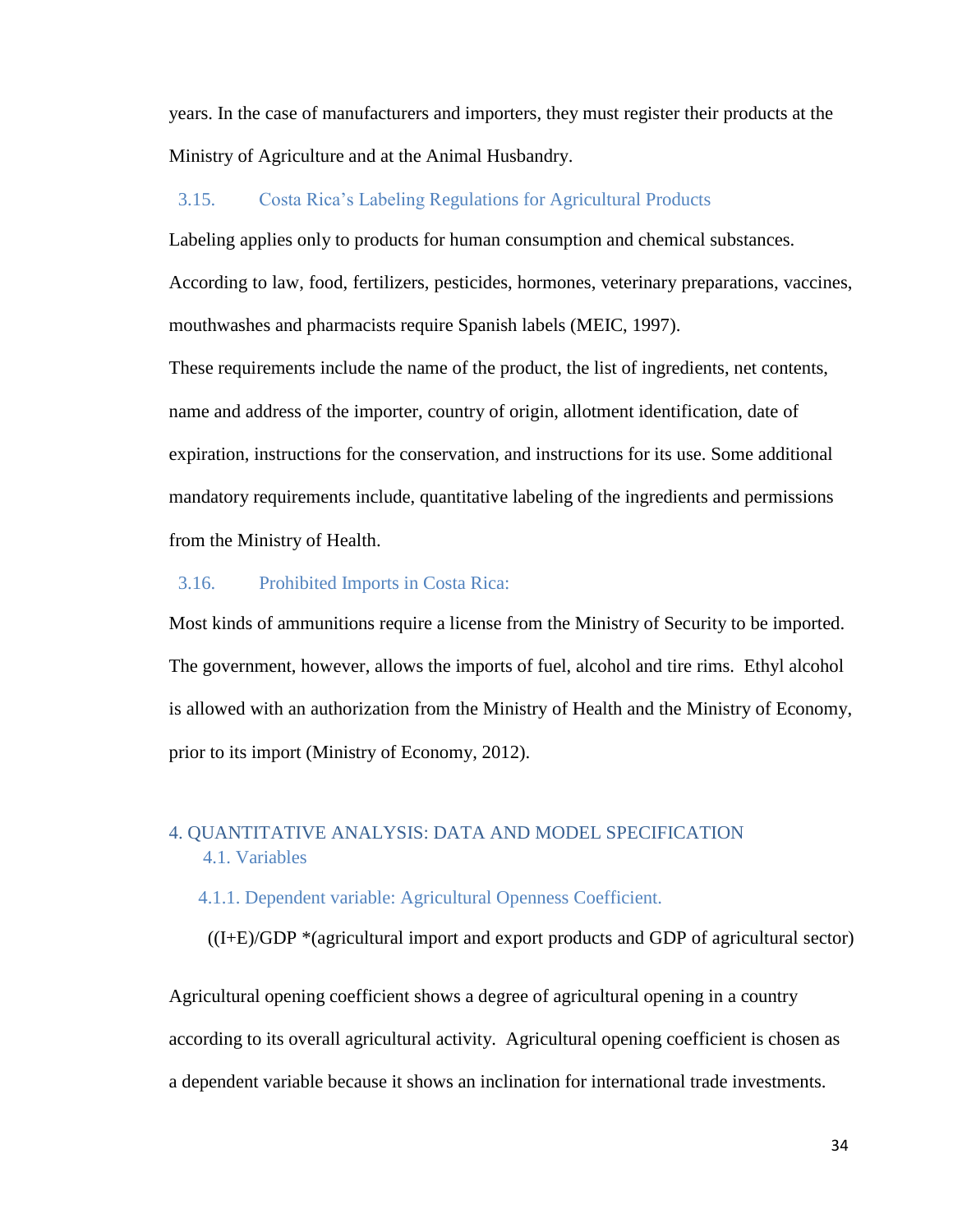years. In the case of manufacturers and importers, they must register their products at the Ministry of Agriculture and at the Animal Husbandry.

#### <span id="page-33-0"></span>3.15. Costa Rica's Labeling Regulations for Agricultural Products

Labeling applies only to products for human consumption and chemical substances. According to law, food, fertilizers, pesticides, hormones, veterinary preparations, vaccines, mouthwashes and pharmacists require Spanish labels (MEIC, 1997).

These requirements include the name of the product, the list of ingredients, net contents, name and address of the importer, country of origin, allotment identification, date of expiration, instructions for the conservation, and instructions for its use. Some additional mandatory requirements include, quantitative labeling of the ingredients and permissions from the Ministry of Health.

#### <span id="page-33-1"></span>3.16. Prohibited Imports in Costa Rica:

Most kinds of ammunitions require a license from the Ministry of Security to be imported. The government, however, allows the imports of fuel, alcohol and tire rims. Ethyl alcohol is allowed with an authorization from the Ministry of Health and the Ministry of Economy, prior to its import (Ministry of Economy, 2012).

## <span id="page-33-3"></span><span id="page-33-2"></span>4. QUANTITATIVE ANALYSIS: DATA AND MODEL SPECIFICATION 4.1. Variables

#### <span id="page-33-4"></span>4.1.1. Dependent variable: Agricultural Openness Coefficient.

((I+E)/GDP \*(agricultural import and export products and GDP of agricultural sector)

Agricultural opening coefficient shows a degree of agricultural opening in a country according to its overall agricultural activity. Agricultural opening coefficient is chosen as a dependent variable because it shows an inclination for international trade investments.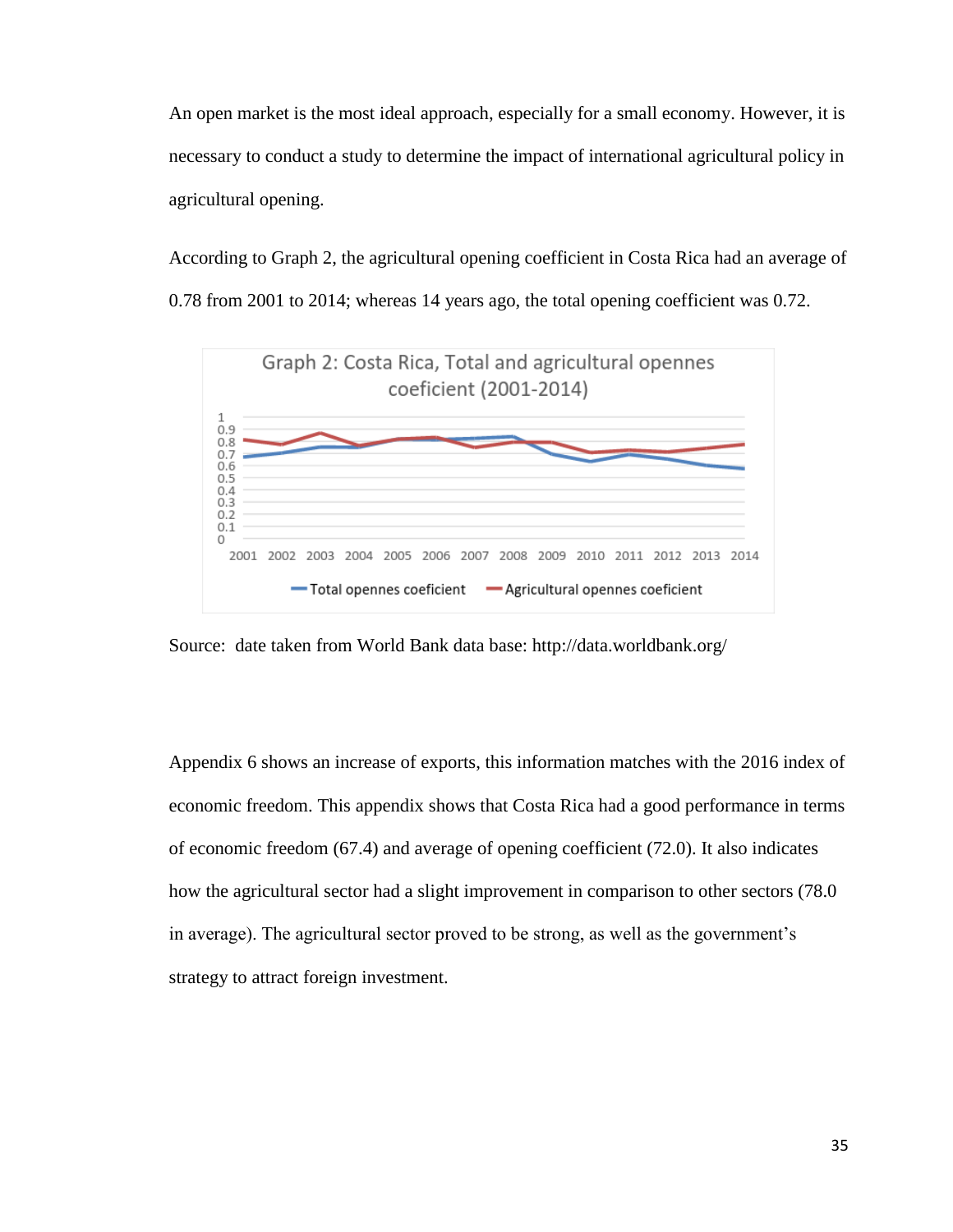An open market is the most ideal approach, especially for a small economy. However, it is necessary to conduct a study to determine the impact of international agricultural policy in agricultural opening.

According to Graph 2, the agricultural opening coefficient in Costa Rica had an average of 0.78 from 2001 to 2014; whereas 14 years ago, the total opening coefficient was 0.72.



Source: date taken from World Bank data base: http://data.worldbank.org/

Appendix 6 shows an increase of exports, this information matches with the 2016 index of economic freedom. This appendix shows that Costa Rica had a good performance in terms of economic freedom (67.4) and average of opening coefficient (72.0). It also indicates how the agricultural sector had a slight improvement in comparison to other sectors (78.0 in average). The agricultural sector proved to be strong, as well as the government's strategy to attract foreign investment.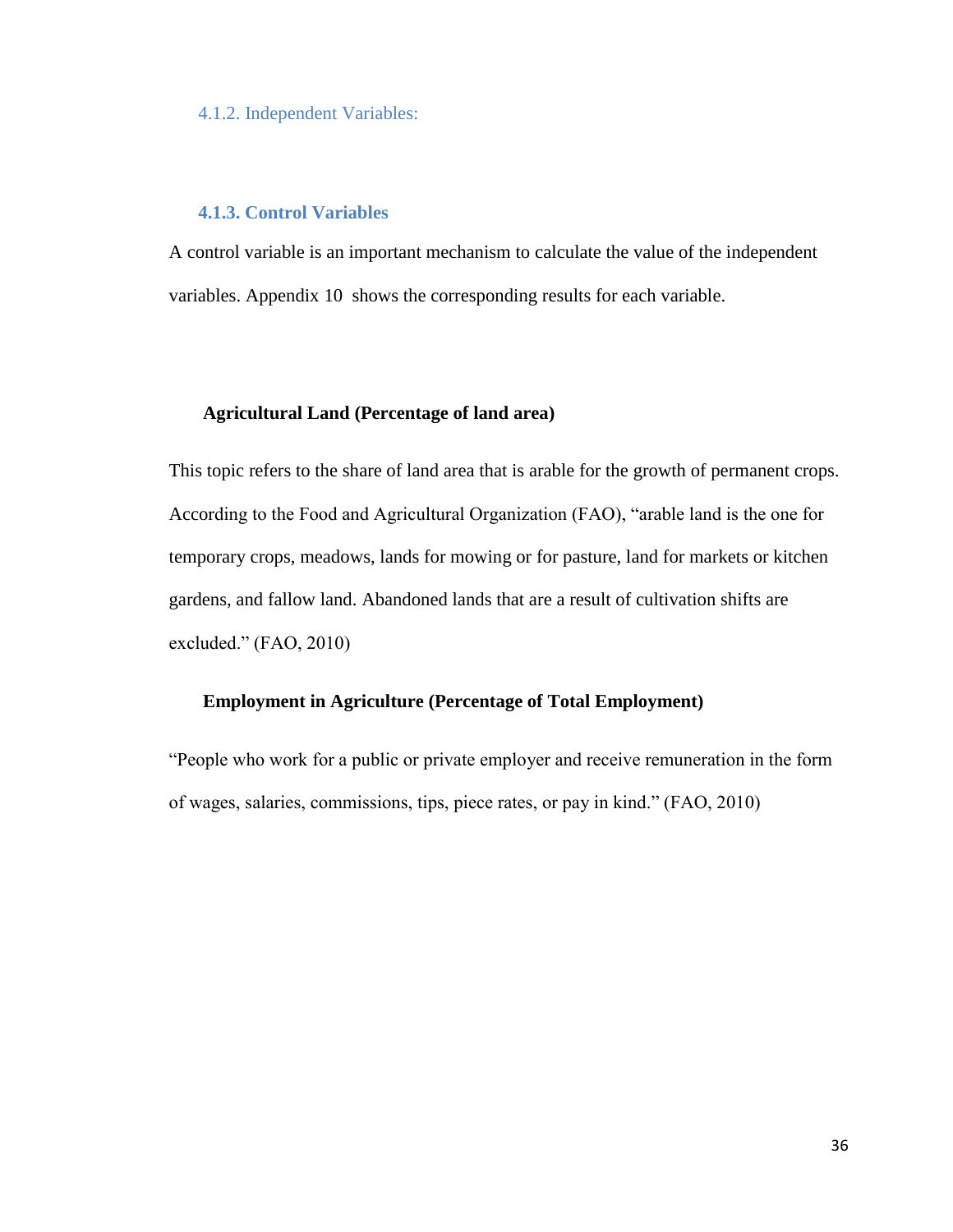#### <span id="page-35-0"></span>4.1.2. Independent Variables:

#### **4.1.3. Control Variables**

<span id="page-35-1"></span>A control variable is an important mechanism to calculate the value of the independent variables. Appendix 10 shows the corresponding results for each variable.

#### **Agricultural Land (Percentage of land area)**

This topic refers to the share of land area that is arable for the growth of permanent crops. According to the Food and Agricultural Organization (FAO), "arable land is the one for temporary crops, meadows, lands for mowing or for pasture, land for markets or kitchen gardens, and fallow land. Abandoned lands that are a result of cultivation shifts are excluded." (FAO, 2010)

## **Employment in Agriculture (Percentage of Total Employment)**

"People who work for a public or private employer and receive remuneration in the form of wages, salaries, commissions, tips, piece rates, or pay in kind." (FAO, 2010)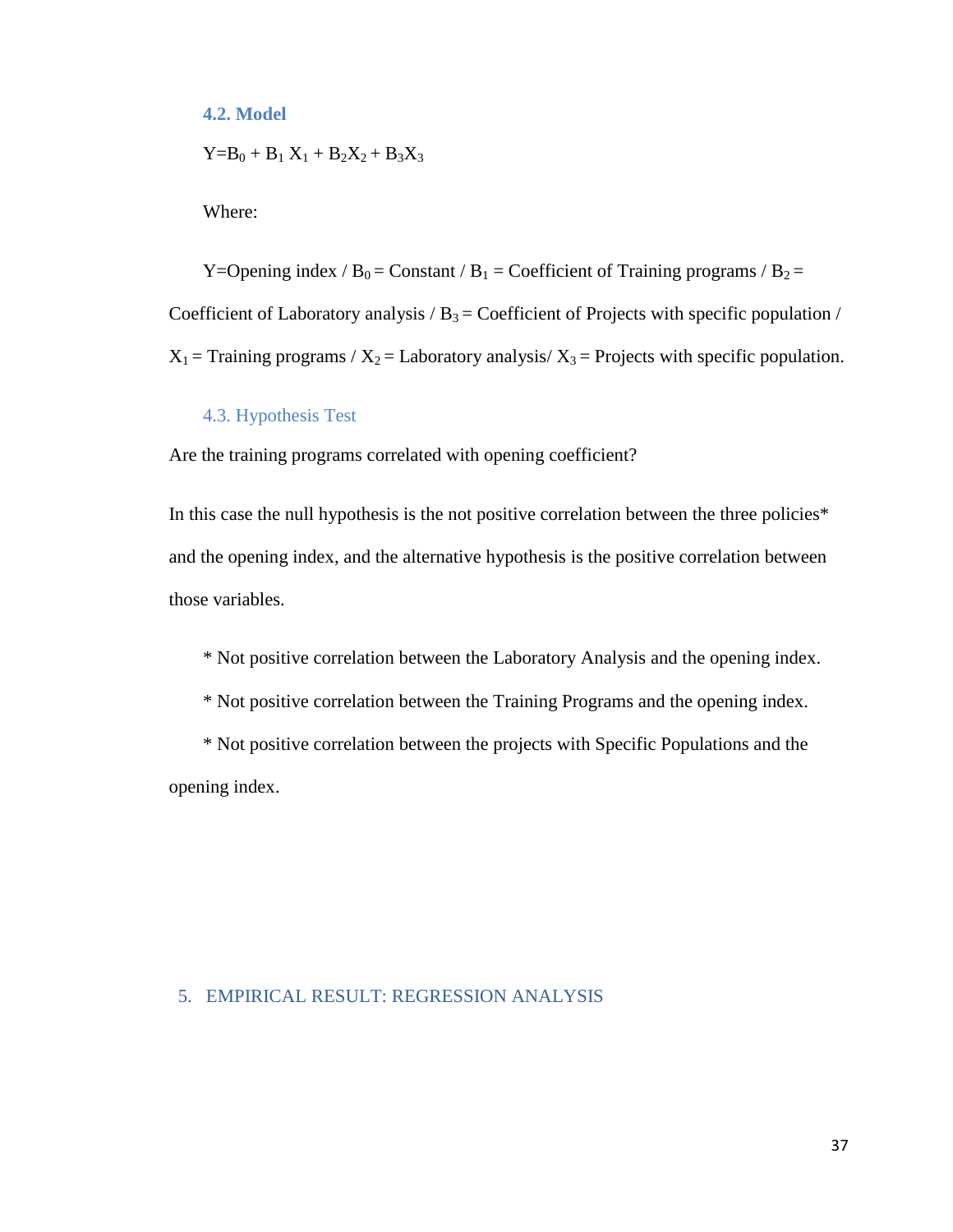## <span id="page-36-0"></span>**4.2. Model**

$$
Y\!\!=\!\!B_0+B_1\,X_1+B_2X_2+B_3X_3
$$

Where:

Y=Opening index /  $B_0$  = Constant /  $B_1$  = Coefficient of Training programs /  $B_2$  = Coefficient of Laboratory analysis  $/B_3$  = Coefficient of Projects with specific population /  $X_1$  = Training programs /  $X_2$  = Laboratory analysis/  $X_3$  = Projects with specific population.

## 4.3. Hypothesis Test

<span id="page-36-1"></span>Are the training programs correlated with opening coefficient?

In this case the null hypothesis is the not positive correlation between the three policies\* and the opening index, and the alternative hypothesis is the positive correlation between those variables.

\* Not positive correlation between the Laboratory Analysis and the opening index.

\* Not positive correlation between the Training Programs and the opening index.

\* Not positive correlation between the projects with Specific Populations and the opening index.

## <span id="page-36-2"></span>5. EMPIRICAL RESULT: REGRESSION ANALYSIS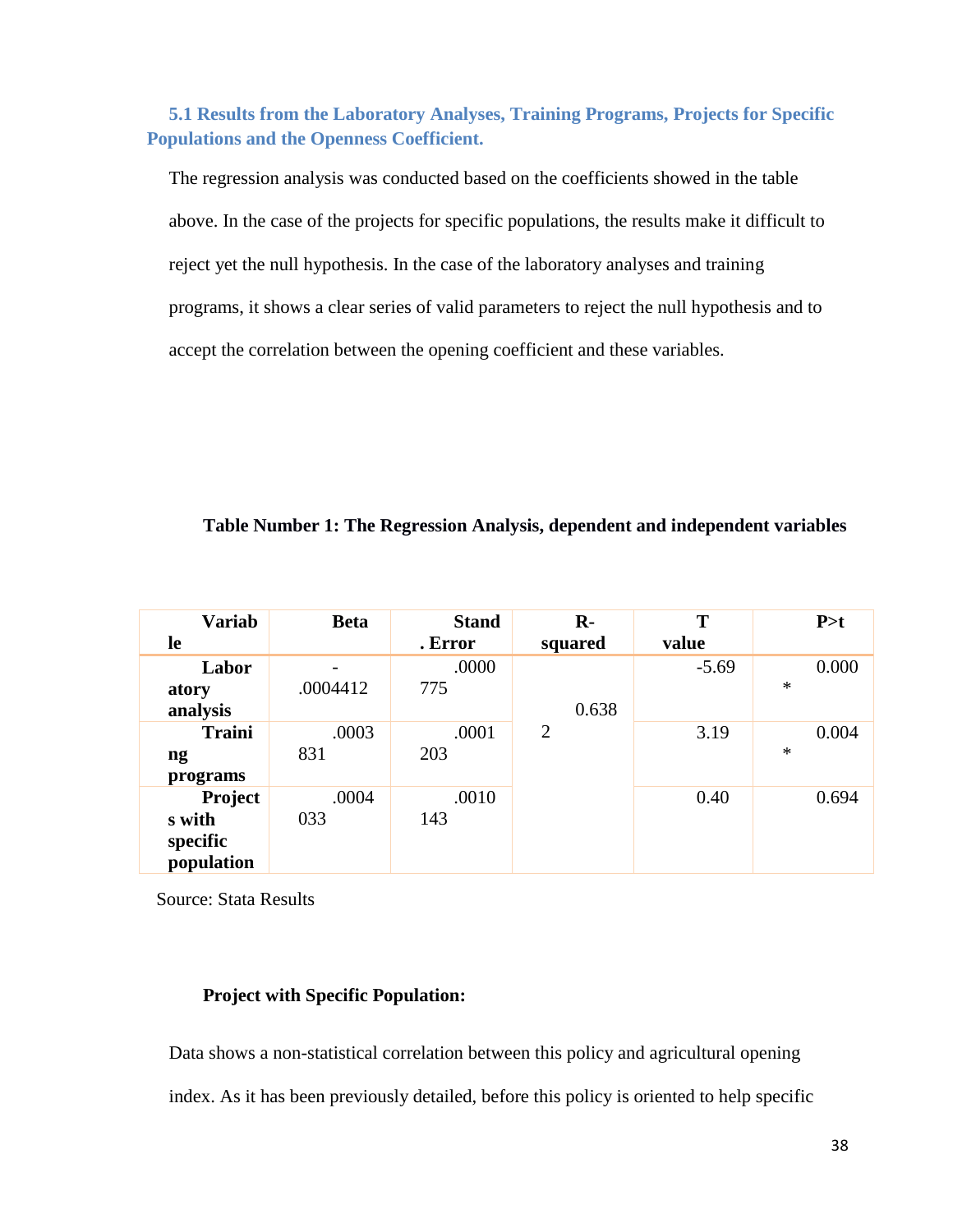<span id="page-37-0"></span>**5.1 Results from the Laboratory Analyses, Training Programs, Projects for Specific Populations and the Openness Coefficient.**

The regression analysis was conducted based on the coefficients showed in the table above. In the case of the projects for specific populations, the results make it difficult to reject yet the null hypothesis. In the case of the laboratory analyses and training programs, it shows a clear series of valid parameters to reject the null hypothesis and to accept the correlation between the opening coefficient and these variables.

## **Table Number 1: The Regression Analysis, dependent and independent variables**

| <b>Variab</b> | <b>Beta</b> | <b>Stand</b> | $R -$          | T       | P > t |
|---------------|-------------|--------------|----------------|---------|-------|
| le            |             | . Error      | squared        | value   |       |
| Labor         |             | .0000        |                | $-5.69$ | 0.000 |
| atory         | .0004412    | 775          |                |         | ∗     |
| analysis      |             |              | 0.638          |         |       |
| <b>Traini</b> | .0003       | .0001        | $\overline{2}$ | 3.19    | 0.004 |
| ng            | 831         | 203          |                |         | ∗     |
| programs      |             |              |                |         |       |
| Project       | .0004       | .0010        |                | 0.40    | 0.694 |
| s with        | 033         | 143          |                |         |       |
| specific      |             |              |                |         |       |
| population    |             |              |                |         |       |

Source: Stata Results

## **Project with Specific Population:**

Data shows a non-statistical correlation between this policy and agricultural opening index. As it has been previously detailed, before this policy is oriented to help specific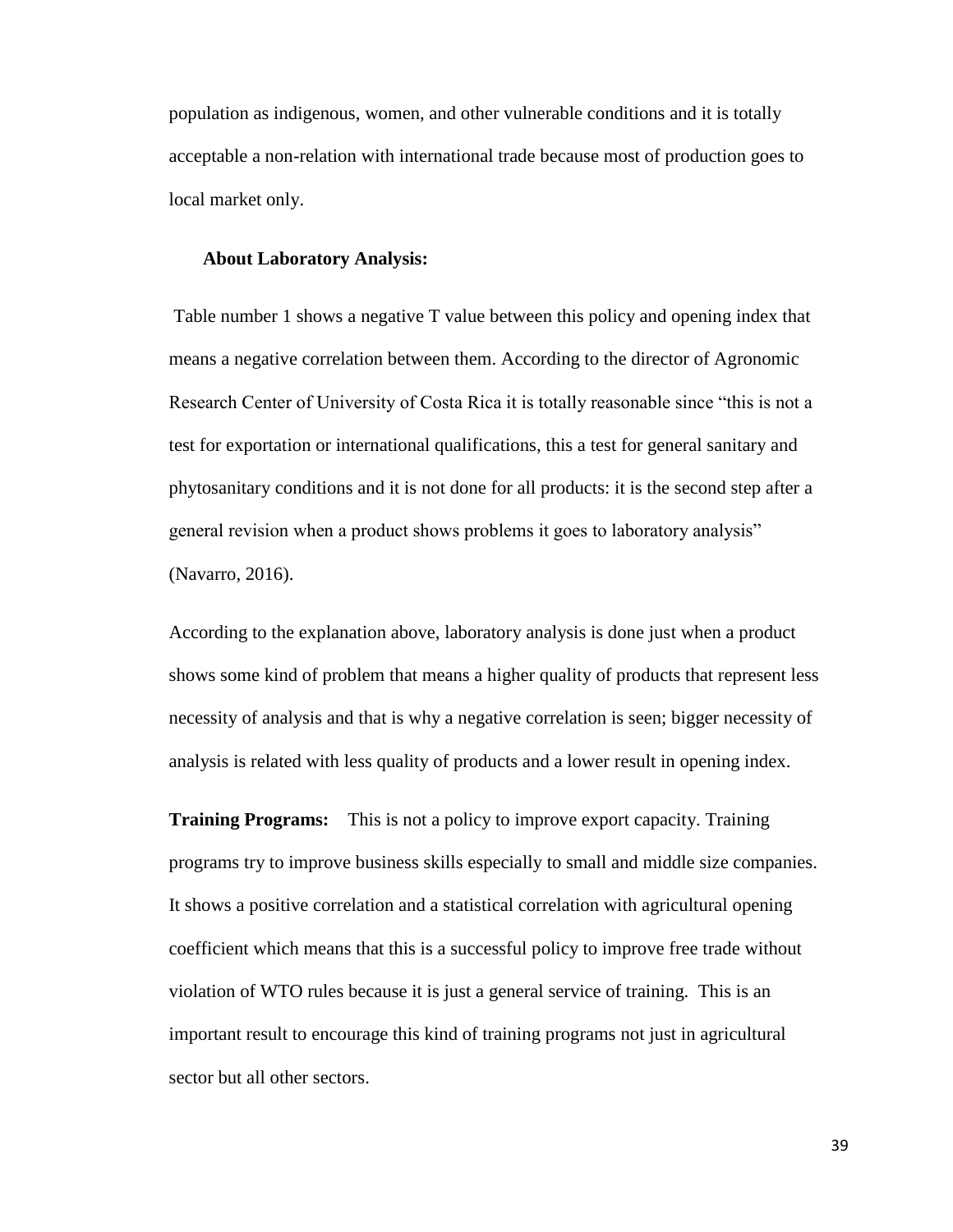population as indigenous, women, and other vulnerable conditions and it is totally acceptable a non-relation with international trade because most of production goes to local market only.

#### **About Laboratory Analysis:**

Table number 1 shows a negative T value between this policy and opening index that means a negative correlation between them. According to the director of Agronomic Research Center of University of Costa Rica it is totally reasonable since "this is not a test for exportation or international qualifications, this a test for general sanitary and phytosanitary conditions and it is not done for all products: it is the second step after a general revision when a product shows problems it goes to laboratory analysis" (Navarro, 2016).

According to the explanation above, laboratory analysis is done just when a product shows some kind of problem that means a higher quality of products that represent less necessity of analysis and that is why a negative correlation is seen; bigger necessity of analysis is related with less quality of products and a lower result in opening index.

**Training Programs:** This is not a policy to improve export capacity. Training programs try to improve business skills especially to small and middle size companies. It shows a positive correlation and a statistical correlation with agricultural opening coefficient which means that this is a successful policy to improve free trade without violation of WTO rules because it is just a general service of training. This is an important result to encourage this kind of training programs not just in agricultural sector but all other sectors.

39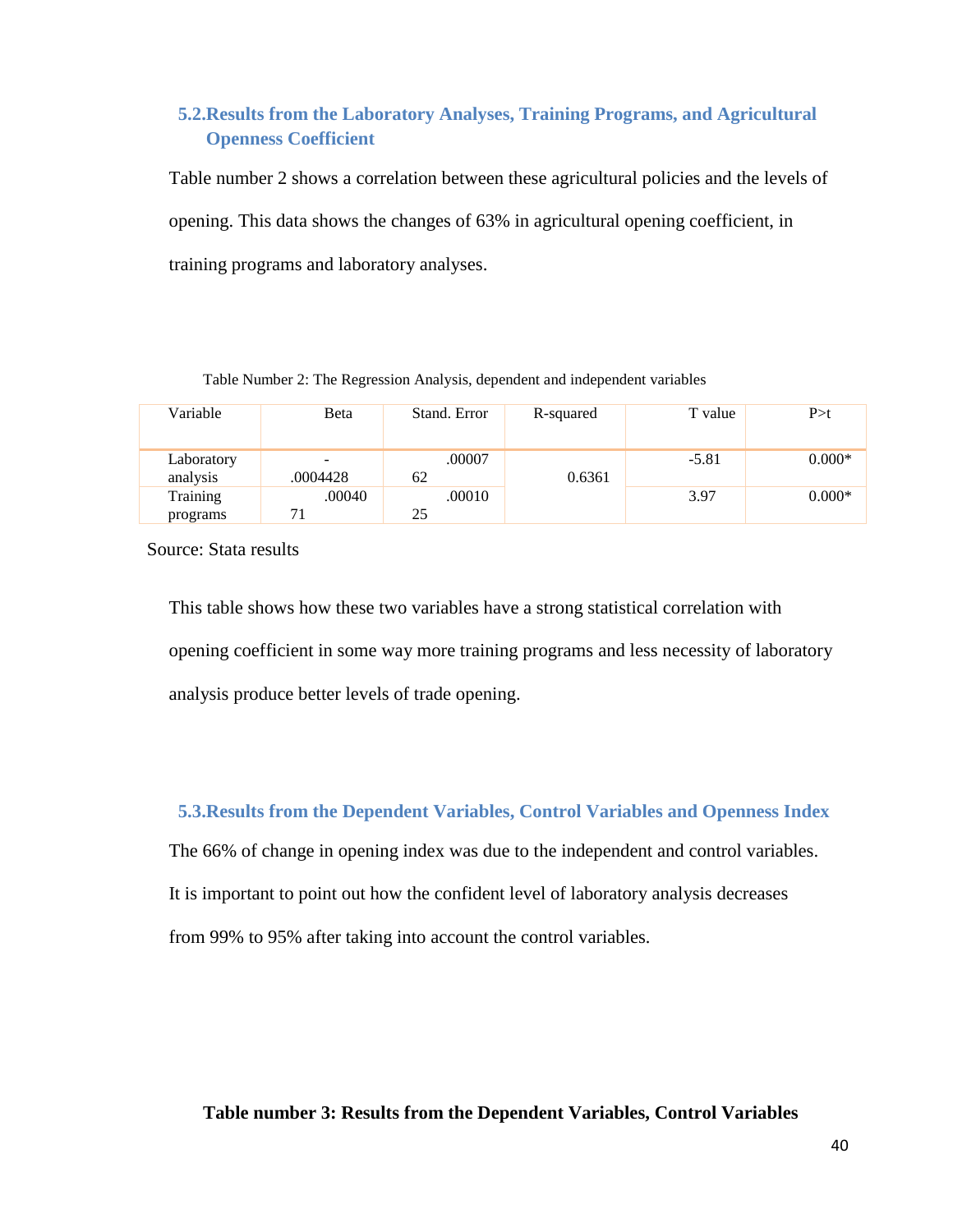## <span id="page-39-0"></span>**5.2.Results from the Laboratory Analyses, Training Programs, and Agricultural Openness Coefficient**

Table number 2 shows a correlation between these agricultural policies and the levels of opening. This data shows the changes of 63% in agricultural opening coefficient, in training programs and laboratory analyses.

Table Number 2: The Regression Analysis, dependent and independent variables

| Variable               | Beta     | Stand. Error | R-squared | T value | P > t    |
|------------------------|----------|--------------|-----------|---------|----------|
| Laboratory<br>analysis | .0004428 | .00007<br>62 | 0.6361    | $-5.81$ | $0.000*$ |
| Training<br>programs   | .00040   | .00010<br>25 |           | 3.97    | $0.000*$ |

Source: Stata results

This table shows how these two variables have a strong statistical correlation with opening coefficient in some way more training programs and less necessity of laboratory analysis produce better levels of trade opening.

<span id="page-39-1"></span>**5.3.Results from the Dependent Variables, Control Variables and Openness Index**

The 66% of change in opening index was due to the independent and control variables. It is important to point out how the confident level of laboratory analysis decreases from 99% to 95% after taking into account the control variables*.*

**Table number 3: Results from the Dependent Variables, Control Variables**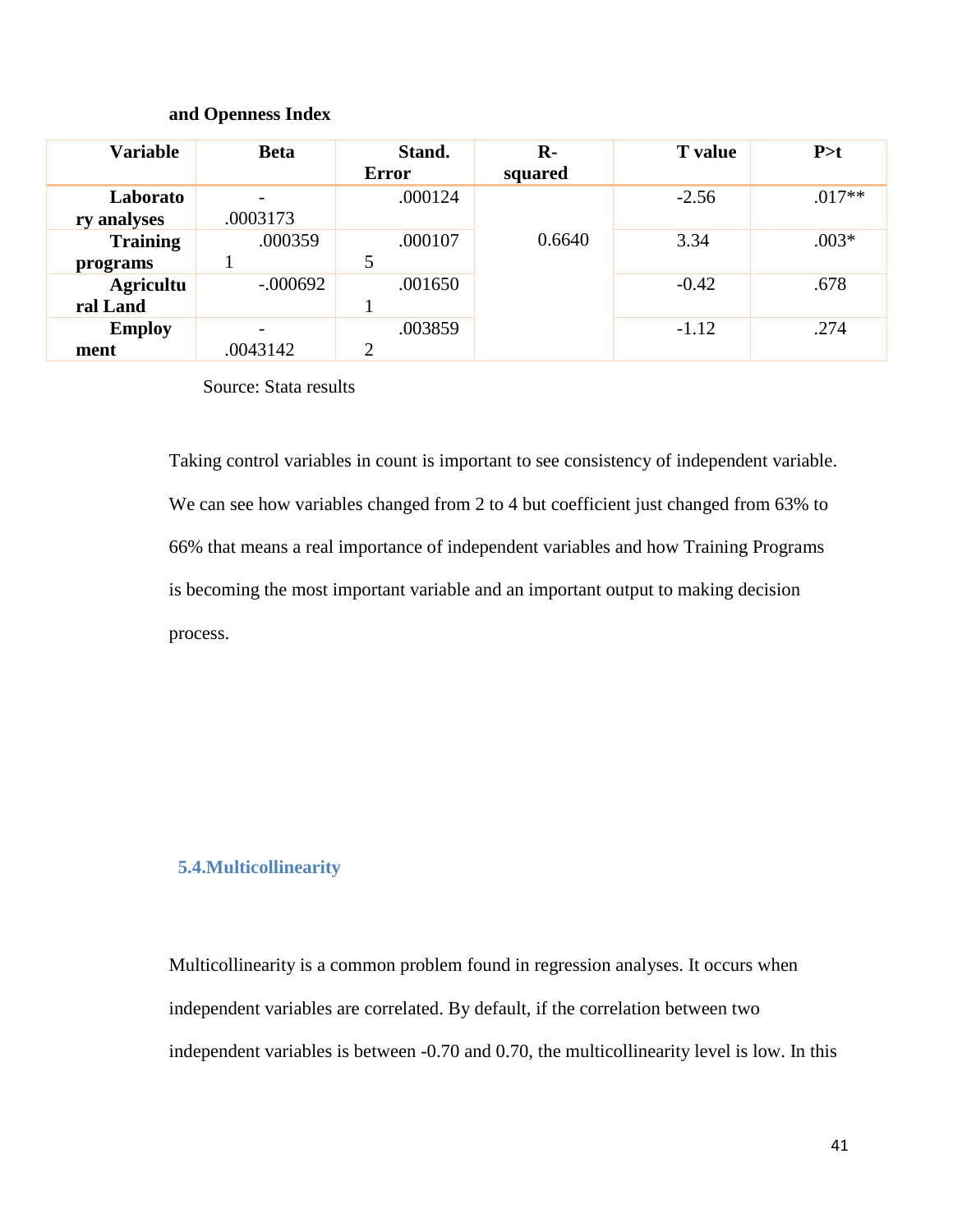#### **and Openness Index**

| <b>Variable</b>  | <b>Beta</b>              | Stand.         | $\mathbf{R}$ | <b>T</b> value | P > t    |
|------------------|--------------------------|----------------|--------------|----------------|----------|
|                  |                          | Error          | squared      |                |          |
| Laborato         |                          | .000124        |              | $-2.56$        | $.017**$ |
| ry analyses      | .0003173                 |                |              |                |          |
| <b>Training</b>  | .000359                  | .000107        | 0.6640       | 3.34           | $.003*$  |
| programs         |                          | 5              |              |                |          |
| <b>Agricultu</b> | $-.000692$               | .001650        |              | $-0.42$        | .678     |
| ral Land         |                          |                |              |                |          |
| <b>Employ</b>    | $\overline{\phantom{a}}$ | .003859        |              | $-1.12$        | .274     |
| ment             | .0043142                 | $\overline{2}$ |              |                |          |

Source: Stata results

Taking control variables in count is important to see consistency of independent variable. We can see how variables changed from 2 to 4 but coefficient just changed from 63% to 66% that means a real importance of independent variables and how Training Programs is becoming the most important variable and an important output to making decision process.

#### <span id="page-40-0"></span>**5.4.Multicollinearity**

Multicollinearity is a common problem found in regression analyses. It occurs when independent variables are correlated. By default, if the correlation between two independent variables is between -0.70 and 0.70, the multicollinearity level is low. In this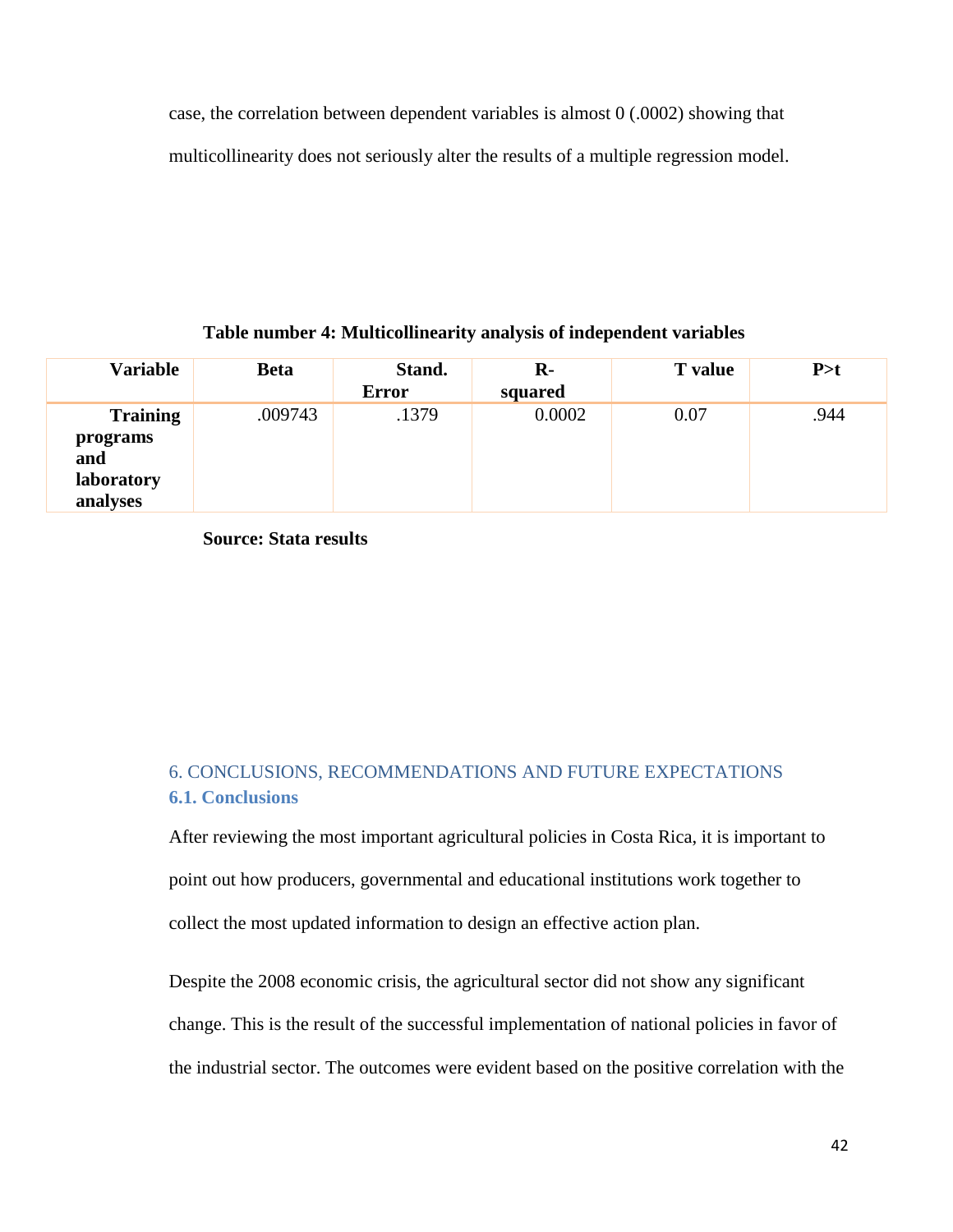case, the correlation between dependent variables is almost 0 (.0002) showing that multicollinearity does not seriously alter the results of a multiple regression model.

#### **Table number 4: Multicollinearity analysis of independent variables**

| <b>Variable</b>                                              | <b>Beta</b> | Stand.<br><b>Error</b> | $\mathbf{R}$ -<br>squared | <b>T</b> value | P > t |
|--------------------------------------------------------------|-------------|------------------------|---------------------------|----------------|-------|
| <b>Training</b><br>programs<br>and<br>laboratory<br>analyses | .009743     | .1379                  | 0.0002                    | 0.07           | .944  |

**Source: Stata results** 

## <span id="page-41-1"></span><span id="page-41-0"></span>6. CONCLUSIONS, RECOMMENDATIONS AND FUTURE EXPECTATIONS **6.1. Conclusions**

After reviewing the most important agricultural policies in Costa Rica, it is important to point out how producers, governmental and educational institutions work together to collect the most updated information to design an effective action plan.

Despite the 2008 economic crisis, the agricultural sector did not show any significant change. This is the result of the successful implementation of national policies in favor of the industrial sector. The outcomes were evident based on the positive correlation with the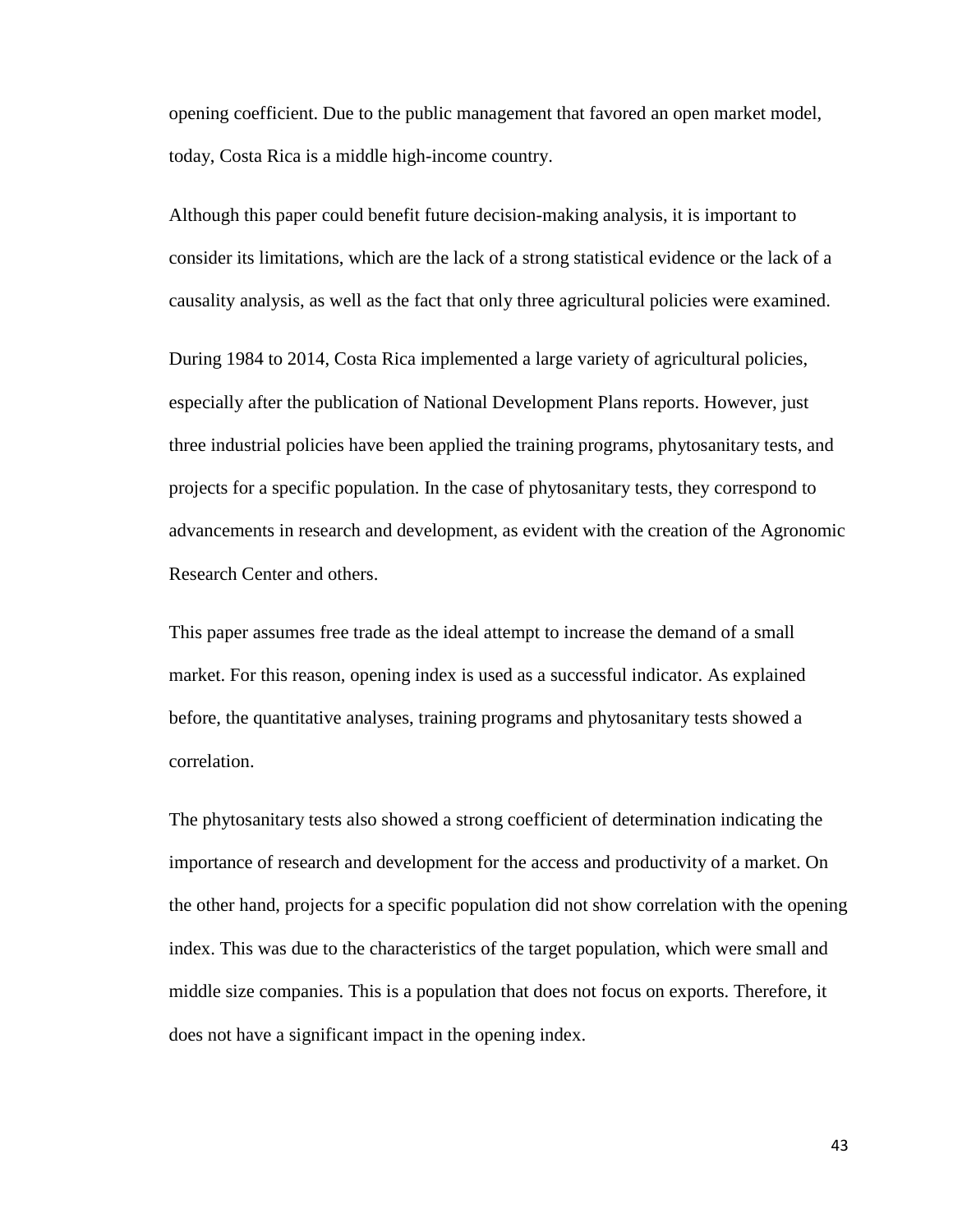opening coefficient. Due to the public management that favored an open market model, today, Costa Rica is a middle high-income country.

Although this paper could benefit future decision-making analysis, it is important to consider its limitations, which are the lack of a strong statistical evidence or the lack of a causality analysis, as well as the fact that only three agricultural policies were examined.

During 1984 to 2014, Costa Rica implemented a large variety of agricultural policies, especially after the publication of National Development Plans reports. However, just three industrial policies have been applied the training programs, phytosanitary tests, and projects for a specific population. In the case of phytosanitary tests, they correspond to advancements in research and development, as evident with the creation of the Agronomic Research Center and others.

This paper assumes free trade as the ideal attempt to increase the demand of a small market. For this reason, opening index is used as a successful indicator. As explained before, the quantitative analyses, training programs and phytosanitary tests showed a correlation.

The phytosanitary tests also showed a strong coefficient of determination indicating the importance of research and development for the access and productivity of a market. On the other hand, projects for a specific population did not show correlation with the opening index. This was due to the characteristics of the target population, which were small and middle size companies. This is a population that does not focus on exports. Therefore, it does not have a significant impact in the opening index.

43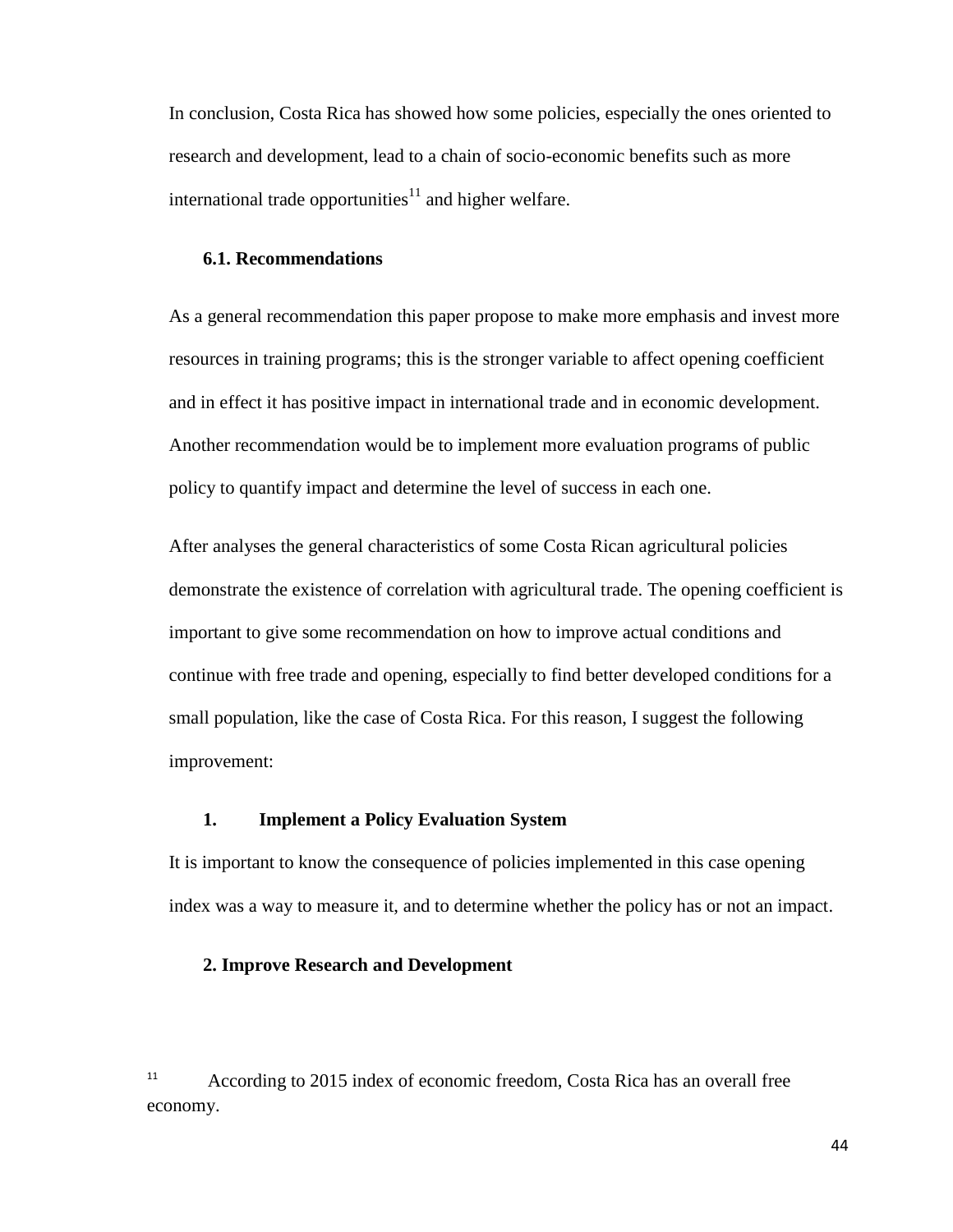In conclusion, Costa Rica has showed how some policies, especially the ones oriented to research and development, lead to a chain of socio-economic benefits such as more international trade opportunities<sup>11</sup> and higher welfare.

#### **6.1. Recommendations**

As a general recommendation this paper propose to make more emphasis and invest more resources in training programs; this is the stronger variable to affect opening coefficient and in effect it has positive impact in international trade and in economic development. Another recommendation would be to implement more evaluation programs of public policy to quantify impact and determine the level of success in each one.

After analyses the general characteristics of some Costa Rican agricultural policies demonstrate the existence of correlation with agricultural trade. The opening coefficient is important to give some recommendation on how to improve actual conditions and continue with free trade and opening, especially to find better developed conditions for a small population, like the case of Costa Rica. For this reason, I suggest the following improvement:

#### **1. Implement a Policy Evaluation System**

It is important to know the consequence of policies implemented in this case opening index was a way to measure it, and to determine whether the policy has or not an impact.

#### **2. Improve Research and Development**

<sup>11</sup> According to 2015 index of economic freedom, Costa Rica has an overall free economy.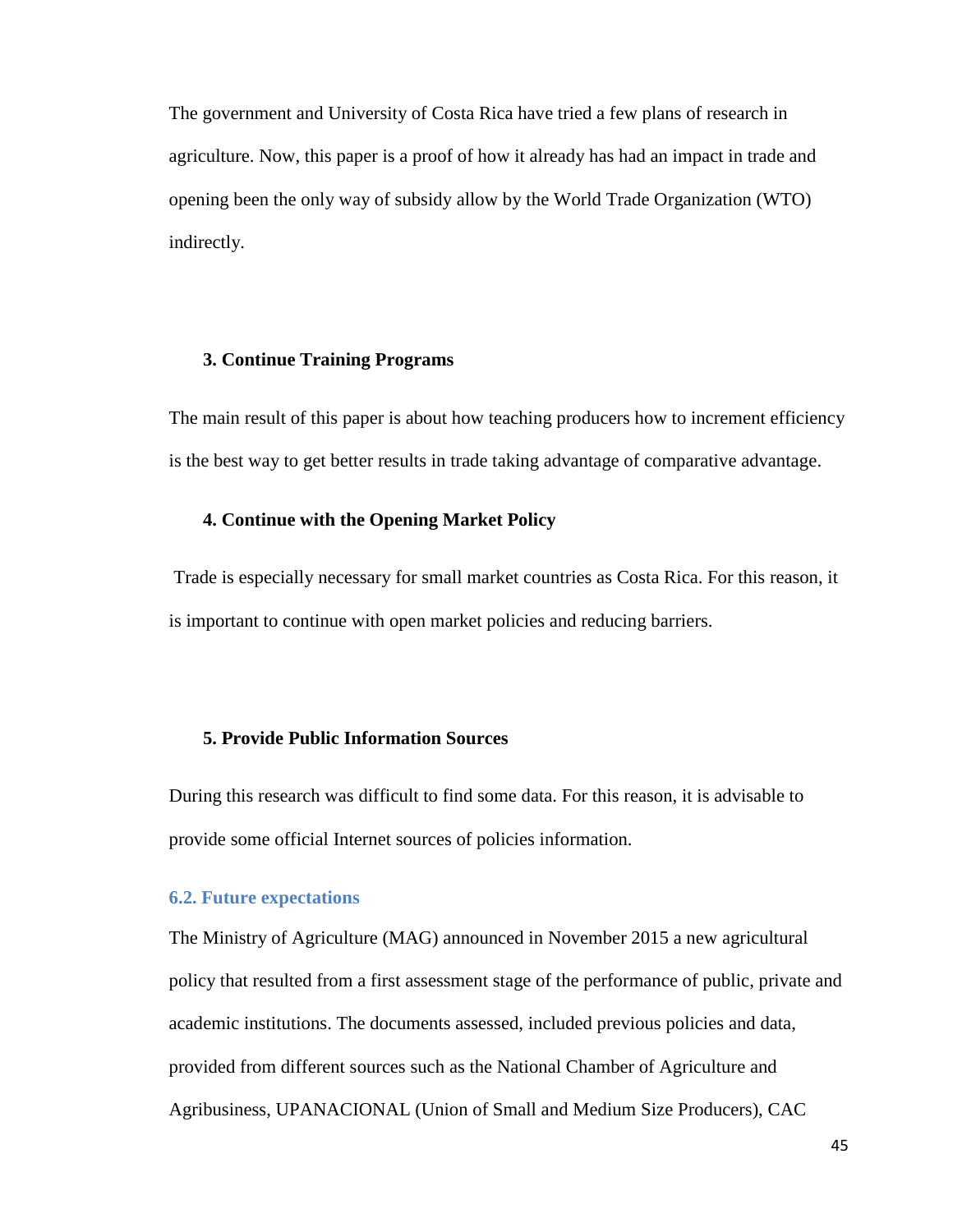The government and University of Costa Rica have tried a few plans of research in agriculture. Now, this paper is a proof of how it already has had an impact in trade and opening been the only way of subsidy allow by the World Trade Organization (WTO) indirectly.

#### **3. Continue Training Programs**

The main result of this paper is about how teaching producers how to increment efficiency is the best way to get better results in trade taking advantage of comparative advantage.

#### **4. Continue with the Opening Market Policy**

Trade is especially necessary for small market countries as Costa Rica. For this reason, it is important to continue with open market policies and reducing barriers.

#### **5. Provide Public Information Sources**

During this research was difficult to find some data. For this reason, it is advisable to provide some official Internet sources of policies information.

## <span id="page-44-0"></span>**6.2. Future expectations**

The Ministry of Agriculture (MAG) announced in November 2015 a new agricultural policy that resulted from a first assessment stage of the performance of public, private and academic institutions. The documents assessed, included previous policies and data, provided from different sources such as the National Chamber of Agriculture and Agribusiness, UPANACIONAL (Union of Small and Medium Size Producers), CAC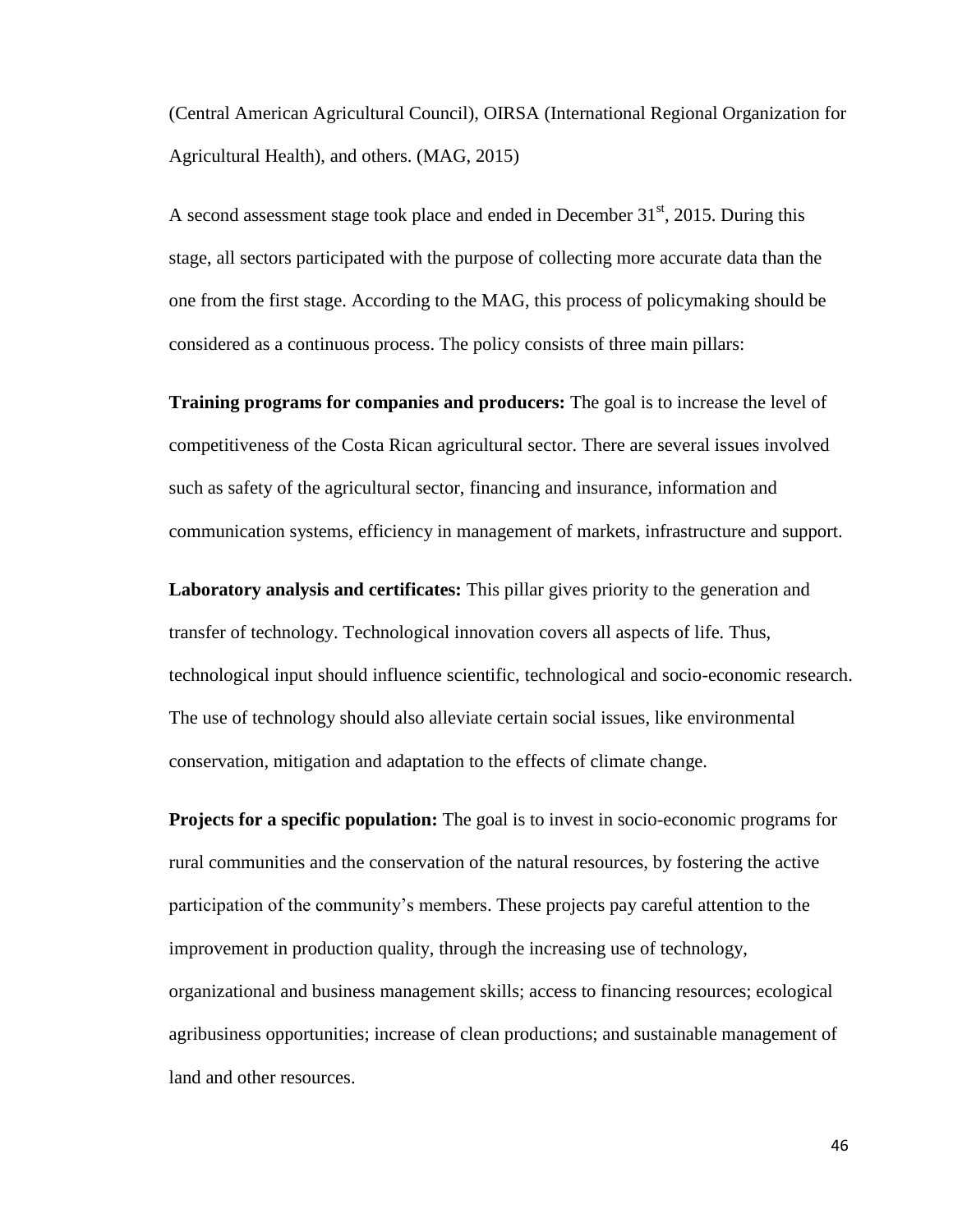(Central American Agricultural Council), OIRSA (International Regional Organization for Agricultural Health), and others. (MAG, 2015)

A second assessment stage took place and ended in December  $31<sup>st</sup>$ , 2015. During this stage, all sectors participated with the purpose of collecting more accurate data than the one from the first stage. According to the MAG, this process of policymaking should be considered as a continuous process. The policy consists of three main pillars:

**Training programs for companies and producers:** The goal is to increase the level of competitiveness of the Costa Rican agricultural sector. There are several issues involved such as safety of the agricultural sector, financing and insurance, information and communication systems, efficiency in management of markets, infrastructure and support.

**Laboratory analysis and certificates:** This pillar gives priority to the generation and transfer of technology. Technological innovation covers all aspects of life. Thus, technological input should influence scientific, technological and socio-economic research. The use of technology should also alleviate certain social issues, like environmental conservation, mitigation and adaptation to the effects of climate change.

**Projects for a specific population:** The goal is to invest in socio-economic programs for rural communities and the conservation of the natural resources, by fostering the active participation of the community's members. These projects pay careful attention to the improvement in production quality, through the increasing use of technology, organizational and business management skills; access to financing resources; ecological agribusiness opportunities; increase of clean productions; and sustainable management of land and other resources.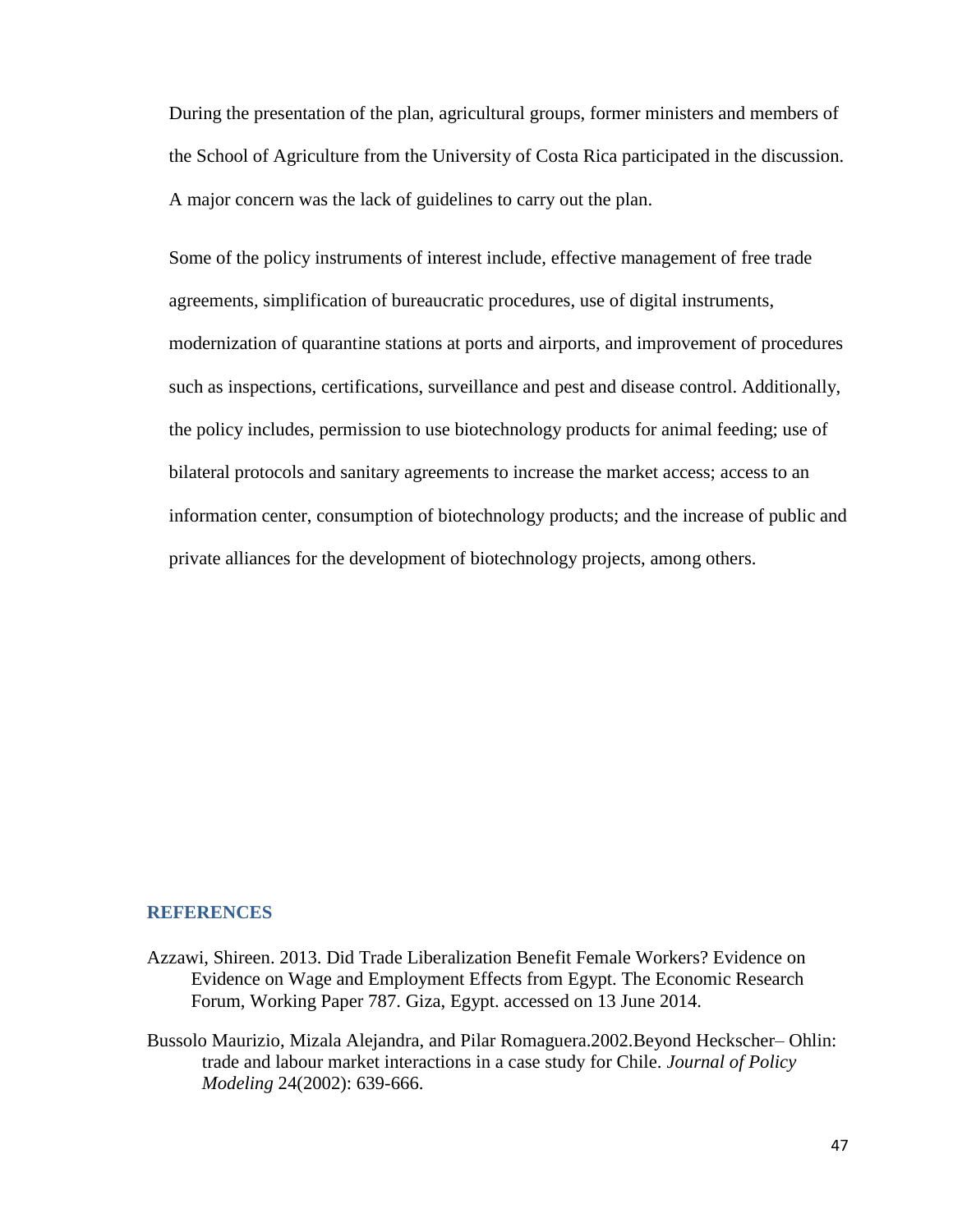During the presentation of the plan, agricultural groups, former ministers and members of the School of Agriculture from the University of Costa Rica participated in the discussion. A major concern was the lack of guidelines to carry out the plan.

Some of the policy instruments of interest include, effective management of free trade agreements, simplification of bureaucratic procedures, use of digital instruments, modernization of quarantine stations at ports and airports, and improvement of procedures such as inspections, certifications, surveillance and pest and disease control. Additionally, the policy includes, permission to use biotechnology products for animal feeding; use of bilateral protocols and sanitary agreements to increase the market access; access to an information center, consumption of biotechnology products; and the increase of public and private alliances for the development of biotechnology projects, among others.

#### <span id="page-46-0"></span>**REFERENCES**

- Azzawi, Shireen. 2013. Did Trade Liberalization Benefit Female Workers? Evidence on Evidence on Wage and Employment Effects from Egypt. The Economic Research Forum, Working Paper 787. Giza, Egypt. accessed on 13 June 2014.
- Bussolo Maurizio, Mizala Alejandra, and Pilar Romaguera.2002.Beyond Heckscher– Ohlin: trade and labour market interactions in a case study for Chile. *Journal of Policy Modeling* 24(2002): 639-666.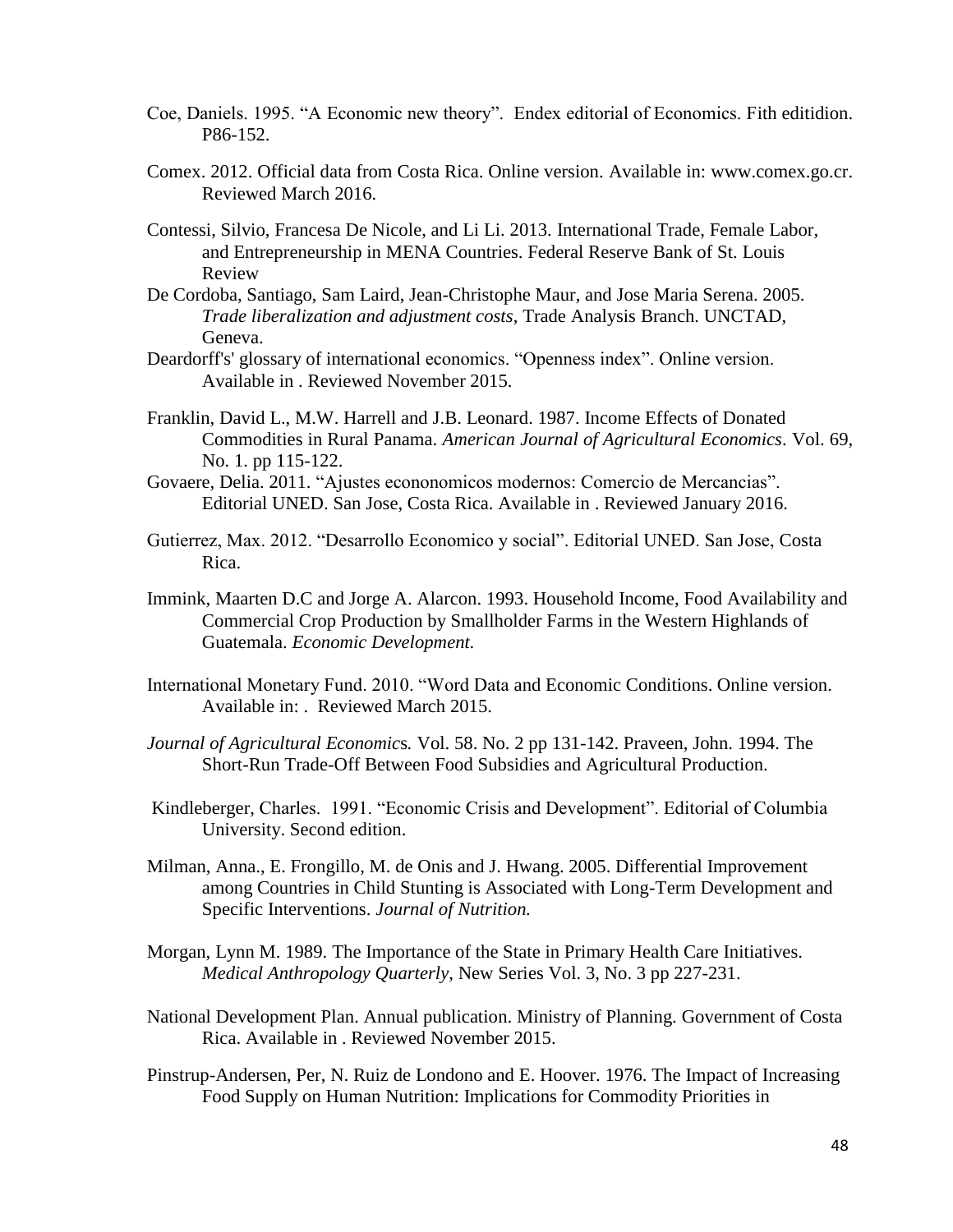- Coe, Daniels. 1995. "A Economic new theory". Endex editorial of Economics. Fith editidion. P86-152.
- Comex. 2012. Official data from Costa Rica. Online version. Available in: www.comex.go.cr. Reviewed March 2016.
- Contessi, Silvio, Francesa De Nicole, and Li Li. 2013. International Trade, Female Labor, and Entrepreneurship in MENA Countries. Federal Reserve Bank of St. Louis Review
- De Cordoba, Santiago, Sam Laird, Jean-Christophe Maur, and Jose Maria Serena. 2005. *Trade liberalization and adjustment costs*, Trade Analysis Branch. UNCTAD, Geneva.
- Deardorff's' glossary of international economics. "Openness index". Online version. Available in . Reviewed November 2015.
- Franklin, David L., M.W. Harrell and J.B. Leonard. 1987. Income Effects of Donated Commodities in Rural Panama. *American Journal of Agricultural Economics*. Vol. 69, No. 1. pp 115-122.
- Govaere, Delia. 2011. "Ajustes econonomicos modernos: Comercio de Mercancias". Editorial UNED. San Jose, Costa Rica. Available in . Reviewed January 2016.
- Gutierrez, Max. 2012. "Desarrollo Economico y social". Editorial UNED. San Jose, Costa Rica.
- Immink, Maarten D.C and Jorge A. Alarcon. 1993. Household Income, Food Availability and Commercial Crop Production by Smallholder Farms in the Western Highlands of Guatemala. *Economic Development.*
- International Monetary Fund. 2010. "Word Data and Economic Conditions. Online version. Available in: . Reviewed March 2015.
- *Journal of Agricultural Economic*s*.* Vol. 58. No. 2 pp 131-142. Praveen, John. 1994. The Short-Run Trade-Off Between Food Subsidies and Agricultural Production.
- Kindleberger, Charles. 1991. "Economic Crisis and Development". Editorial of Columbia University. Second edition.
- Milman, Anna., E. Frongillo, M. de Onis and J. Hwang. 2005. Differential Improvement among Countries in Child Stunting is Associated with Long-Term Development and Specific Interventions. *Journal of Nutrition.*
- Morgan, Lynn M. 1989. The Importance of the State in Primary Health Care Initiatives. *Medical Anthropology Quarterly*, New Series Vol. 3, No. 3 pp 227-231.
- National Development Plan. Annual publication. Ministry of Planning. Government of Costa Rica. Available in . Reviewed November 2015.
- Pinstrup-Andersen, Per, N. Ruiz de Londono and E. Hoover. 1976. The Impact of Increasing Food Supply on Human Nutrition: Implications for Commodity Priorities in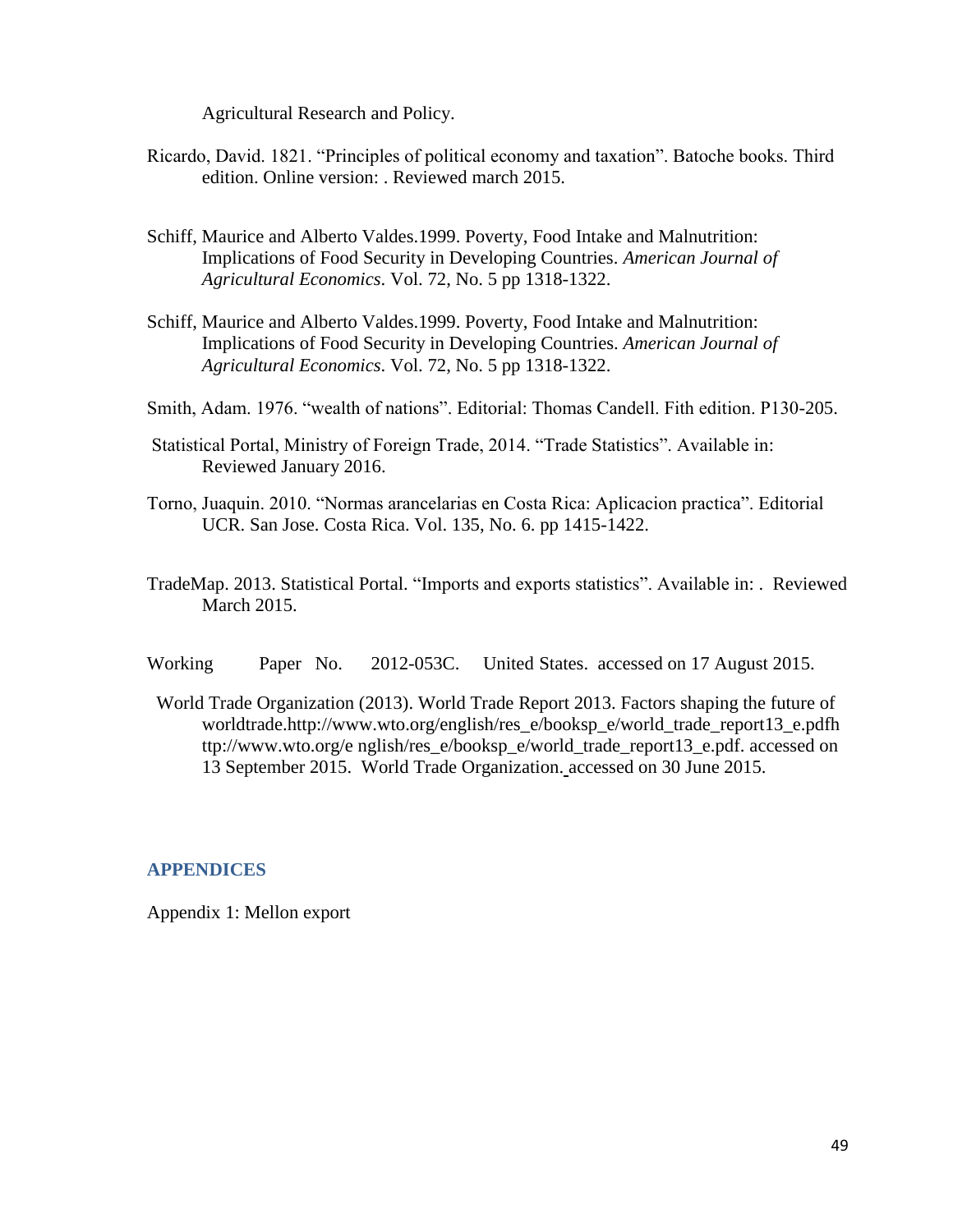Agricultural Research and Policy.

- Ricardo, David. 1821. "Principles of political economy and taxation". Batoche books. Third edition. Online version: . Reviewed march 2015.
- Schiff, Maurice and Alberto Valdes.1999. Poverty, Food Intake and Malnutrition: Implications of Food Security in Developing Countries. *American Journal of Agricultural Economics*. Vol. 72, No. 5 pp 1318-1322.
- Schiff, Maurice and Alberto Valdes.1999. Poverty, Food Intake and Malnutrition: Implications of Food Security in Developing Countries. *American Journal of Agricultural Economics*. Vol. 72, No. 5 pp 1318-1322.
- Smith, Adam. 1976. "wealth of nations". Editorial: Thomas Candell. Fith edition. P130-205.
- Statistical Portal, Ministry of Foreign Trade, 2014. "Trade Statistics". Available in: Reviewed January 2016.
- Torno, Juaquin. 2010. "Normas arancelarias en Costa Rica: Aplicacion practica". Editorial UCR. San Jose. Costa Rica. Vol. 135, No. 6. pp 1415-1422.
- TradeMap. 2013. Statistical Portal. "Imports and exports statistics". Available in: . Reviewed March 2015.
- Working Paper No. 2012-053C. United States. accessed on 17 August 2015.
- World Trade Organization (2013). World Trade Report 2013. Factors shaping the future of worldtrade.http://www.wto.org/english/res\_e/booksp\_e/world\_trade\_report13\_e.pdfh ttp://www.wto.org/e nglish/res\_e/booksp\_e/world\_trade\_report13\_e.pdf. accessed on 13 September 2015. World Trade Organization. accessed on 30 June 2015.

#### **APPENDICES**

Appendix 1: Mellon export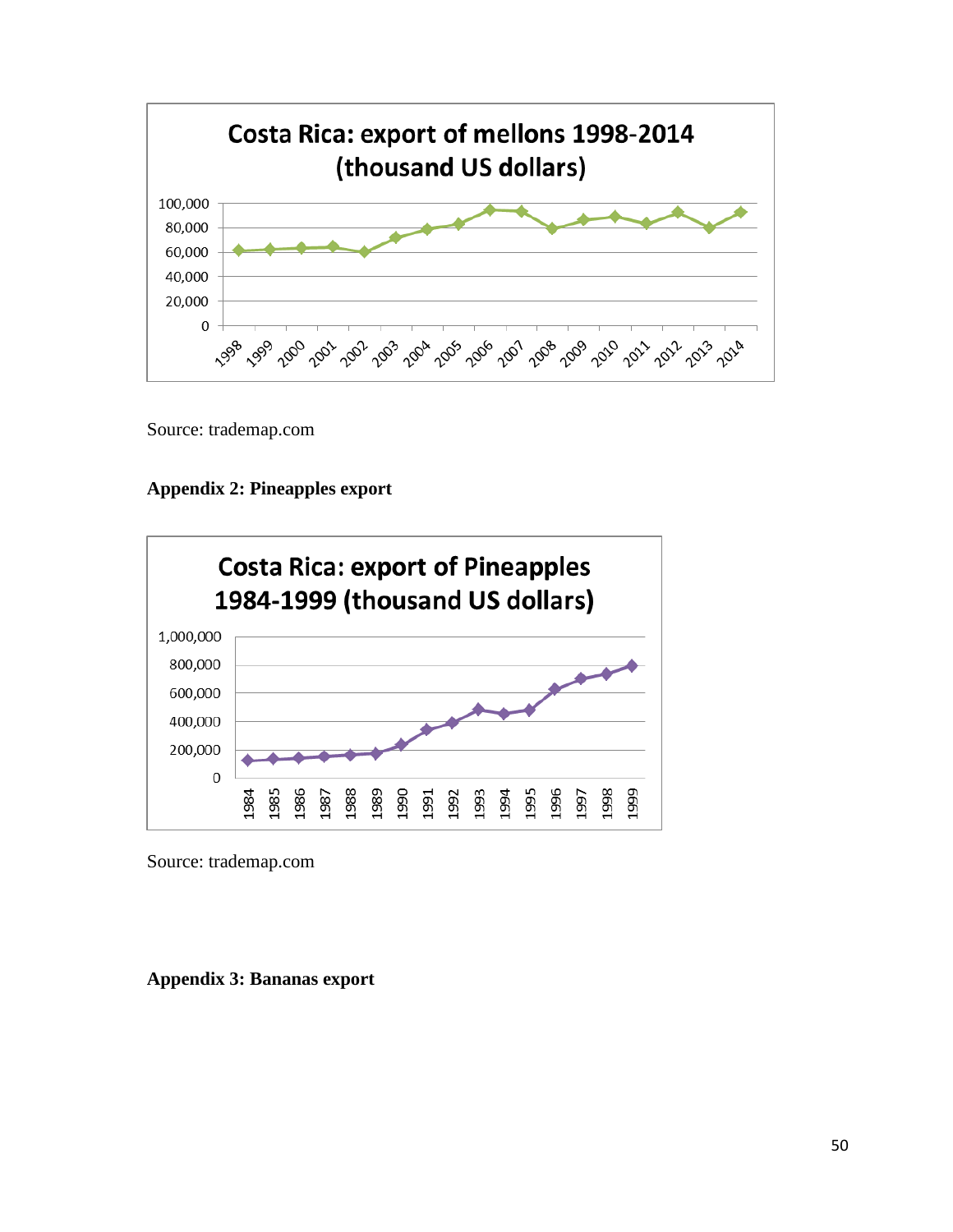

Source: trademap.com





Source: trademap.com

**Appendix 3: Bananas export**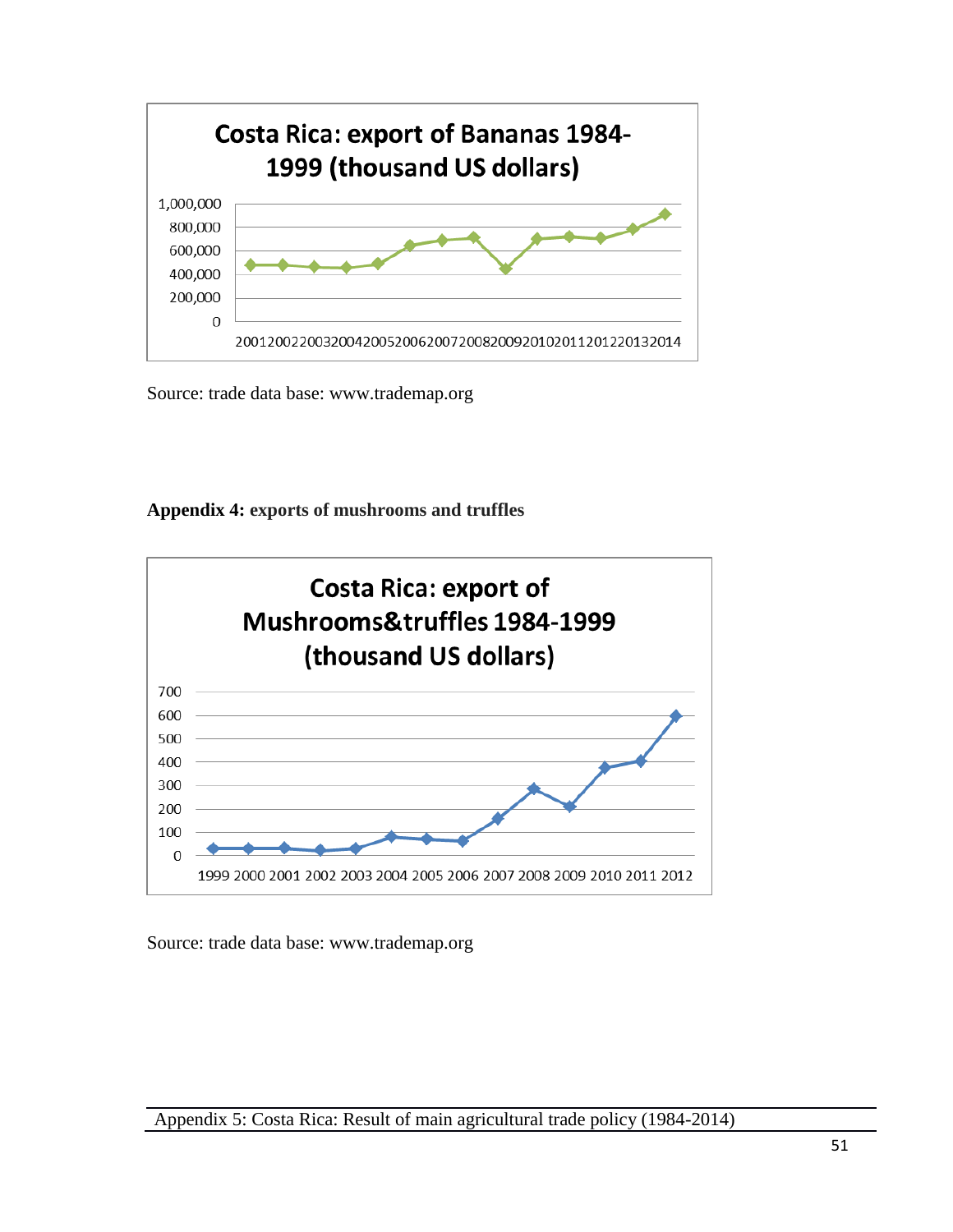

Source: trade data base: www.trademap.org

## **Appendix 4: exports of mushrooms and truffles**



Source: trade data base: www.trademap.org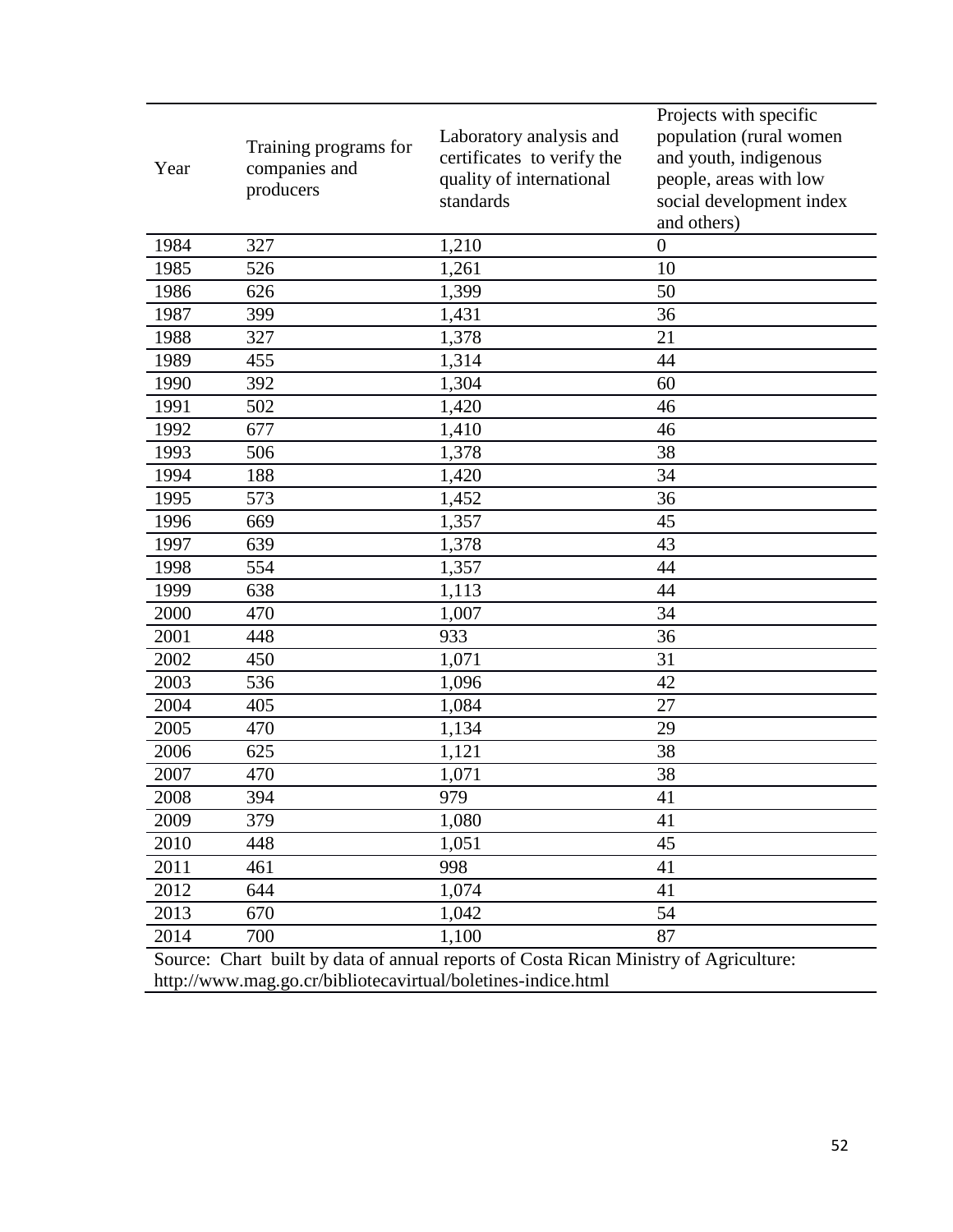| Year                                                                                  | Training programs for<br>companies and<br>producers | Laboratory analysis and<br>certificates to verify the<br>quality of international<br>standards | Projects with specific<br>population (rural women<br>and youth, indigenous<br>people, areas with low<br>social development index<br>and others) |  |  |  |
|---------------------------------------------------------------------------------------|-----------------------------------------------------|------------------------------------------------------------------------------------------------|-------------------------------------------------------------------------------------------------------------------------------------------------|--|--|--|
| 1984                                                                                  | 327                                                 | 1,210                                                                                          | $\overline{0}$                                                                                                                                  |  |  |  |
| 1985                                                                                  | 526                                                 | 1,261                                                                                          | 10                                                                                                                                              |  |  |  |
| 1986                                                                                  | 626                                                 | 1,399                                                                                          | 50                                                                                                                                              |  |  |  |
| 1987                                                                                  | 399                                                 | 1,431                                                                                          | 36                                                                                                                                              |  |  |  |
| 1988                                                                                  | 327                                                 | 1,378                                                                                          | 21                                                                                                                                              |  |  |  |
| 1989                                                                                  | 455                                                 | 1,314                                                                                          | 44                                                                                                                                              |  |  |  |
| 1990                                                                                  | 392                                                 | 1,304                                                                                          | 60                                                                                                                                              |  |  |  |
| 1991                                                                                  | 502                                                 | 1,420                                                                                          | 46                                                                                                                                              |  |  |  |
| 1992                                                                                  | 677                                                 | 1,410                                                                                          | 46                                                                                                                                              |  |  |  |
| 1993                                                                                  | 506                                                 | 1,378                                                                                          | 38                                                                                                                                              |  |  |  |
| 1994                                                                                  | 188                                                 | 1,420                                                                                          | 34                                                                                                                                              |  |  |  |
| 1995                                                                                  | 573                                                 | 1,452                                                                                          | 36                                                                                                                                              |  |  |  |
| 1996                                                                                  | 669                                                 | 1,357                                                                                          | 45                                                                                                                                              |  |  |  |
| 1997                                                                                  | 639                                                 | 1,378                                                                                          | 43                                                                                                                                              |  |  |  |
| 1998                                                                                  | 554                                                 | 1,357                                                                                          | 44                                                                                                                                              |  |  |  |
| 1999                                                                                  | 638                                                 | 1,113                                                                                          | 44                                                                                                                                              |  |  |  |
| 2000                                                                                  | 470                                                 | 1,007                                                                                          | 34                                                                                                                                              |  |  |  |
| 2001                                                                                  | 448                                                 | 933                                                                                            | 36                                                                                                                                              |  |  |  |
| 2002                                                                                  | 450                                                 | 1,071                                                                                          | 31                                                                                                                                              |  |  |  |
| 2003                                                                                  | 536                                                 | 1,096                                                                                          | 42                                                                                                                                              |  |  |  |
| 2004                                                                                  | 405                                                 | 1,084                                                                                          | 27                                                                                                                                              |  |  |  |
| 2005                                                                                  | 470                                                 | 1,134                                                                                          | 29                                                                                                                                              |  |  |  |
| 2006                                                                                  | 625                                                 | 1,121                                                                                          | 38                                                                                                                                              |  |  |  |
| 2007                                                                                  | 470                                                 | 1,071                                                                                          | 38                                                                                                                                              |  |  |  |
| 2008                                                                                  | 394                                                 | 979                                                                                            | 41                                                                                                                                              |  |  |  |
| 2009                                                                                  | 379                                                 | 1,080                                                                                          | 41                                                                                                                                              |  |  |  |
| 2010                                                                                  | 448                                                 | 1,051                                                                                          | 45                                                                                                                                              |  |  |  |
| 2011                                                                                  | 461                                                 | 998                                                                                            | 41                                                                                                                                              |  |  |  |
| 2012                                                                                  | 644                                                 | 1,074                                                                                          | 41                                                                                                                                              |  |  |  |
| 2013                                                                                  | 670                                                 | 1,042                                                                                          | 54                                                                                                                                              |  |  |  |
| 2014                                                                                  | 700                                                 | 1,100                                                                                          | 87                                                                                                                                              |  |  |  |
| Source: Chart built by data of annual reports of Costa Rican Ministry of Agriculture: |                                                     |                                                                                                |                                                                                                                                                 |  |  |  |

http://www.mag.go.cr/bibliotecavirtual/boletines-indice.html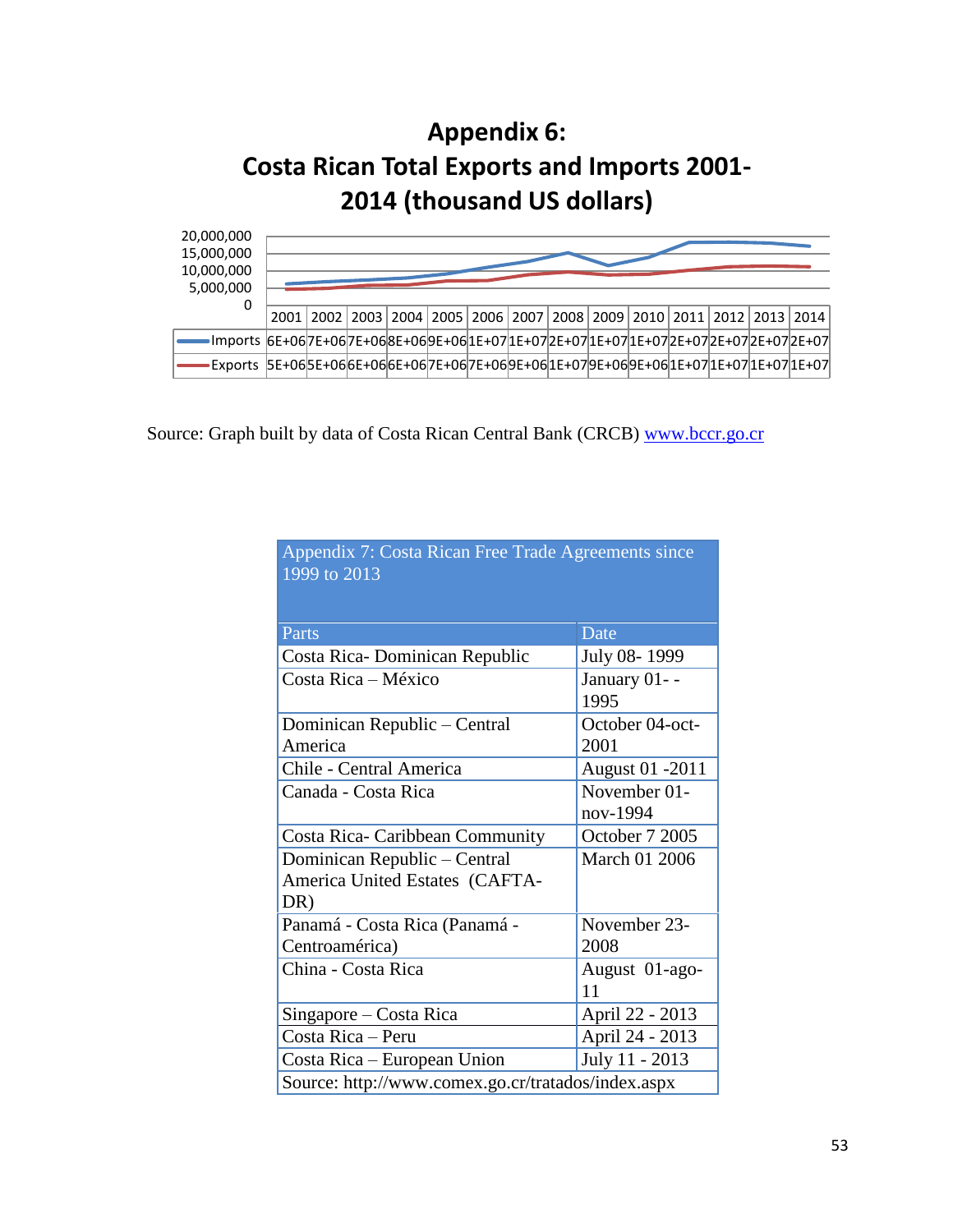# **Appendix 6: Costa Rican Total Exports and Imports 2001- 2014 (thousand US dollars)**



Source: Graph built by data of Costa Rican Central Bank (CRCB) [www.bccr.go.cr](http://www.bccr.go.cr/)

Appendix 7: Costa Rican Free Trade Agreements since

| 1999 to 2013                                       |                          |  |  |  |
|----------------------------------------------------|--------------------------|--|--|--|
|                                                    |                          |  |  |  |
| Parts                                              | Date                     |  |  |  |
| Costa Rica-Dominican Republic                      | July 08-1999             |  |  |  |
| Costa Rica – México                                | January 01--<br>1995     |  |  |  |
| Dominican Republic – Central                       | October 04-oct-          |  |  |  |
| America                                            | 2001                     |  |  |  |
| Chile - Central America                            | <b>August 01 -2011</b>   |  |  |  |
| Canada - Costa Rica                                | November 01-<br>nov-1994 |  |  |  |
| <b>Costa Rica- Caribbean Community</b>             | October 7 2005           |  |  |  |
| Dominican Republic – Central                       | March 01 2006            |  |  |  |
| America United Estates (CAFTA-                     |                          |  |  |  |
| DR)                                                |                          |  |  |  |
| Panamá - Costa Rica (Panamá -                      | November 23-             |  |  |  |
| Centroamérica)                                     | 2008                     |  |  |  |
| China - Costa Rica                                 | August 01-ago-<br>11     |  |  |  |
| Singapore – Costa Rica                             | April 22 - 2013          |  |  |  |
| Costa Rica - Peru                                  | April 24 - 2013          |  |  |  |
| Costa Rica - European Union                        | July 11 - 2013           |  |  |  |
| Source: http://www.comex.go.cr/tratados/index.aspx |                          |  |  |  |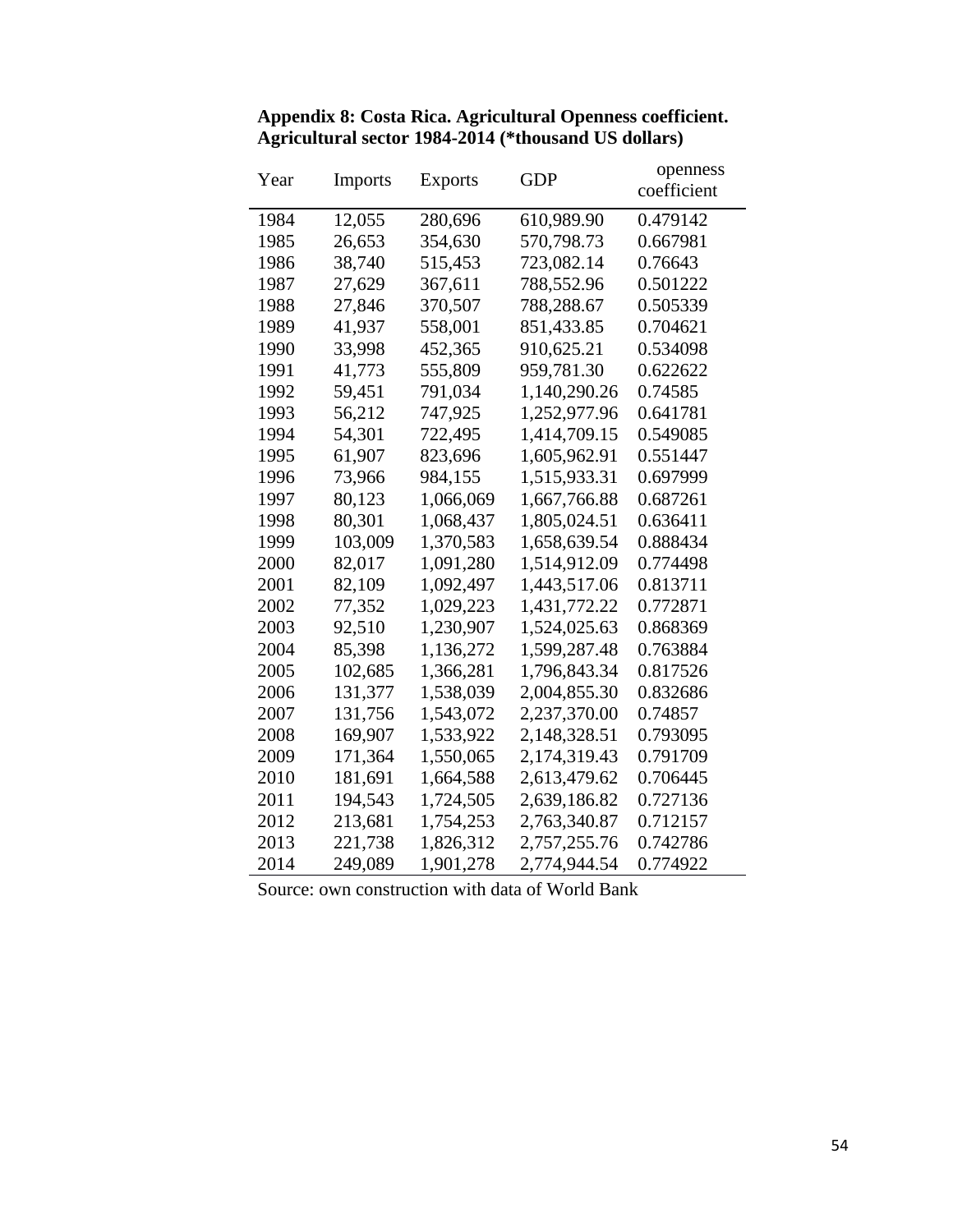| Year | <b>Imports</b> | Exports   | <b>GDP</b>   | openness<br>coefficient |
|------|----------------|-----------|--------------|-------------------------|
| 1984 | 12,055         | 280,696   | 610,989.90   | 0.479142                |
| 1985 | 26,653         | 354,630   | 570,798.73   | 0.667981                |
| 1986 | 38,740         | 515,453   | 723,082.14   | 0.76643                 |
| 1987 | 27,629         | 367,611   | 788,552.96   | 0.501222                |
| 1988 | 27,846         | 370,507   | 788,288.67   | 0.505339                |
| 1989 | 41,937         | 558,001   | 851,433.85   | 0.704621                |
| 1990 | 33,998         | 452,365   | 910,625.21   | 0.534098                |
| 1991 | 41,773         | 555,809   | 959,781.30   | 0.622622                |
| 1992 | 59,451         | 791,034   | 1,140,290.26 | 0.74585                 |
| 1993 | 56,212         | 747,925   | 1,252,977.96 | 0.641781                |
| 1994 | 54,301         | 722,495   | 1,414,709.15 | 0.549085                |
| 1995 | 61,907         | 823,696   | 1,605,962.91 | 0.551447                |
| 1996 | 73,966         | 984,155   | 1,515,933.31 | 0.697999                |
| 1997 | 80,123         | 1,066,069 | 1,667,766.88 | 0.687261                |
| 1998 | 80,301         | 1,068,437 | 1,805,024.51 | 0.636411                |
| 1999 | 103,009        | 1,370,583 | 1,658,639.54 | 0.888434                |
| 2000 | 82,017         | 1,091,280 | 1,514,912.09 | 0.774498                |
| 2001 | 82,109         | 1,092,497 | 1,443,517.06 | 0.813711                |
| 2002 | 77,352         | 1,029,223 | 1,431,772.22 | 0.772871                |
| 2003 | 92,510         | 1,230,907 | 1,524,025.63 | 0.868369                |
| 2004 | 85,398         | 1,136,272 | 1,599,287.48 | 0.763884                |
| 2005 | 102,685        | 1,366,281 | 1,796,843.34 | 0.817526                |
| 2006 | 131,377        | 1,538,039 | 2,004,855.30 | 0.832686                |
| 2007 | 131,756        | 1,543,072 | 2,237,370.00 | 0.74857                 |
| 2008 | 169,907        | 1,533,922 | 2,148,328.51 | 0.793095                |
| 2009 | 171,364        | 1,550,065 | 2,174,319.43 | 0.791709                |
| 2010 | 181,691        | 1,664,588 | 2,613,479.62 | 0.706445                |
| 2011 | 194,543        | 1,724,505 | 2,639,186.82 | 0.727136                |
| 2012 | 213,681        | 1,754,253 | 2,763,340.87 | 0.712157                |
| 2013 | 221,738        | 1,826,312 | 2,757,255.76 | 0.742786                |
| 2014 | 249,089        | 1,901,278 | 2,774,944.54 | 0.774922                |

**Appendix 8: Costa Rica. Agricultural Openness coefficient. Agricultural sector 1984-2014 (\*thousand US dollars)**

Source: own construction with data of World Bank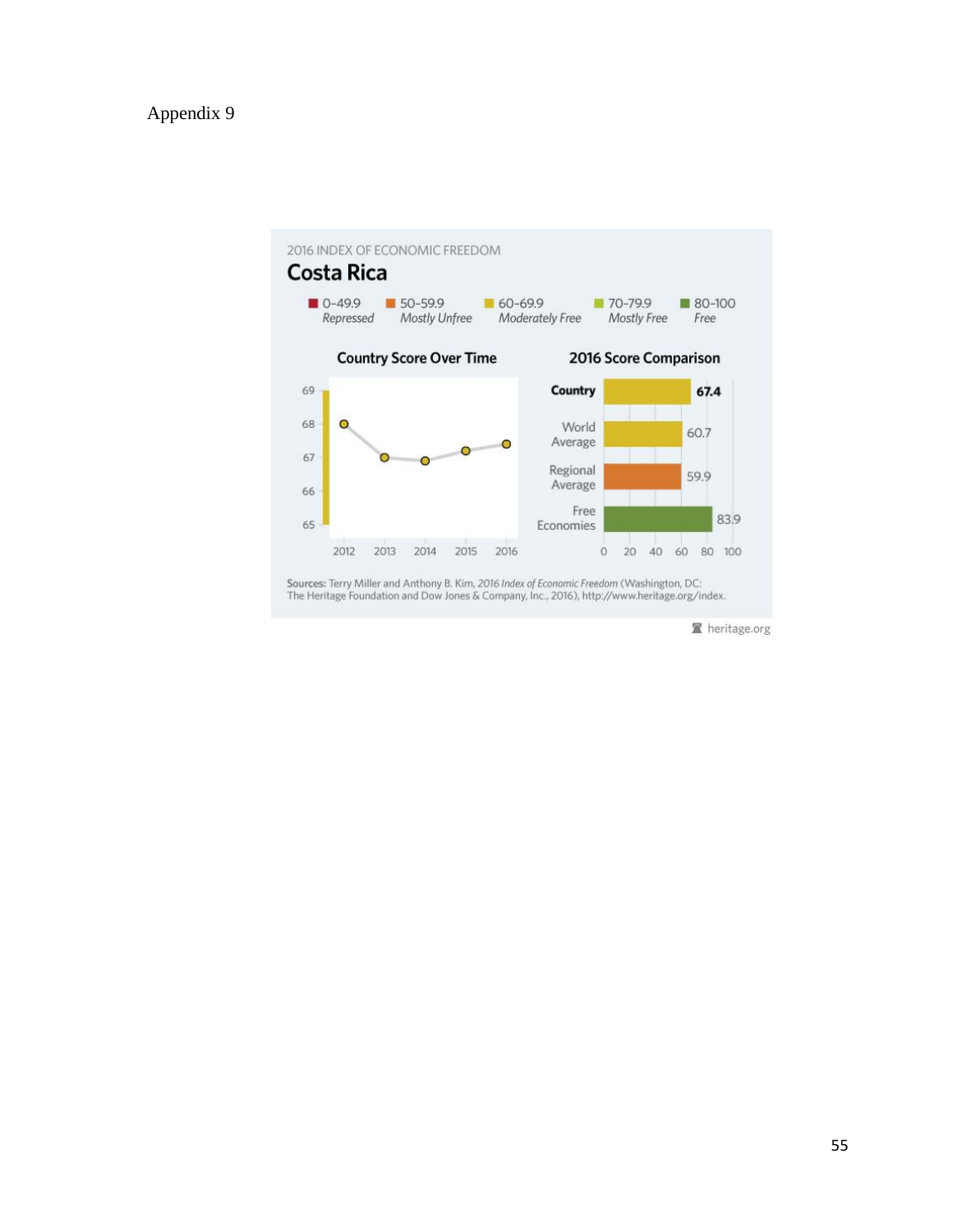

heritage.org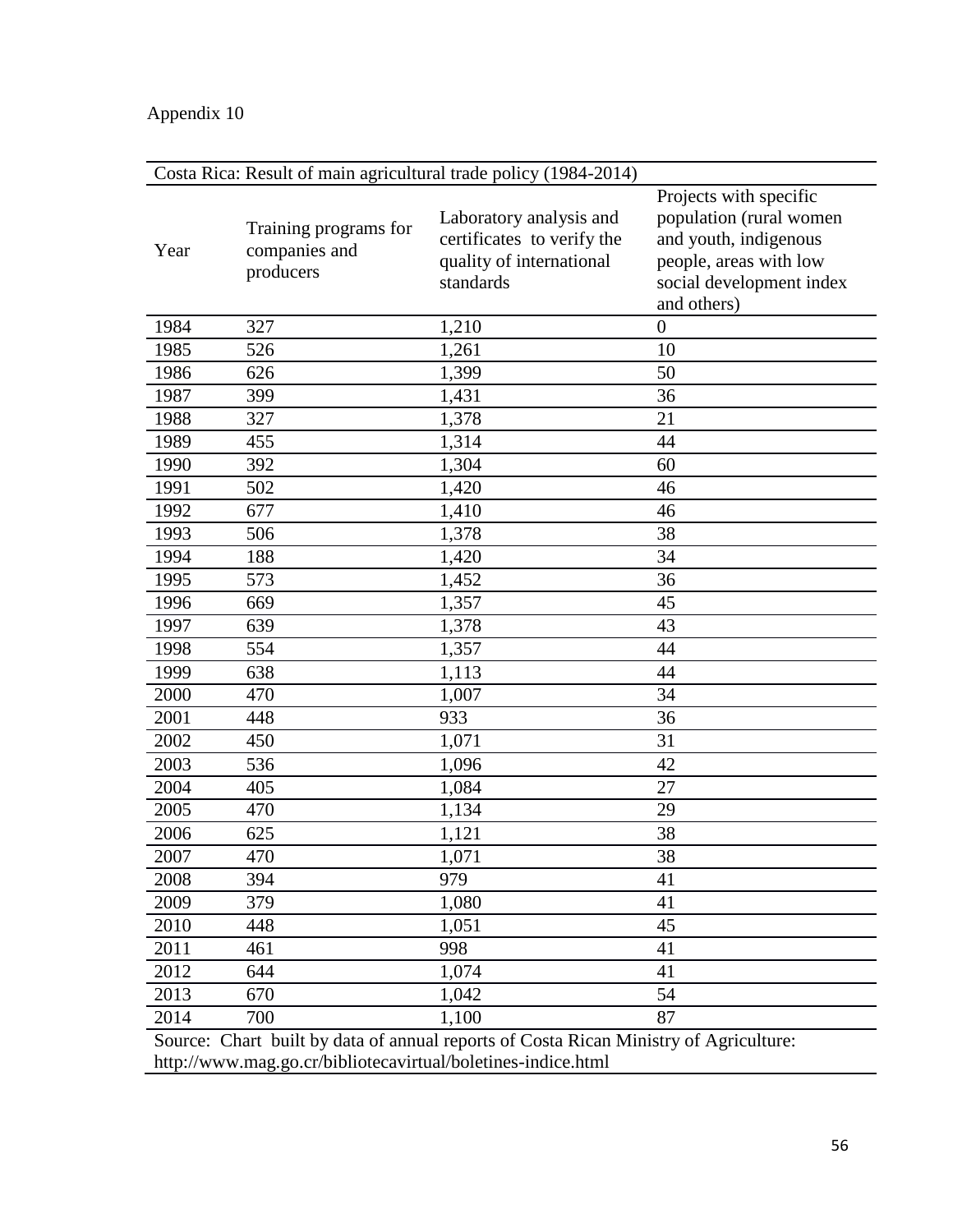# Appendix 10

| Costa Rica: Result of main agricultural trade policy (1984-2014)                      |                                                     |                                                                                                |                                                                                                                                                 |  |  |  |
|---------------------------------------------------------------------------------------|-----------------------------------------------------|------------------------------------------------------------------------------------------------|-------------------------------------------------------------------------------------------------------------------------------------------------|--|--|--|
| Year                                                                                  | Training programs for<br>companies and<br>producers | Laboratory analysis and<br>certificates to verify the<br>quality of international<br>standards | Projects with specific<br>population (rural women<br>and youth, indigenous<br>people, areas with low<br>social development index<br>and others) |  |  |  |
| 1984                                                                                  | 327                                                 | 1,210                                                                                          | $\boldsymbol{0}$                                                                                                                                |  |  |  |
| 1985                                                                                  | 526                                                 | 1,261                                                                                          | 10                                                                                                                                              |  |  |  |
| 1986                                                                                  | 626                                                 | 1,399                                                                                          | 50                                                                                                                                              |  |  |  |
| 1987                                                                                  | 399                                                 | 1,431                                                                                          | 36                                                                                                                                              |  |  |  |
| 1988                                                                                  | 327                                                 | 1,378                                                                                          | 21                                                                                                                                              |  |  |  |
| 1989                                                                                  | 455                                                 | 1,314                                                                                          | 44                                                                                                                                              |  |  |  |
| 1990                                                                                  | 392                                                 | 1,304                                                                                          | 60                                                                                                                                              |  |  |  |
| 1991                                                                                  | 502                                                 | 1,420                                                                                          | 46                                                                                                                                              |  |  |  |
| 1992                                                                                  | 677                                                 | 1,410                                                                                          | 46                                                                                                                                              |  |  |  |
| 1993                                                                                  | 506                                                 | 1,378                                                                                          | 38                                                                                                                                              |  |  |  |
| 1994                                                                                  | 188                                                 | 1,420                                                                                          | 34                                                                                                                                              |  |  |  |
| 1995                                                                                  | 573                                                 | 1,452                                                                                          | 36                                                                                                                                              |  |  |  |
| 1996                                                                                  | 669                                                 | 1,357                                                                                          | 45                                                                                                                                              |  |  |  |
| 1997                                                                                  | 639                                                 | 1,378                                                                                          | 43                                                                                                                                              |  |  |  |
| 1998                                                                                  | 554                                                 | 1,357                                                                                          | 44                                                                                                                                              |  |  |  |
| 1999                                                                                  | 638                                                 | 1,113                                                                                          | 44                                                                                                                                              |  |  |  |
| 2000                                                                                  | 470                                                 | 1,007                                                                                          | 34                                                                                                                                              |  |  |  |
| 2001                                                                                  | 448                                                 | 933                                                                                            | 36                                                                                                                                              |  |  |  |
| 2002                                                                                  | 450                                                 | 1,071                                                                                          | 31                                                                                                                                              |  |  |  |
| 2003                                                                                  | 536                                                 | 1,096                                                                                          | 42                                                                                                                                              |  |  |  |
| 2004                                                                                  | 405                                                 | 1,084                                                                                          | 27                                                                                                                                              |  |  |  |
| 2005                                                                                  | 470                                                 | 1,134                                                                                          | 29                                                                                                                                              |  |  |  |
| 2006                                                                                  | 625                                                 | 1,121                                                                                          | 38                                                                                                                                              |  |  |  |
| 2007                                                                                  | 470                                                 | 1,071                                                                                          | 38                                                                                                                                              |  |  |  |
| 2008                                                                                  | 394                                                 | 979                                                                                            | 41                                                                                                                                              |  |  |  |
| 2009                                                                                  | 379                                                 | 1,080                                                                                          | 41                                                                                                                                              |  |  |  |
| 2010                                                                                  | 448                                                 | 1,051                                                                                          | 45                                                                                                                                              |  |  |  |
| 2011                                                                                  | 461                                                 | 998                                                                                            | 41                                                                                                                                              |  |  |  |
| 2012                                                                                  | 644                                                 | 1,074                                                                                          | 41                                                                                                                                              |  |  |  |
| 2013                                                                                  | 670                                                 | 1,042                                                                                          | 54                                                                                                                                              |  |  |  |
| 2014                                                                                  | 700                                                 | 1,100                                                                                          | 87                                                                                                                                              |  |  |  |
| Source: Chart built by data of annual reports of Costa Rican Ministry of Agriculture: |                                                     |                                                                                                |                                                                                                                                                 |  |  |  |

http://www.mag.go.cr/bibliotecavirtual/boletines-indice.html